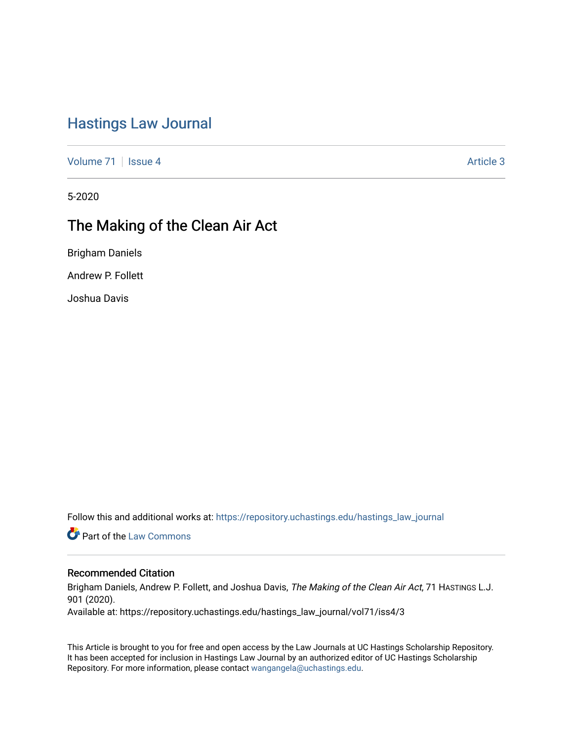# [Hastings Law Journal](https://repository.uchastings.edu/hastings_law_journal)

[Volume 71](https://repository.uchastings.edu/hastings_law_journal/vol71) | [Issue 4](https://repository.uchastings.edu/hastings_law_journal/vol71/iss4) Article 3

5-2020

# The Making of the Clean Air Act

Brigham Daniels

Andrew P. Follett

Joshua Davis

Follow this and additional works at: [https://repository.uchastings.edu/hastings\\_law\\_journal](https://repository.uchastings.edu/hastings_law_journal?utm_source=repository.uchastings.edu%2Fhastings_law_journal%2Fvol71%2Fiss4%2F3&utm_medium=PDF&utm_campaign=PDFCoverPages) 

**C** Part of the [Law Commons](http://network.bepress.com/hgg/discipline/578?utm_source=repository.uchastings.edu%2Fhastings_law_journal%2Fvol71%2Fiss4%2F3&utm_medium=PDF&utm_campaign=PDFCoverPages)

## Recommended Citation

Brigham Daniels, Andrew P. Follett, and Joshua Davis, The Making of the Clean Air Act, 71 HASTINGS L.J. 901 (2020).

Available at: https://repository.uchastings.edu/hastings\_law\_journal/vol71/iss4/3

This Article is brought to you for free and open access by the Law Journals at UC Hastings Scholarship Repository. It has been accepted for inclusion in Hastings Law Journal by an authorized editor of UC Hastings Scholarship Repository. For more information, please contact [wangangela@uchastings.edu](mailto:wangangela@uchastings.edu).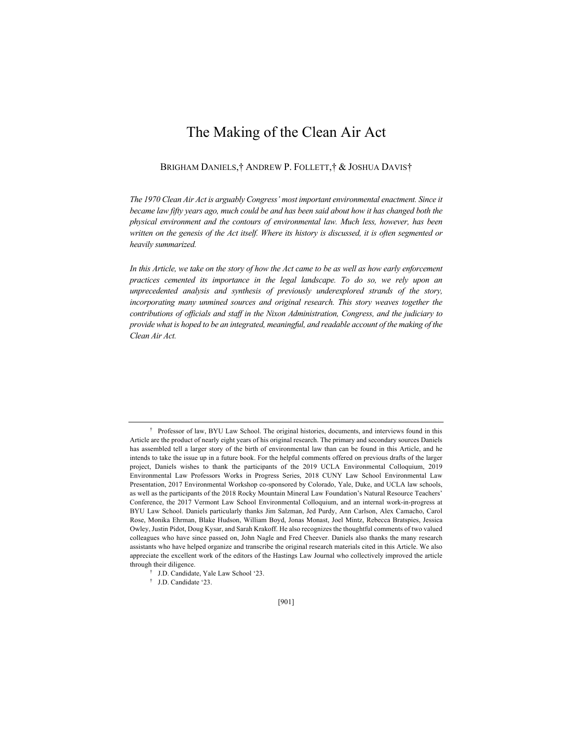# The Making of the Clean Air Act

BRIGHAM DANIELS,† ANDREW P. FOLLETT,† & JOSHUA DAVIS†

*The 1970 Clean Air Act is arguably Congress' most important environmental enactment. Since it became law fifty years ago, much could be and has been said about how it has changed both the physical environment and the contours of environmental law. Much less, however, has been written on the genesis of the Act itself. Where its history is discussed, it is often segmented or heavily summarized.* 

In this Article, we take on the story of how the Act came to be as well as how early enforcement *practices cemented its importance in the legal landscape. To do so, we rely upon an unprecedented analysis and synthesis of previously underexplored strands of the story, incorporating many unmined sources and original research. This story weaves together the contributions of officials and staff in the Nixon Administration, Congress, and the judiciary to provide what is hoped to be an integrated, meaningful, and readable account of the making of the Clean Air Act.*

<sup>†</sup> Professor of law, BYU Law School. The original histories, documents, and interviews found in this Article are the product of nearly eight years of his original research. The primary and secondary sources Daniels has assembled tell a larger story of the birth of environmental law than can be found in this Article, and he intends to take the issue up in a future book. For the helpful comments offered on previous drafts of the larger project, Daniels wishes to thank the participants of the 2019 UCLA Environmental Colloquium, 2019 Environmental Law Professors Works in Progress Series, 2018 CUNY Law School Environmental Law Presentation, 2017 Environmental Workshop co-sponsored by Colorado, Yale, Duke, and UCLA law schools, as well as the participants of the 2018 Rocky Mountain Mineral Law Foundation's Natural Resource Teachers' Conference, the 2017 Vermont Law School Environmental Colloquium, and an internal work-in-progress at BYU Law School. Daniels particularly thanks Jim Salzman, Jed Purdy, Ann Carlson, Alex Camacho, Carol Rose, Monika Ehrman, Blake Hudson, William Boyd, Jonas Monast, Joel Mintz, Rebecca Bratspies, Jessica Owley, Justin Pidot, Doug Kysar, and Sarah Krakoff. He also recognizes the thoughtful comments of two valued colleagues who have since passed on, John Nagle and Fred Cheever. Daniels also thanks the many research assistants who have helped organize and transcribe the original research materials cited in this Article. We also appreciate the excellent work of the editors of the Hastings Law Journal who collectively improved the article through their diligence.

<sup>†</sup> J.D. Candidate, Yale Law School '23.

<sup>†</sup> J.D. Candidate '23.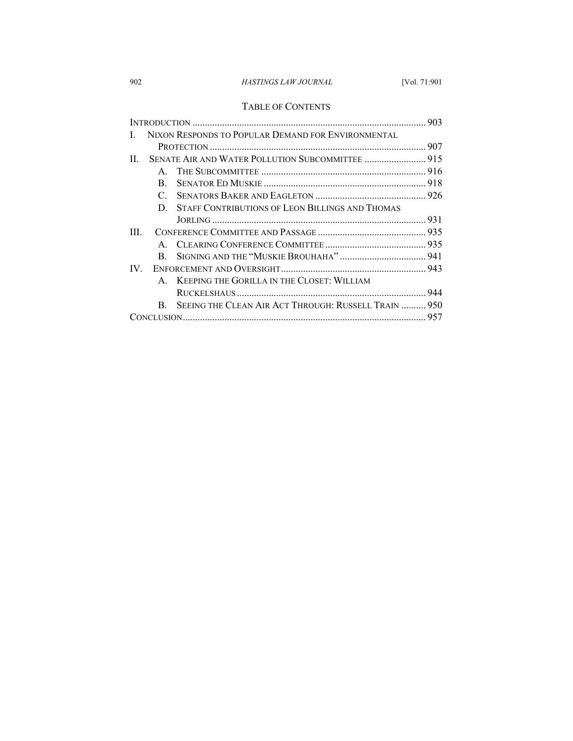# 902 *HASTINGS LAW JOURNAL* [Vol. 71:901

## TABLE OF CONTENTS

| NIXON RESPONDS TO POPULAR DEMAND FOR ENVIRONMENTAL |                                                  |                                                      |  |
|----------------------------------------------------|--------------------------------------------------|------------------------------------------------------|--|
|                                                    |                                                  |                                                      |  |
| H.                                                 | SENATE AIR AND WATER POLLUTION SUBCOMMITTEE  915 |                                                      |  |
|                                                    | $\mathbf{A}$                                     |                                                      |  |
|                                                    | B.                                               |                                                      |  |
|                                                    | $\mathbf{C}$                                     |                                                      |  |
|                                                    |                                                  | D. STAFF CONTRIBUTIONS OF LEON BILLINGS AND THOMAS   |  |
|                                                    |                                                  |                                                      |  |
| Ш                                                  |                                                  |                                                      |  |
|                                                    |                                                  |                                                      |  |
|                                                    | B.                                               |                                                      |  |
| IV.                                                |                                                  |                                                      |  |
|                                                    |                                                  | A. KEEPING THE GORILLA IN THE CLOSET: WILLIAM        |  |
|                                                    |                                                  |                                                      |  |
|                                                    | $\mathbf{B}_{\cdot}$                             | SEEING THE CLEAN AIR ACT THROUGH: RUSSELL TRAIN  950 |  |
|                                                    |                                                  |                                                      |  |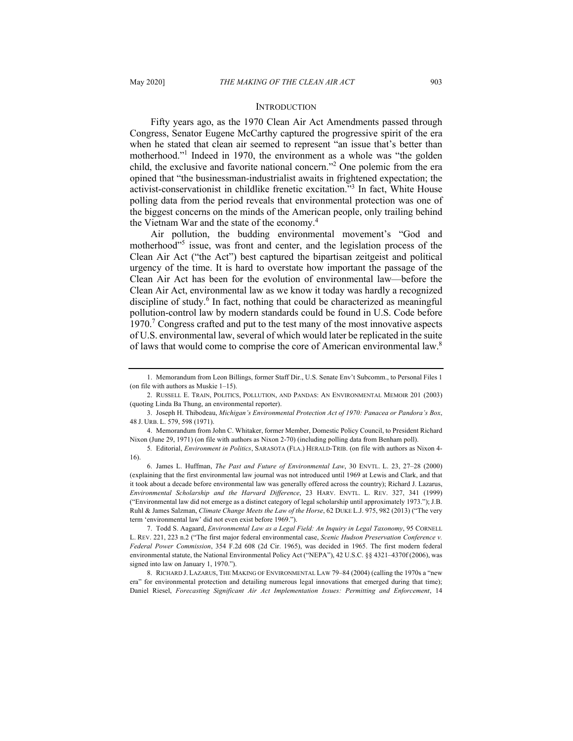### **INTRODUCTION**

Fifty years ago, as the 1970 Clean Air Act Amendments passed through Congress, Senator Eugene McCarthy captured the progressive spirit of the era when he stated that clean air seemed to represent "an issue that's better than motherhood."<sup>1</sup> Indeed in 1970, the environment as a whole was "the golden child, the exclusive and favorite national concern."2 One polemic from the era opined that "the businessman-industrialist awaits in frightened expectation; the activist-conservationist in childlike frenetic excitation."3 In fact, White House polling data from the period reveals that environmental protection was one of the biggest concerns on the minds of the American people, only trailing behind the Vietnam War and the state of the economy.<sup>4</sup>

Air pollution, the budding environmental movement's "God and motherhood"<sup>5</sup> issue, was front and center, and the legislation process of the Clean Air Act ("the Act") best captured the bipartisan zeitgeist and political urgency of the time. It is hard to overstate how important the passage of the Clean Air Act has been for the evolution of environmental law—before the Clean Air Act, environmental law as we know it today was hardly a recognized discipline of study.<sup>6</sup> In fact, nothing that could be characterized as meaningful pollution-control law by modern standards could be found in U.S. Code before 1970.<sup>7</sup> Congress crafted and put to the test many of the most innovative aspects of U.S. environmental law, several of which would later be replicated in the suite of laws that would come to comprise the core of American environmental law.<sup>8</sup>

<sup>1.</sup> Memorandum from Leon Billings, former Staff Dir., U.S. Senate Env't Subcomm., to Personal Files 1 (on file with authors as Muskie 1–15).

<sup>2.</sup> RUSSELL E. TRAIN, POLITICS, POLLUTION, AND PANDAS: AN ENVIRONMENTAL MEMOIR 201 (2003) (quoting Linda Ba Thung, an environmental reporter).

<sup>3.</sup> Joseph H. Thibodeau, *Michigan's Environmental Protection Act of 1970: Panacea or Pandora's Box*, 48 J. URB. L. 579, 598 (1971).

<sup>4.</sup> Memorandum from John C. Whitaker, former Member, Domestic Policy Council, to President Richard Nixon (June 29, 1971) (on file with authors as Nixon 2-70) (including polling data from Benham poll).

<sup>5</sup>*.* Editorial, *Environment in Politics*, SARASOTA (FLA.) HERALD-TRIB. (on file with authors as Nixon 4- 16).

<sup>6.</sup> James L. Huffman, *The Past and Future of Environmental Law*, 30 ENVTL. L. 23, 27–28 (2000) (explaining that the first environmental law journal was not introduced until 1969 at Lewis and Clark, and that it took about a decade before environmental law was generally offered across the country); Richard J. Lazarus, *Environmental Scholarship and the Harvard Difference*, 23 HARV. ENVTL. L. REV. 327, 341 (1999) ("Environmental law did not emerge as a distinct category of legal scholarship until approximately 1973."); J.B. Ruhl & James Salzman, *Climate Change Meets the Law of the Horse*, 62 DUKE L.J. 975, 982 (2013) ("The very term 'environmental law' did not even exist before 1969.").

<sup>7.</sup> Todd S. Aagaard, *Environmental Law as a Legal Field: An Inquiry in Legal Taxonomy*, 95 CORNELL L. REV. 221, 223 n.2 ("The first major federal environmental case, *Scenic Hudson Preservation Conference v. Federal Power Commission*, 354 F.2d 608 (2d Cir. 1965), was decided in 1965. The first modern federal environmental statute, the National Environmental Policy Act ("NEPA"), 42 U.S.C. §§ 4321–4370f (2006), was signed into law on January 1, 1970.").

<sup>8.</sup> RICHARD J. LAZARUS, THE MAKING OF ENVIRONMENTAL LAW 79–84 (2004) (calling the 1970s a "new era" for environmental protection and detailing numerous legal innovations that emerged during that time); Daniel Riesel, *Forecasting Significant Air Act Implementation Issues: Permitting and Enforcement*, 14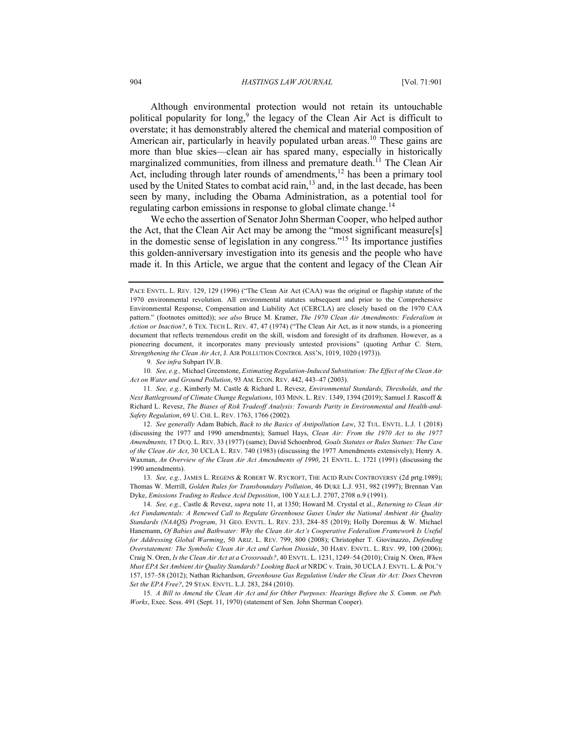Although environmental protection would not retain its untouchable political popularity for long,<sup>9</sup> the legacy of the Clean Air Act is difficult to overstate; it has demonstrably altered the chemical and material composition of American air, particularly in heavily populated urban areas.<sup>10</sup> These gains are more than blue skies—clean air has spared many, especially in historically marginalized communities, from illness and premature death.<sup>11</sup> The Clean Air Act, including through later rounds of amendments, $12$  has been a primary tool used by the United States to combat acid rain, <sup>13</sup> and, in the last decade, has been seen by many, including the Obama Administration, as a potential tool for regulating carbon emissions in response to global climate change.<sup>14</sup>

We echo the assertion of Senator John Sherman Cooper, who helped author the Act, that the Clean Air Act may be among the "most significant measure[s] in the domestic sense of legislation in any congress."<sup>15</sup> Its importance justifies this golden-anniversary investigation into its genesis and the people who have made it. In this Article, we argue that the content and legacy of the Clean Air

9*. See infra* Subpart IV.B.

10*. See, e.g.,* Michael Greenstone, *Estimating Regulation-Induced Substitution: The Effect of the Clean Air Act on Water and Ground Pollution*, 93 AM. ECON. REV. 442, 443–47 (2003).

11*. See, e.g.,* Kimberly M. Castle & Richard L. Revesz, *Environmental Standards, Thresholds, and the Next Battleground of Climate Change Regulations*, 103 MINN. L. REV. 1349, 1394 (2019); Samuel J. Rascoff & Richard L. Revesz, *The Biases of Risk Tradeoff Analysis: Towards Parity in Environmental and Health-and-Safety Regulation*, 69 U. CHI. L. REV. 1763, 1766 (2002).

12. *See generally* Adam Babich, *Back to the Basics of Antipollution Law*, 32 TUL. ENVTL. L.J. 1 (2018) (discussing the 1977 and 1990 amendments); Samuel Hays, *Clean Air: From the 1970 Act to the 1977 Amendments,* 17 DUQ. L. REV. 33 (1977) (same); David Schoenbrod*, Goals Statutes or Rules Statues: The Case of the Clean Air Act*, 30 UCLA L. REV. 740 (1983) (discussing the 1977 Amendments extensively); Henry A. Waxman, *An Overview of the Clean Air Act Amendments of 1990*, 21 ENVTL. L. 1721 (1991) (discussing the 1990 amendments).

13*. See, e.g.,* JAMES L. REGENS & ROBERT W. RYCROFT, THE ACID RAIN CONTROVERSY (2d prtg.1989); Thomas W. Merrill, *Golden Rules for Transboundary Pollution*, 46 DUKE L.J. 931, 982 (1997); Brennan Van Dyke, *Emissions Trading to Reduce Acid Deposition*, 100 YALE L.J. 2707, 2708 n.9 (1991).

14*. See, e.g.,* Castle & Revesz, *supra* note 11, at 1350; Howard M. Crystal et al., *Returning to Clean Air Act Fundamentals: A Renewed Call to Regulate Greenhouse Gases Under the National Ambient Air Quality Standards (NAAQS) Program*, 31 GEO. ENVTL. L. REV. 233, 284–85 (2019); Holly Doremus & W. Michael Hanemann, *Of Babies and Bathwater: Why the Clean Air Act's Cooperative Federalism Framework Is Useful for Addressing Global Warming*, 50 ARIZ. L. REV. 799, 800 (2008); Christopher T. Giovinazzo, *Defending Overstatement: The Symbolic Clean Air Act and Carbon Dioxide*, 30 HARV. ENVTL. L. REV. 99, 100 (2006); Craig N. Oren, *Is the Clean Air Act at a Crossroads?*, 40 ENVTL. L. 1231, 1249–54 (2010); Craig N. Oren, *When Must EPA Set Ambient Air Quality Standards? Looking Back at* NRDC v. Train, 30 UCLA J. ENVTL. L. & POL'Y 157, 157–58 (2012); Nathan Richardson, *Greenhouse Gas Regulation Under the Clean Air Act: Does* Chevron *Set the EPA Free?*, 29 STAN. ENVTL. L.J. 283, 284 (2010).

15*. A Bill to Amend the Clean Air Act and for Other Purposes: Hearings Before the S. Comm. on Pub. Works*, Exec. Sess. 491 (Sept. 11, 1970) (statement of Sen. John Sherman Cooper).

PACE ENVTL. L. REV. 129, 129 (1996) ("The Clean Air Act (CAA) was the original or flagship statute of the 1970 environmental revolution. All environmental statutes subsequent and prior to the Comprehensive Environmental Response, Compensation and Liability Act (CERCLA) are closely based on the 1970 CAA pattern." (footnotes omitted)); *see also* Bruce M. Kramer, *The 1970 Clean Air Amendments: Federalism in Action or Inaction?*, 6 TEX. TECH L. REV. 47, 47 (1974) ("The Clean Air Act, as it now stands, is a pioneering document that reflects tremendous credit on the skill, wisdom and foresight of its draftsmen. However, as a pioneering document, it incorporates many previously untested provisions" (quoting Arthur C. Stern, *Strengthening the Clean Air Act*, J. AIR POLLUTION CONTROL ASS'N, 1019, 1020 (1973)).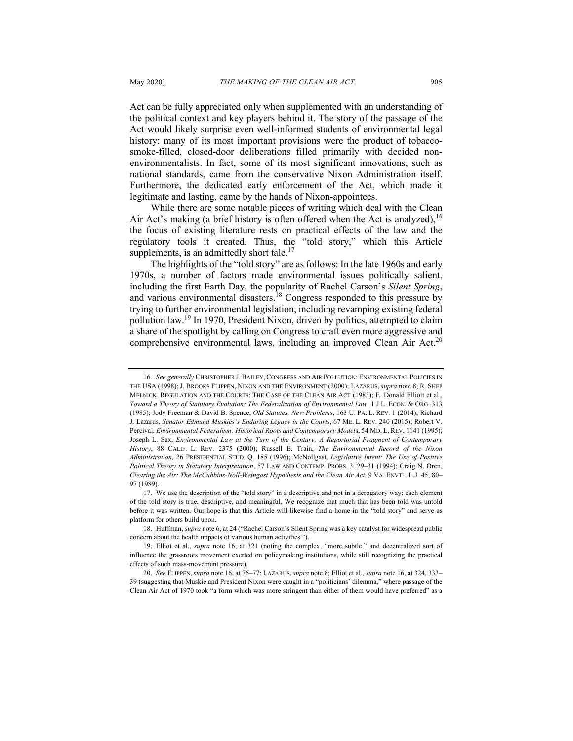Act can be fully appreciated only when supplemented with an understanding of the political context and key players behind it. The story of the passage of the Act would likely surprise even well-informed students of environmental legal history: many of its most important provisions were the product of tobaccosmoke-filled, closed-door deliberations filled primarily with decided nonenvironmentalists. In fact, some of its most significant innovations, such as national standards, came from the conservative Nixon Administration itself. Furthermore, the dedicated early enforcement of the Act, which made it legitimate and lasting, came by the hands of Nixon-appointees.

While there are some notable pieces of writing which deal with the Clean Air Act's making (a brief history is often offered when the Act is analyzed),  $16$ the focus of existing literature rests on practical effects of the law and the regulatory tools it created. Thus, the "told story," which this Article supplements, is an admittedly short tale.<sup>17</sup>

The highlights of the "told story" are as follows: In the late 1960s and early 1970s, a number of factors made environmental issues politically salient, including the first Earth Day, the popularity of Rachel Carson's *Silent Spring*, and various environmental disasters.<sup>18</sup> Congress responded to this pressure by trying to further environmental legislation, including revamping existing federal pollution law.<sup>19</sup> In 1970, President Nixon, driven by politics, attempted to claim a share of the spotlight by calling on Congress to craft even more aggressive and comprehensive environmental laws, including an improved Clean Air Act.<sup>20</sup>

<sup>16</sup>*. See generally* CHRISTOPHER J. BAILEY, CONGRESS AND AIR POLLUTION: ENVIRONMENTAL POLICIES IN THE USA (1998); J. BROOKS FLIPPEN, NIXON AND THE ENVIRONMENT (2000); LAZARUS, *supra* note 8; R. SHEP MELNICK, REGULATION AND THE COURTS: THE CASE OF THE CLEAN AIR ACT (1983); E. Donald Elliott et al., *Toward a Theory of Statutory Evolution: The Federalization of Environmental Law*, 1 J.L. ECON. & ORG. 313 (1985); Jody Freeman & David B. Spence, *Old Statutes, New Problems*, 163 U. PA. L. REV. 1 (2014); Richard J. Lazarus, *Senator Edmund Muskies's Enduring Legacy in the Courts*, 67 ME. L. REV. 240 (2015); Robert V. Percival, *Environmental Federalism: Historical Roots and Contemporary Model*s, 54 MD. L. REV. 1141 (1995); Joseph L. Sax, *Environmental Law at the Turn of the Century: A Reportorial Fragment of Contemporary History*, 88 CALIF. L. REV. 2375 (2000); Russell E. Train, *The Environmental Record of the Nixon Administration,* 26 PRESIDENTIAL STUD. Q. 185 (1996); McNollgast, *Legislative Intent: The Use of Positive Political Theory in Statutory Interpretation*, 57 LAW AND CONTEMP. PROBS. 3, 29–31 (1994); Craig N. Oren, *Clearing the Air: The McCubbins-Noll-Weingast Hypothesis and the Clean Air Act*, 9 VA. ENVTL. L.J. 45, 80– 97 (1989).

<sup>17.</sup> We use the description of the "told story" in a descriptive and not in a derogatory way; each element of the told story is true, descriptive, and meaningful. We recognize that much that has been told was untold before it was written. Our hope is that this Article will likewise find a home in the "told story" and serve as platform for others build upon.

<sup>18.</sup> Huffman, *supra* note 6, at 24 ("Rachel Carson's Silent Spring was a key catalyst for widespread public concern about the health impacts of various human activities.").

<sup>19.</sup> Elliot et al., *supra* note 16, at 321 (noting the complex, "more subtle," and decentralized sort of influence the grassroots movement exerted on policymaking institutions, while still recognizing the practical effects of such mass-movement pressure).

<sup>20.</sup> *See* FLIPPEN,*supra* note 16, at 76–77; LAZARUS,*supra* note 8; Elliot et al., *supra* note 16, at 324, 333– 39 (suggesting that Muskie and President Nixon were caught in a "politicians' dilemma," where passage of the Clean Air Act of 1970 took "a form which was more stringent than either of them would have preferred" as a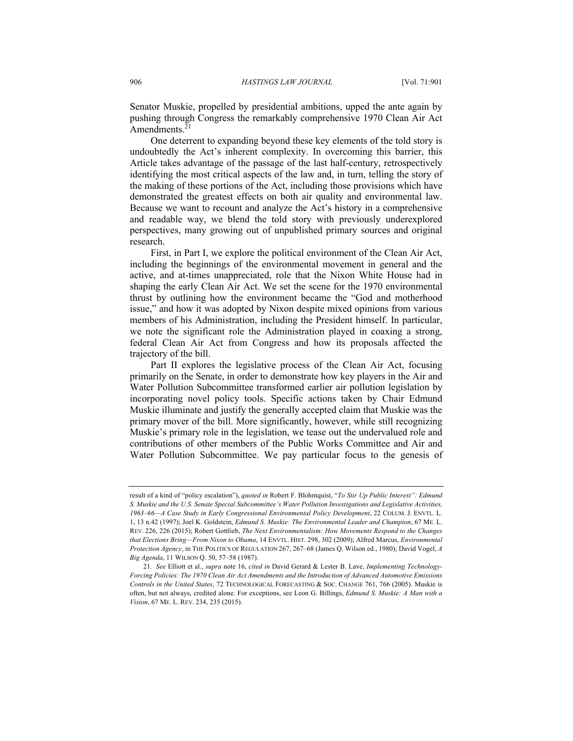Senator Muskie, propelled by presidential ambitions, upped the ante again by pushing through Congress the remarkably comprehensive 1970 Clean Air Act Amendments. $21$ 

One deterrent to expanding beyond these key elements of the told story is undoubtedly the Act's inherent complexity. In overcoming this barrier, this Article takes advantage of the passage of the last half-century, retrospectively identifying the most critical aspects of the law and, in turn, telling the story of the making of these portions of the Act, including those provisions which have demonstrated the greatest effects on both air quality and environmental law. Because we want to recount and analyze the Act's history in a comprehensive and readable way, we blend the told story with previously underexplored perspectives, many growing out of unpublished primary sources and original research.

First, in Part I, we explore the political environment of the Clean Air Act, including the beginnings of the environmental movement in general and the active, and at-times unappreciated, role that the Nixon White House had in shaping the early Clean Air Act. We set the scene for the 1970 environmental thrust by outlining how the environment became the "God and motherhood issue," and how it was adopted by Nixon despite mixed opinions from various members of his Administration, including the President himself. In particular, we note the significant role the Administration played in coaxing a strong, federal Clean Air Act from Congress and how its proposals affected the trajectory of the bill.

Part II explores the legislative process of the Clean Air Act, focusing primarily on the Senate, in order to demonstrate how key players in the Air and Water Pollution Subcommittee transformed earlier air pollution legislation by incorporating novel policy tools. Specific actions taken by Chair Edmund Muskie illuminate and justify the generally accepted claim that Muskie was the primary mover of the bill. More significantly, however, while still recognizing Muskie's primary role in the legislation, we tease out the undervalued role and contributions of other members of the Public Works Committee and Air and Water Pollution Subcommittee. We pay particular focus to the genesis of

result of a kind of "policy escalation"), *quoted in* Robert F. Blohmquist, "*To Stir Up Public Interest": Edmund S. Muskie and the U.S. Senate Special Subcommittee's Water Pollution Investigations and Legislative Activities, 1963–66—A Case Study in Early Congressional Environmental Policy Development*, 22 COLUM. J. ENVTL. L. 1, 13 n.42 (1997); Joel K. Goldstein, *Edmund S. Muskie: The Environmental Leader and Champion*, 67 ME. L. REV. 226, 226 (2015); Robert Gottlieb, *The Next Environmentalism: How Movements Respond to the Changes that Elections Bring—From Nixon to Obama*, 14 ENVTL. HIST. 298, 302 (2009); Alfred Marcus, *Environmental Protection Agency*, in THE POLITICS OF REGULATION 267, 267–68 (James Q. Wilson ed., 1980); David Vogel, *A Big Agenda*, 11 WILSON Q. 50, 57–58 (1987).

<sup>21</sup>*. See* Elliott et al., *supra* note 16, *cited in* David Gerard & Lester B. Lave, *Implementing Technology-Forcing Policies: The 1970 Clean Air Act Amendments and the Introduction of Advanced Automotive Emissions Controls in the United States*, 72 TECHNOLOGICAL FORECASTING & SOC. CHANGE 761, 766 (2005). Muskie is often, but not always, credited alone. For exceptions, see Leon G. Billings, *Edmund S. Muskie: A Man with a Vision*, 67 ME. L. REV. 234, 235 (2015).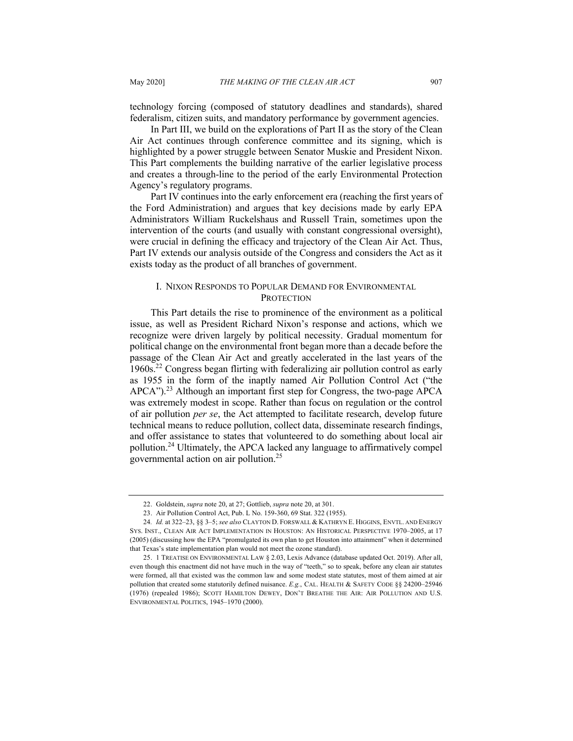technology forcing (composed of statutory deadlines and standards), shared federalism, citizen suits, and mandatory performance by government agencies.

In Part III, we build on the explorations of Part II as the story of the Clean Air Act continues through conference committee and its signing, which is highlighted by a power struggle between Senator Muskie and President Nixon. This Part complements the building narrative of the earlier legislative process and creates a through-line to the period of the early Environmental Protection Agency's regulatory programs.

Part IV continues into the early enforcement era (reaching the first years of the Ford Administration) and argues that key decisions made by early EPA Administrators William Ruckelshaus and Russell Train, sometimes upon the intervention of the courts (and usually with constant congressional oversight), were crucial in defining the efficacy and trajectory of the Clean Air Act. Thus, Part IV extends our analysis outside of the Congress and considers the Act as it exists today as the product of all branches of government.

## I. NIXON RESPONDS TO POPULAR DEMAND FOR ENVIRONMENTAL **PROTECTION**

This Part details the rise to prominence of the environment as a political issue, as well as President Richard Nixon's response and actions, which we recognize were driven largely by political necessity. Gradual momentum for political change on the environmental front began more than a decade before the passage of the Clean Air Act and greatly accelerated in the last years of the 1960s.22 Congress began flirting with federalizing air pollution control as early as 1955 in the form of the inaptly named Air Pollution Control Act ("the APCA"). <sup>23</sup> Although an important first step for Congress, the two-page APCA was extremely modest in scope. Rather than focus on regulation or the control of air pollution *per se*, the Act attempted to facilitate research, develop future technical means to reduce pollution, collect data, disseminate research findings, and offer assistance to states that volunteered to do something about local air pollution.<sup>24</sup> Ultimately, the APCA lacked any language to affirmatively compel governmental action on air pollution.<sup>25</sup>

<sup>22.</sup> Goldstein, *supra* note 20, at 27; Gottlieb, *supra* note 20, at 301.

<sup>23.</sup> Air Pollution Control Act, Pub. L No. 159-360, 69 Stat. 322 (1955).

<sup>24</sup>*. Id.* at 322–23, §§ 3–5; *see also* CLAYTON D. FORSWALL & KATHRYN E. HIGGINS, ENVTL. AND ENERGY SYS. INST., CLEAN AIR ACT IMPLEMENTATION IN HOUSTON: AN HISTORICAL PERSPECTIVE 1970–2005, at 17 (2005) (discussing how the EPA "promulgated its own plan to get Houston into attainment" when it determined that Texas's state implementation plan would not meet the ozone standard).

<sup>25.</sup> 1 TREATISE ON ENVIRONMENTAL LAW § 2.03, Lexis Advance (database updated Oct. 2019). After all, even though this enactment did not have much in the way of "teeth," so to speak, before any clean air statutes were formed, all that existed was the common law and some modest state statutes, most of them aimed at air pollution that created some statutorily defined nuisance. *E.g.*, CAL. HEALTH & SAFETY CODE §§ 24200–25946 (1976) (repealed 1986); SCOTT HAMILTON DEWEY, DON'T BREATHE THE AIR: AIR POLLUTION AND U.S. ENVIRONMENTAL POLITICS, 1945–1970 (2000).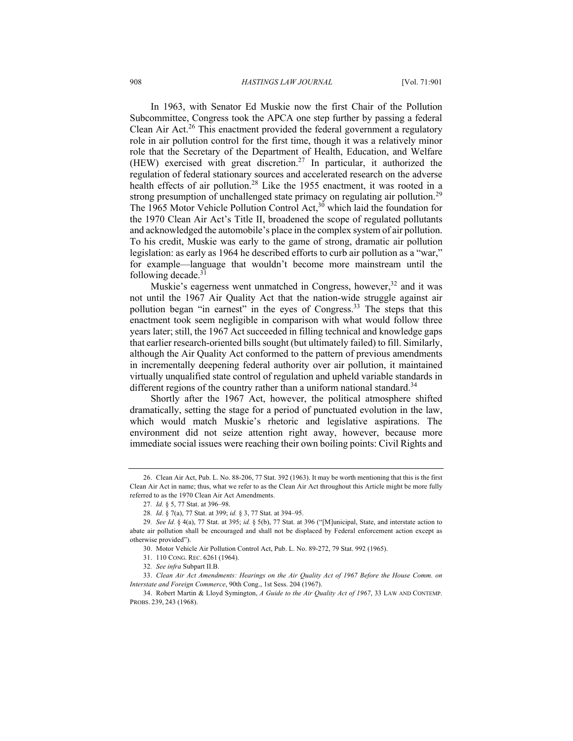In 1963, with Senator Ed Muskie now the first Chair of the Pollution Subcommittee, Congress took the APCA one step further by passing a federal Clean Air Act.<sup>26</sup> This enactment provided the federal government a regulatory role in air pollution control for the first time, though it was a relatively minor role that the Secretary of the Department of Health, Education, and Welfare (HEW) exercised with great discretion.<sup>27</sup> In particular, it authorized the regulation of federal stationary sources and accelerated research on the adverse health effects of air pollution.<sup>28</sup> Like the 1955 enactment, it was rooted in a strong presumption of unchallenged state primacy on regulating air pollution.<sup>29</sup> The 1965 Motor Vehicle Pollution Control Act,<sup>30</sup> which laid the foundation for the 1970 Clean Air Act's Title II, broadened the scope of regulated pollutants and acknowledged the automobile's place in the complex system of air pollution. To his credit, Muskie was early to the game of strong, dramatic air pollution legislation: as early as 1964 he described efforts to curb air pollution as a "war," for example—language that wouldn't become more mainstream until the following decade. $31$ 

Muskie's eagerness went unmatched in Congress, however,  $32$  and it was not until the 1967 Air Quality Act that the nation-wide struggle against air pollution began "in earnest" in the eyes of Congress.<sup>33</sup> The steps that this enactment took seem negligible in comparison with what would follow three years later; still, the 1967 Act succeeded in filling technical and knowledge gaps that earlier research-oriented bills sought (but ultimately failed) to fill. Similarly, although the Air Quality Act conformed to the pattern of previous amendments in incrementally deepening federal authority over air pollution, it maintained virtually unqualified state control of regulation and upheld variable standards in different regions of the country rather than a uniform national standard.<sup>34</sup>

Shortly after the 1967 Act, however, the political atmosphere shifted dramatically, setting the stage for a period of punctuated evolution in the law, which would match Muskie's rhetoric and legislative aspirations. The environment did not seize attention right away, however, because more immediate social issues were reaching their own boiling points: Civil Rights and

<sup>26.</sup> Clean Air Act, Pub. L. No. 88-206, 77 Stat. 392 (1963). It may be worth mentioning that this is the first Clean Air Act in name; thus, what we refer to as the Clean Air Act throughout this Article might be more fully referred to as the 1970 Clean Air Act Amendments.

<sup>27</sup>*. Id.* § 5, 77 Stat. at 396–98.

<sup>28</sup>*. Id*. § 7(a), 77 Stat. at 399; *id.* § 3, 77 Stat. at 394–95.

<sup>29</sup>*. See Id.* § 4(a), 77 Stat. at 395; *id.* § 5(b), 77 Stat. at 396 ("[M]unicipal, State, and interstate action to abate air pollution shall be encouraged and shall not be displaced by Federal enforcement action except as otherwise provided").

<sup>30.</sup> Motor Vehicle Air Pollution Control Act, Pub. L. No. 89-272, 79 Stat. 992 (1965).

<sup>31.</sup> 110 CONG. REC. 6261 (1964).

<sup>32</sup>*. See infra* Subpart II.B.

<sup>33.</sup> *Clean Air Act Amendments: Hearings on the Air Quality Act of 1967 Before the House Comm. on Interstate and Foreign Commerce*, 90th Cong., 1st Sess. 204 (1967).

<sup>34.</sup> Robert Martin & Lloyd Symington, *A Guide to the Air Quality Act of 1967*, 33 LAW AND CONTEMP. PROBS. 239, 243 (1968).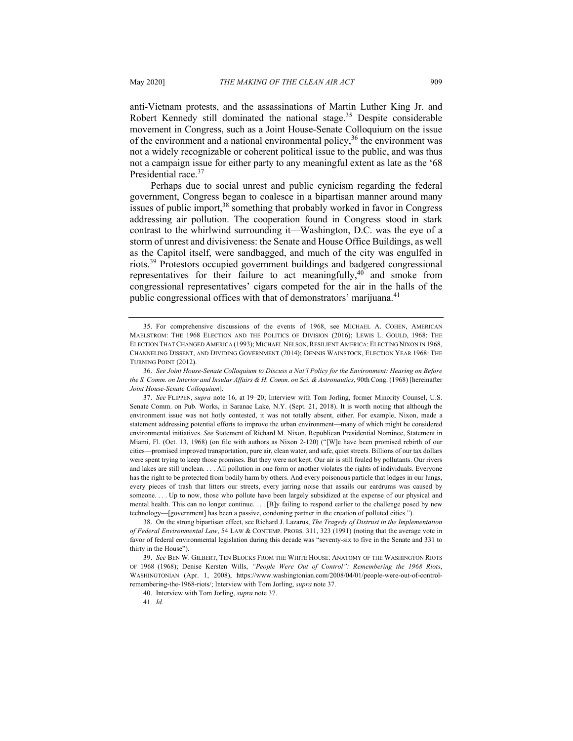anti-Vietnam protests, and the assassinations of Martin Luther King Jr. and Robert Kennedy still dominated the national stage.<sup>35</sup> Despite considerable movement in Congress, such as a Joint House-Senate Colloquium on the issue of the environment and a national environmental policy,  $36$  the environment was not a widely recognizable or coherent political issue to the public, and was thus not a campaign issue for either party to any meaningful extent as late as the '68 Presidential race.<sup>37</sup>

Perhaps due to social unrest and public cynicism regarding the federal government, Congress began to coalesce in a bipartisan manner around many issues of public import,<sup>38</sup> something that probably worked in favor in Congress addressing air pollution. The cooperation found in Congress stood in stark contrast to the whirlwind surrounding it—Washington, D.C. was the eye of a storm of unrest and divisiveness: the Senate and House Office Buildings, as well as the Capitol itself, were sandbagged, and much of the city was engulfed in riots.<sup>39</sup> Protestors occupied government buildings and badgered congressional representatives for their failure to act meaningfully, $40$  and smoke from congressional representatives' cigars competed for the air in the halls of the public congressional offices with that of demonstrators' marijuana.<sup>41</sup>

41*. Id.*

<sup>35.</sup> For comprehensive discussions of the events of 1968, see MICHAEL A. COHEN, AMERICAN MAELSTROM: THE 1968 ELECTION AND THE POLITICS OF DIVISION (2016); LEWIS L. GOULD, 1968: THE ELECTION THAT CHANGED AMERICA (1993); MICHAEL NELSON, RESILIENT AMERICA: ELECTING NIXON IN 1968. CHANNELING DISSENT, AND DIVIDING GOVERNMENT (2014); DENNIS WAINSTOCK, ELECTION YEAR 1968: THE TURNING POINT (2012).

<sup>36.</sup> *See Joint House-Senate Colloquium to Discuss a Nat'l Policy for the Environment: Hearing on Before the S. Comm. on Interior and Insular Affairs & H. Comm. on Sci. & Astronautics*, 90th Cong. (1968) [hereinafter *Joint House-Senate Colloquium*].

<sup>37.</sup> *See* FLIPPEN, *supra* note 16, at 19–20; Interview with Tom Jorling, former Minority Counsel, U.S. Senate Comm. on Pub. Works, in Saranac Lake, N.Y. (Sept. 21, 2018). It is worth noting that although the environment issue was not hotly contested, it was not totally absent, either. For example, Nixon, made a statement addressing potential efforts to improve the urban environment—many of which might be considered environmental initiatives. *See* Statement of Richard M. Nixon, Republican Presidential Nominee, Statement in Miami, Fl. (Oct. 13, 1968) (on file with authors as Nixon 2-120) ("[W]e have been promised rebirth of our cities—promised improved transportation, pure air, clean water, and safe, quiet streets. Billions of our tax dollars were spent trying to keep those promises. But they were not kept. Our air is still fouled by pollutants. Our rivers and lakes are still unclean. . . . All pollution in one form or another violates the rights of individuals. Everyone has the right to be protected from bodily harm by others. And every poisonous particle that lodges in our lungs, every pieces of trash that litters our streets, every jarring noise that assails our eardrums was caused by someone. . . . Up to now, those who pollute have been largely subsidized at the expense of our physical and mental health. This can no longer continue. . . . [B]y failing to respond earlier to the challenge posed by new technology—[government] has been a passive, condoning partner in the creation of polluted cities.").

<sup>38.</sup> On the strong bipartisan effect, see Richard J. Lazarus, *The Tragedy of Distrust in the Implementation of Federal Environmental Law*, 54 LAW & CONTEMP. PROBS. 311, 323 (1991) (noting that the average vote in favor of federal environmental legislation during this decade was "seventy-six to five in the Senate and 331 to thirty in the House").

<sup>39.</sup> *See* BEN W. GILBERT, TEN BLOCKS FROM THE WHITE HOUSE: ANATOMY OF THE WASHINGTON RIOTS OF 1968 (1968); Denise Kersten Wills, *"People Were Out of Control": Remembering the 1968 Riots*, WASHINGTONIAN (Apr. 1, 2008), https://www.washingtonian.com/2008/04/01/people-were-out-of-controlremembering-the-1968-riots/; Interview with Tom Jorling, *supra* note 37.

<sup>40.</sup> Interview with Tom Jorling, *supra* note 37.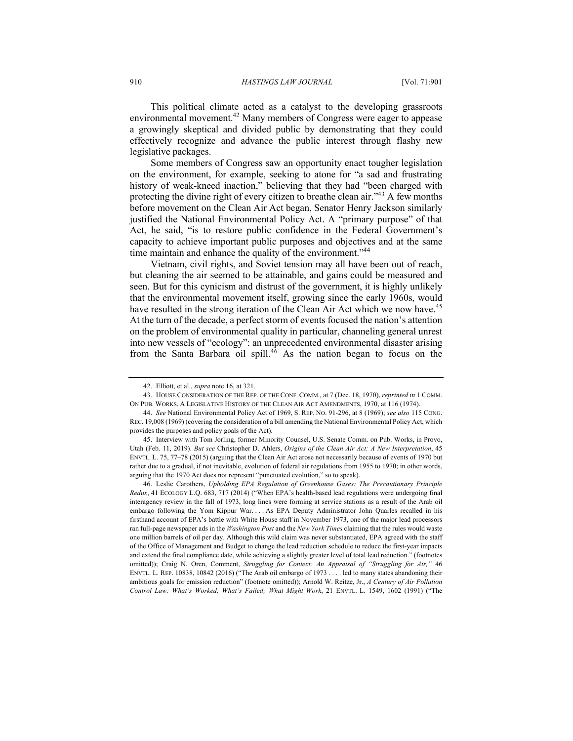This political climate acted as a catalyst to the developing grassroots environmental movement.<sup>42</sup> Many members of Congress were eager to appease a growingly skeptical and divided public by demonstrating that they could effectively recognize and advance the public interest through flashy new legislative packages.

Some members of Congress saw an opportunity enact tougher legislation on the environment, for example, seeking to atone for "a sad and frustrating history of weak-kneed inaction," believing that they had "been charged with protecting the divine right of every citizen to breathe clean air."<sup>43</sup> A few months before movement on the Clean Air Act began, Senator Henry Jackson similarly justified the National Environmental Policy Act. A "primary purpose" of that Act, he said, "is to restore public confidence in the Federal Government's capacity to achieve important public purposes and objectives and at the same time maintain and enhance the quality of the environment."<sup>44</sup>

Vietnam, civil rights, and Soviet tension may all have been out of reach, but cleaning the air seemed to be attainable, and gains could be measured and seen. But for this cynicism and distrust of the government, it is highly unlikely that the environmental movement itself, growing since the early 1960s, would have resulted in the strong iteration of the Clean Air Act which we now have.<sup>45</sup> At the turn of the decade, a perfect storm of events focused the nation's attention on the problem of environmental quality in particular, channeling general unrest into new vessels of "ecology": an unprecedented environmental disaster arising from the Santa Barbara oil spill.<sup>46</sup> As the nation began to focus on the

<sup>42.</sup> Elliott, et al., *supra* note 16, at 321.

<sup>43.</sup> HOUSE CONSIDERATION OF THE REP. OF THE CONF. COMM., at 7 (Dec. 18, 1970), *reprinted in* 1 COMM. ON PUB. WORKS, A LEGISLATIVE HISTORY OF THE CLEAN AIR ACT AMENDMENTS, 1970, at 116 (1974).

<sup>44.</sup> *See* National Environmental Policy Act of 1969, S. REP. NO. 91-296, at 8 (1969); *see also* 115 CONG. REC. 19,008 (1969) (covering the consideration of a bill amending the National Environmental Policy Act, which provides the purposes and policy goals of the Act).

<sup>45.</sup> Interview with Tom Jorling, former Minority Counsel, U.S. Senate Comm. on Pub. Works, in Provo, Utah (Feb. 11, 2019). *But see* Christopher D. Ahlers, *Origins of the Clean Air Act: A New Interpretation*, 45 ENVTL. L. 75, 77–78 (2015) (arguing that the Clean Air Act arose not necessarily because of events of 1970 but rather due to a gradual, if not inevitable, evolution of federal air regulations from 1955 to 1970; in other words, arguing that the 1970 Act does not represent "punctuated evolution," so to speak).

<sup>46.</sup> Leslie Carothers, *Upholding EPA Regulation of Greenhouse Gases: The Precautionary Principle Redux*, 41 ECOLOGY L.Q. 683, 717 (2014) ("When EPA's health-based lead regulations were undergoing final interagency review in the fall of 1973, long lines were forming at service stations as a result of the Arab oil embargo following the Yom Kippur War. . . . As EPA Deputy Administrator John Quarles recalled in his firsthand account of EPA's battle with White House staff in November 1973, one of the major lead processors ran full-page newspaper ads in the *Washington Post* and the *New York Times* claiming that the rules would waste one million barrels of oil per day. Although this wild claim was never substantiated, EPA agreed with the staff of the Office of Management and Budget to change the lead reduction schedule to reduce the first-year impacts and extend the final compliance date, while achieving a slightly greater level of total lead reduction." (footnotes omitted)); Craig N. Oren, Comment, *Struggling for Context: An Appraisal of "Struggling for Air,"* 46 ENVTL. L. REP. 10838, 10842 (2016) ("The Arab oil embargo of 1973 . . . . led to many states abandoning their ambitious goals for emission reduction" (footnote omitted)); Arnold W. Reitze, Jr., *A Century of Air Pollution Control Law: What's Worked; What's Failed; What Might Work*, 21 ENVTL. L. 1549, 1602 (1991) ("The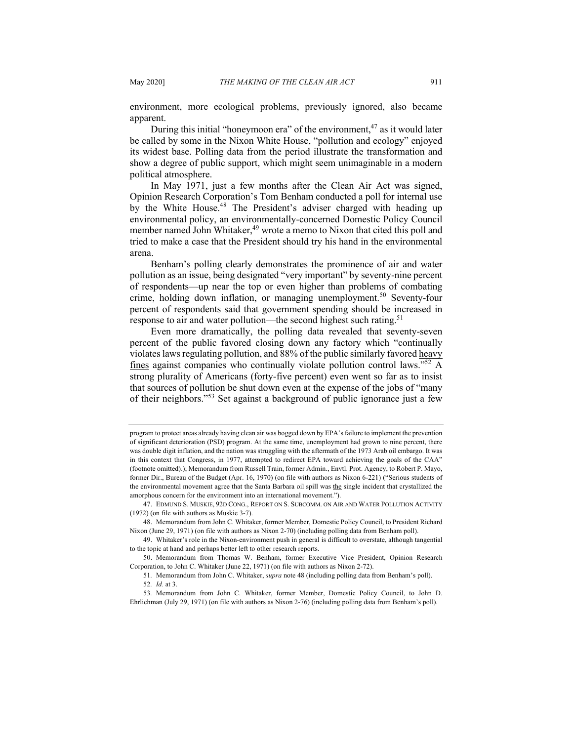environment, more ecological problems, previously ignored, also became apparent.

During this initial "honeymoon era" of the environment, $47$  as it would later be called by some in the Nixon White House, "pollution and ecology" enjoyed its widest base. Polling data from the period illustrate the transformation and show a degree of public support, which might seem unimaginable in a modern political atmosphere.

In May 1971, just a few months after the Clean Air Act was signed, Opinion Research Corporation's Tom Benham conducted a poll for internal use by the White House.<sup>48</sup> The President's adviser charged with heading up environmental policy, an environmentally-concerned Domestic Policy Council member named John Whitaker, $49$  wrote a memo to Nixon that cited this poll and tried to make a case that the President should try his hand in the environmental arena.

Benham's polling clearly demonstrates the prominence of air and water pollution as an issue, being designated "very important" by seventy-nine percent of respondents—up near the top or even higher than problems of combating crime, holding down inflation, or managing unemployment.<sup>50</sup> Seventy-four percent of respondents said that government spending should be increased in response to air and water pollution—the second highest such rating.<sup>51</sup>

Even more dramatically, the polling data revealed that seventy-seven percent of the public favored closing down any factory which "continually violates laws regulating pollution, and 88% of the public similarly favored heavy fines against companies who continually violate pollution control laws."<sup>52</sup> A strong plurality of Americans (forty-five percent) even went so far as to insist that sources of pollution be shut down even at the expense of the jobs of "many of their neighbors."<sup>53</sup> Set against a background of public ignorance just a few

program to protect areas already having clean air was bogged down by EPA's failure to implement the prevention of significant deterioration (PSD) program. At the same time, unemployment had grown to nine percent, there was double digit inflation, and the nation was struggling with the aftermath of the 1973 Arab oil embargo. It was in this context that Congress, in 1977, attempted to redirect EPA toward achieving the goals of the CAA" (footnote omitted).); Memorandum from Russell Train, former Admin., Envtl. Prot. Agency, to Robert P. Mayo, former Dir., Bureau of the Budget (Apr. 16, 1970) (on file with authors as Nixon 6-221) ("Serious students of the environmental movement agree that the Santa Barbara oil spill was the single incident that crystallized the amorphous concern for the environment into an international movement.").

<sup>47.</sup> EDMUND S. MUSKIE, 92D CONG., REPORT ON S. SUBCOMM. ON AIR AND WATER POLLUTION ACTIVITY (1972) (on file with authors as Muskie 3-7).

<sup>48.</sup> Memorandum from John C. Whitaker, former Member, Domestic Policy Council, to President Richard Nixon (June 29, 1971) (on file with authors as Nixon 2-70) (including polling data from Benham poll).

<sup>49.</sup> Whitaker's role in the Nixon-environment push in general is difficult to overstate, although tangential to the topic at hand and perhaps better left to other research reports.

<sup>50.</sup> Memorandum from Thomas W. Benham, former Executive Vice President, Opinion Research Corporation, to John C. Whitaker (June 22, 1971) (on file with authors as Nixon 2-72).

<sup>51</sup>*.* Memorandum from John C. Whitaker, *supra* note 48 (including polling data from Benham's poll). 52*. Id.* at 3.

<sup>53</sup>*.* Memorandum from John C. Whitaker, former Member, Domestic Policy Council, to John D. Ehrlichman (July 29, 1971) (on file with authors as Nixon 2-76) (including polling data from Benham's poll).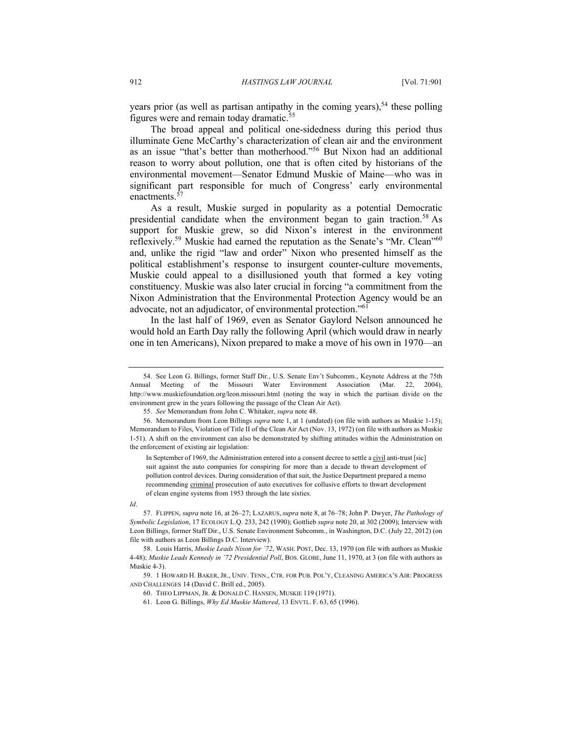years prior (as well as partisan antipathy in the coming years),<sup>54</sup> these polling figures were and remain today dramatic.<sup>55</sup>

The broad appeal and political one-sidedness during this period thus illuminate Gene McCarthy's characterization of clean air and the environment as an issue "that's better than motherhood."<sup>56</sup> But Nixon had an additional reason to worry about pollution, one that is often cited by historians of the environmental movement—Senator Edmund Muskie of Maine—who was in significant part responsible for much of Congress' early environmental enactments.<sup>57</sup>

As a result, Muskie surged in popularity as a potential Democratic presidential candidate when the environment began to gain traction.<sup>58</sup> As support for Muskie grew, so did Nixon's interest in the environment reflexively.<sup>59</sup> Muskie had earned the reputation as the Senate's "Mr. Clean"<sup>60</sup> and, unlike the rigid "law and order" Nixon who presented himself as the political establishment's response to insurgent counter-culture movements, Muskie could appeal to a disillusioned youth that formed a key voting constituency. Muskie was also later crucial in forcing "a commitment from the Nixon Administration that the Environmental Protection Agency would be an advocate, not an adjudicator, of environmental protection."<sup>61</sup>

In the last half of 1969, even as Senator Gaylord Nelson announced he would hold an Earth Day rally the following April (which would draw in nearly one in ten Americans), Nixon prepared to make a move of his own in 1970—an

In September of 1969, the Administration entered into a consent decree to settle a civil anti-trust [sic] suit against the auto companies for conspiring for more than a decade to thwart development of pollution control devices. During consideration of that suit, the Justice Department prepared a memo recommending criminal prosecution of auto executives for collusive efforts to thwart development of clean engine systems from 1953 through the late sixties.

#### *Id*.

<sup>54.</sup> See Leon G. Billings, former Staff Dir., U.S. Senate Env't Subcomm., Keynote Address at the 75th Annual Meeting of the Missouri Water Environment Association (Mar. 22, 2004), http://www.muskiefoundation.org/leon.missouri.html (noting the way in which the partisan divide on the environment grew in the years following the passage of the Clean Air Act).

<sup>55.</sup> *See* Memorandum from John C. Whitaker, *supra* note 48.

<sup>56.</sup> Memorandum from Leon Billings *supra* note 1, at 1 (undated) (on file with authors as Muskie 1-15); Memorandum to Files, Violation of Title II of the Clean Air Act (Nov. 13, 1972) (on file with authors as Muskie 1-51). A shift on the environment can also be demonstrated by shifting attitudes within the Administration on the enforcement of existing air legislation:

<sup>57.</sup> FLIPPEN, *supra* note 16, at 26–27; LAZARUS, *supra* note 8, at 76–78; John P. Dwyer, *The Pathology of Symbolic Legislation*, 17 ECOLOGY L.Q. 233, 242 (1990); Gottlieb *supra* note 20, at 302 (2009); Interview with Leon Billings, former Staff Dir., U.S. Senate Environment Subcomm., in Washington, D.C. (July 22, 2012) (on file with authors as Leon Billings D.C. Interview).

<sup>58.</sup> Louis Harris, *Muskie Leads Nixon for '72*, WASH. POST, Dec. 13, 1970 (on file with authors as Muskie 4-48); *Muskie Leads Kennedy in '72 Presidential Poll*, BOS. GLOBE, June 11, 1970, at 3 (on file with authors as Muskie 4-3).

<sup>59.</sup> 1 HOWARD H. BAKER, JR., UNIV. TENN., CTR. FOR PUB. POL'Y, CLEANING AMERICA'S AIR: PROGRESS AND CHALLENGES 14 (David C. Brill ed., 2005).

<sup>60.</sup> THEO LIPPMAN, JR. & DONALD C. HANSEN, MUSKIE 119 (1971).

<sup>61.</sup> Leon G. Billings, *Why Ed Muskie Mattered*, 13 ENVTL. F. 63, 65 (1996).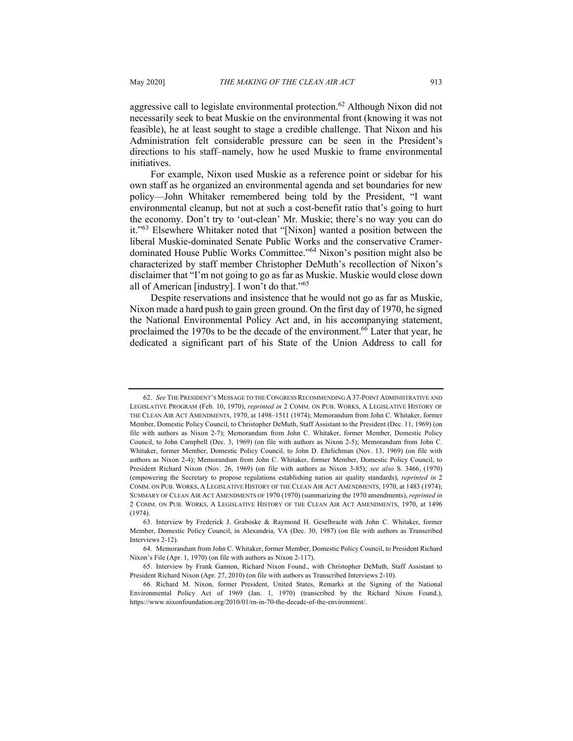aggressive call to legislate environmental protection.<sup>62</sup> Although Nixon did not necessarily seek to beat Muskie on the environmental front (knowing it was not feasible), he at least sought to stage a credible challenge. That Nixon and his Administration felt considerable pressure can be seen in the President's directions to his staff–namely, how he used Muskie to frame environmental initiatives.

For example, Nixon used Muskie as a reference point or sidebar for his own staff as he organized an environmental agenda and set boundaries for new policy—John Whitaker remembered being told by the President, "I want environmental cleanup, but not at such a cost-benefit ratio that's going to hurt the economy. Don't try to 'out-clean' Mr. Muskie; there's no way you can do it."<sup>63</sup> Elsewhere Whitaker noted that "[Nixon] wanted a position between the liberal Muskie-dominated Senate Public Works and the conservative Cramerdominated House Public Works Committee."64 Nixon's position might also be characterized by staff member Christopher DeMuth's recollection of Nixon's disclaimer that "I'm not going to go as far as Muskie. Muskie would close down all of American [industry]. I won't do that."65

Despite reservations and insistence that he would not go as far as Muskie, Nixon made a hard push to gain green ground. On the first day of 1970, he signed the National Environmental Policy Act and, in his accompanying statement, proclaimed the 1970s to be the decade of the environment.<sup>66</sup> Later that year, he dedicated a significant part of his State of the Union Address to call for

<sup>62.</sup> *See* THE PRESIDENT'S MESSAGE TO THE CONGRESS RECOMMENDING A 37-POINT ADMINISTRATIVE AND LEGISLATIVE PROGRAM (Feb. 10, 1970), *reprinted in* 2 COMM. ON PUB. WORKS, A LEGISLATIVE HISTORY OF THE CLEAN AIR ACT AMENDMENTS, 1970, at 1498–1511 (1974); Memorandum from John C. Whitaker, former Member, Domestic Policy Council, to Christopher DeMuth, Staff Assistant to the President (Dec. 11, 1969) (on file with authors as Nixon 2-7); Memorandum from John C. Whitaker, former Member, Domestic Policy Council, to John Campbell (Dec. 3, 1969) (on file with authors as Nixon 2-5); Memorandum from John C. Whitaker, former Member, Domestic Policy Council, to John D. Ehrlichman (Nov. 13, 1969) (on file with authors as Nixon 2-4); Memorandum from John C. Whitaker, former Member, Domestic Policy Council, to President Richard Nixon (Nov. 26, 1969) (on file with authors as Nixon 3-85); *see also* S. 3466, (1970) (empowering the Secretary to propose regulations establishing nation air quality standards), *reprinted in* 2 COMM. ON PUB. WORKS, A LEGISLATIVE HISTORY OF THE CLEAN AIR ACT AMENDMENTS, 1970, at 1483 (1974); SUMMARY OF CLEAN AIR ACT AMENDMENTS OF 1970 (1970) (summarizing the 1970 amendments), *reprinted in* 2 COMM. ON PUB. WORKS, A LEGISLATIVE HISTORY OF THE CLEAN AIR ACT AMENDMENTS, 1970, at 1496  $(1974)$ 

<sup>63.</sup> Interview by Frederick J. Graboske & Raymond H. Geselbracht with John C. Whitaker, former Member, Domestic Policy Council, in Alexandria, VA (Dec. 30, 1987) (on file with authors as Transcribed Interviews 2-12).

<sup>64.</sup> Memorandum from John C. Whitaker, former Member, Domestic Policy Council, to President Richard Nixon's File (Apr. 1, 1970) (on file with authors as Nixon 2-117).

<sup>65.</sup> Interview by Frank Gannon, Richard Nixon Found., with Christopher DeMuth, Staff Assistant to President Richard Nixon (Apr. 27, 2010) (on file with authors as Transcribed Interviews 2-10).

<sup>66.</sup> Richard M. Nixon, former President, United States, Remarks at the Signing of the National Environmental Policy Act of 1969 (Jan. 1, 1970) (transcribed by the Richard Nixon Found.), https://www.nixonfoundation.org/2010/01/rn-in-70-the-decade-of-the-environment/.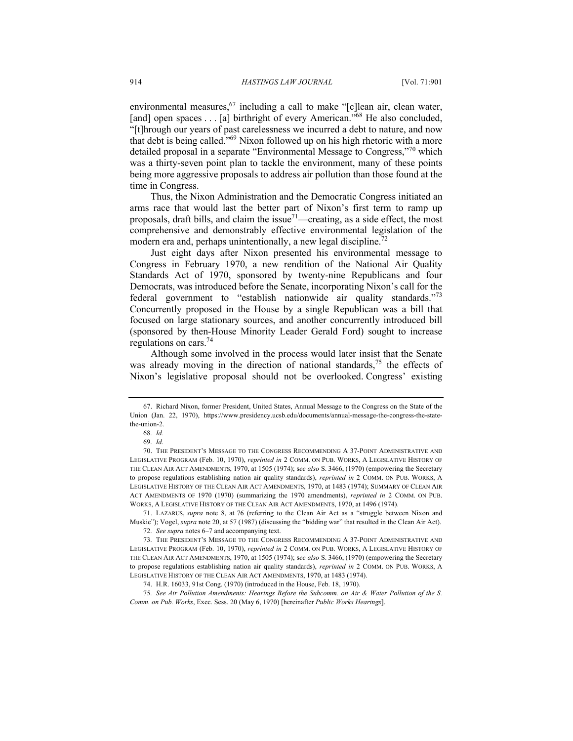environmental measures,  $67$  including a call to make "[c]lean air, clean water, [and] open spaces . . . [a] birthright of every American."<sup>68</sup> He also concluded, "[t]hrough our years of past carelessness we incurred a debt to nature, and now that debt is being called."69 Nixon followed up on his high rhetoric with a more detailed proposal in a separate "Environmental Message to Congress,"<sup>70</sup> which was a thirty-seven point plan to tackle the environment, many of these points being more aggressive proposals to address air pollution than those found at the time in Congress.

Thus, the Nixon Administration and the Democratic Congress initiated an arms race that would last the better part of Nixon's first term to ramp up proposals, draft bills, and claim the issue<sup>71</sup>—creating, as a side effect, the most comprehensive and demonstrably effective environmental legislation of the modern era and, perhaps unintentionally, a new legal discipline.<sup>72</sup>

Just eight days after Nixon presented his environmental message to Congress in February 1970, a new rendition of the National Air Quality Standards Act of 1970, sponsored by twenty-nine Republicans and four Democrats, was introduced before the Senate, incorporating Nixon's call for the federal government to "establish nationwide air quality standards."<sup>73</sup> Concurrently proposed in the House by a single Republican was a bill that focused on large stationary sources, and another concurrently introduced bill (sponsored by then-House Minority Leader Gerald Ford) sought to increase regulations on cars.74

Although some involved in the process would later insist that the Senate was already moving in the direction of national standards,  $75$  the effects of Nixon's legislative proposal should not be overlooked. Congress' existing

71. LAZARUS, *supra* note 8, at 76 (referring to the Clean Air Act as a "struggle between Nixon and Muskie"); Vogel, *supra* note 20, at 57 (1987) (discussing the "bidding war" that resulted in the Clean Air Act).

75*. See Air Pollution Amendments: Hearings Before the Subcomm. on Air & Water Pollution of the S. Comm. on Pub. Works*, Exec. Sess. 20 (May 6, 1970) [hereinafter *Public Works Hearings*].

<sup>67.</sup> Richard Nixon, former President, United States, Annual Message to the Congress on the State of the Union (Jan. 22, 1970), https://www.presidency.ucsb.edu/documents/annual-message-the-congress-the-statethe-union-2.

<sup>68</sup>*. Id.*

<sup>69</sup>*. Id.*

<sup>70.</sup> THE PRESIDENT'S MESSAGE TO THE CONGRESS RECOMMENDING A 37-POINT ADMINISTRATIVE AND LEGISLATIVE PROGRAM (Feb. 10, 1970), *reprinted in* 2 COMM. ON PUB. WORKS, A LEGISLATIVE HISTORY OF THE CLEAN AIR ACT AMENDMENTS, 1970, at 1505 (1974); s*ee also* S. 3466, (1970) (empowering the Secretary to propose regulations establishing nation air quality standards), *reprinted in* 2 COMM. ON PUB. WORKS, A LEGISLATIVE HISTORY OF THE CLEAN AIR ACT AMENDMENTS, 1970, at 1483 (1974); SUMMARY OF CLEAN AIR ACT AMENDMENTS OF 1970 (1970) (summarizing the 1970 amendments), *reprinted in* 2 COMM. ON PUB. WORKS, A LEGISLATIVE HISTORY OF THE CLEAN AIR ACT AMENDMENTS, 1970, at 1496 (1974).

<sup>72</sup>*. See supra* notes 6–7 and accompanying text.

<sup>73</sup>*.* THE PRESIDENT'S MESSAGE TO THE CONGRESS RECOMMENDING A 37-POINT ADMINISTRATIVE AND LEGISLATIVE PROGRAM (Feb. 10, 1970), *reprinted in* 2 COMM. ON PUB. WORKS, A LEGISLATIVE HISTORY OF THE CLEAN AIR ACT AMENDMENTS, 1970, at 1505 (1974); s*ee also* S. 3466, (1970) (empowering the Secretary to propose regulations establishing nation air quality standards), *reprinted in* 2 COMM. ON PUB. WORKS, A LEGISLATIVE HISTORY OF THE CLEAN AIR ACT AMENDMENTS, 1970, at 1483 (1974).

<sup>74.</sup> H.R. 16033, 91st Cong. (1970) (introduced in the House, Feb. 18, 1970).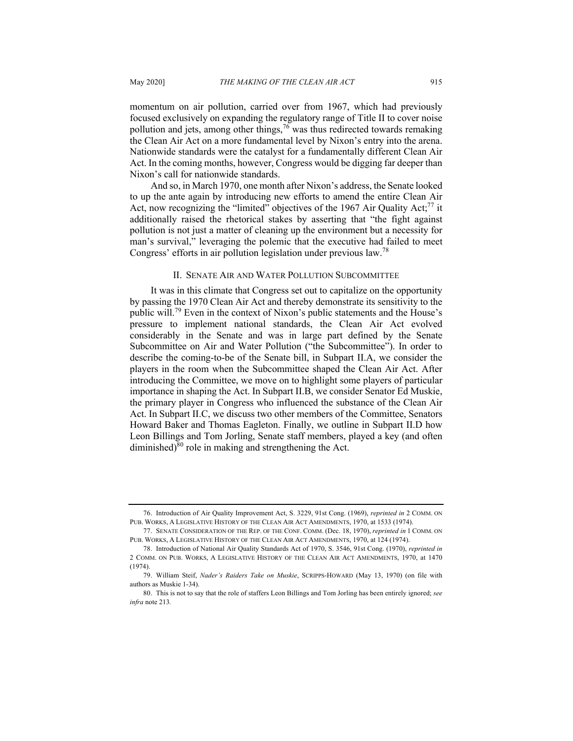momentum on air pollution, carried over from 1967, which had previously focused exclusively on expanding the regulatory range of Title II to cover noise pollution and jets, among other things,  $76$  was thus redirected towards remaking the Clean Air Act on a more fundamental level by Nixon's entry into the arena. Nationwide standards were the catalyst for a fundamentally different Clean Air Act. In the coming months, however, Congress would be digging far deeper than Nixon's call for nationwide standards.

And so, in March 1970, one month after Nixon's address, the Senate looked to up the ante again by introducing new efforts to amend the entire Clean Air Act, now recognizing the "limited" objectives of the 1967 Air Quality Act; $^{77}$  it additionally raised the rhetorical stakes by asserting that "the fight against pollution is not just a matter of cleaning up the environment but a necessity for man's survival," leveraging the polemic that the executive had failed to meet Congress' efforts in air pollution legislation under previous law.<sup>78</sup>

#### II. SENATE AIR AND WATER POLLUTION SUBCOMMITTEE

It was in this climate that Congress set out to capitalize on the opportunity by passing the 1970 Clean Air Act and thereby demonstrate its sensitivity to the public will.<sup>79</sup> Even in the context of Nixon's public statements and the House's pressure to implement national standards, the Clean Air Act evolved considerably in the Senate and was in large part defined by the Senate Subcommittee on Air and Water Pollution ("the Subcommittee"). In order to describe the coming-to-be of the Senate bill, in Subpart II.A, we consider the players in the room when the Subcommittee shaped the Clean Air Act. After introducing the Committee, we move on to highlight some players of particular importance in shaping the Act. In Subpart II.B, we consider Senator Ed Muskie, the primary player in Congress who influenced the substance of the Clean Air Act. In Subpart II.C, we discuss two other members of the Committee, Senators Howard Baker and Thomas Eagleton. Finally, we outline in Subpart II.D how Leon Billings and Tom Jorling, Senate staff members, played a key (and often diminished) $80$  role in making and strengthening the Act.

<sup>76.</sup> Introduction of Air Quality Improvement Act, S. 3229, 91st Cong. (1969), *reprinted in* 2 COMM. ON PUB. WORKS, A LEGISLATIVE HISTORY OF THE CLEAN AIR ACT AMENDMENTS, 1970, at 1533 (1974).

<sup>77.</sup> SENATE CONSIDERATION OF THE REP. OF THE CONF. COMM. (Dec. 18, 1970), *reprinted in* 1 COMM. ON PUB. WORKS, A LEGISLATIVE HISTORY OF THE CLEAN AIR ACT AMENDMENTS, 1970, at 124 (1974).

<sup>78.</sup> Introduction of National Air Quality Standards Act of 1970, S. 3546, 91st Cong. (1970), *reprinted in* 2 COMM. ON PUB. WORKS, A LEGISLATIVE HISTORY OF THE CLEAN AIR ACT AMENDMENTS, 1970, at 1470 (1974).

<sup>79.</sup> William Steif, *Nader's Raiders Take on Muskie*, SCRIPPS-HOWARD (May 13, 1970) (on file with authors as Muskie 1-34).

<sup>80.</sup> This is not to say that the role of staffers Leon Billings and Tom Jorling has been entirely ignored; *see infra* note 213*.*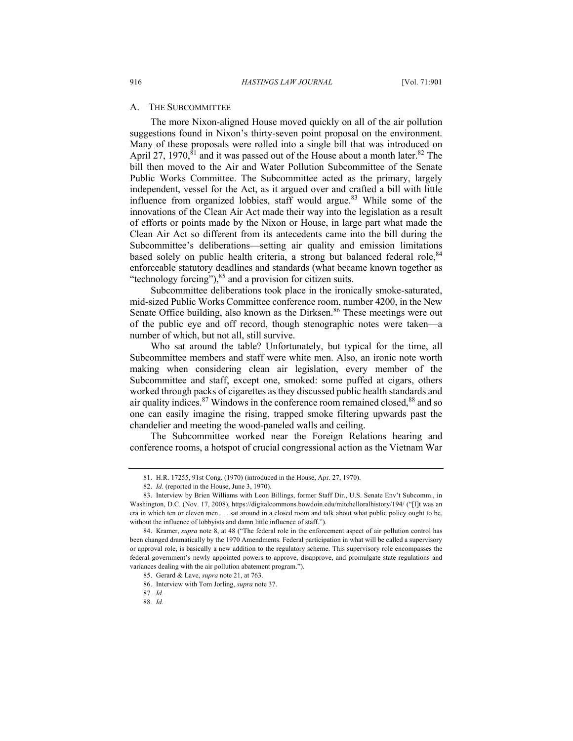#### A. THE SUBCOMMITTEE

The more Nixon-aligned House moved quickly on all of the air pollution suggestions found in Nixon's thirty-seven point proposal on the environment. Many of these proposals were rolled into a single bill that was introduced on April 27, 1970,  $\bar{s}$ <sup>1</sup> and it was passed out of the House about a month later.<sup>82</sup> The bill then moved to the Air and Water Pollution Subcommittee of the Senate Public Works Committee. The Subcommittee acted as the primary, largely independent, vessel for the Act, as it argued over and crafted a bill with little influence from organized lobbies, staff would argue.<sup>83</sup> While some of the innovations of the Clean Air Act made their way into the legislation as a result of efforts or points made by the Nixon or House, in large part what made the Clean Air Act so different from its antecedents came into the bill during the Subcommittee's deliberations—setting air quality and emission limitations based solely on public health criteria, a strong but balanced federal role, <sup>84</sup> enforceable statutory deadlines and standards (what became known together as "technology forcing"),  $85$  and a provision for citizen suits.

Subcommittee deliberations took place in the ironically smoke-saturated, mid-sized Public Works Committee conference room, number 4200, in the New Senate Office building, also known as the Dirksen.<sup>86</sup> These meetings were out of the public eye and off record, though stenographic notes were taken—a number of which, but not all, still survive.

Who sat around the table? Unfortunately, but typical for the time, all Subcommittee members and staff were white men. Also, an ironic note worth making when considering clean air legislation, every member of the Subcommittee and staff, except one, smoked: some puffed at cigars, others worked through packs of cigarettes as they discussed public health standards and air quality indices.<sup>87</sup> Windows in the conference room remained closed,  $88$  and so one can easily imagine the rising, trapped smoke filtering upwards past the chandelier and meeting the wood-paneled walls and ceiling.

The Subcommittee worked near the Foreign Relations hearing and conference rooms, a hotspot of crucial congressional action as the Vietnam War

<sup>81.</sup> H.R. 17255, 91st Cong. (1970) (introduced in the House, Apr. 27, 1970).

<sup>82.</sup> *Id.* (reported in the House, June 3, 1970).

<sup>83.</sup> Interview by Brien Williams with Leon Billings, former Staff Dir., U.S. Senate Env't Subcomm., in Washington, D.C. (Nov. 17, 2008), https://digitalcommons.bowdoin.edu/mitchelloralhistory/194/ ("[I]t was an era in which ten or eleven men . . . sat around in a closed room and talk about what public policy ought to be, without the influence of lobbyists and damn little influence of staff.").

<sup>84.</sup> Kramer, *supra* note 8, at 48 ("The federal role in the enforcement aspect of air pollution control has been changed dramatically by the 1970 Amendments. Federal participation in what will be called a supervisory or approval role, is basically a new addition to the regulatory scheme. This supervisory role encompasses the federal government's newly appointed powers to approve, disapprove, and promulgate state regulations and variances dealing with the air pollution abatement program.").

<sup>85.</sup> Gerard & Lave, *supra* note 21, at 763.

<sup>86.</sup> Interview with Tom Jorling, *supra* note 37.

<sup>87</sup>*. Id.*

<sup>88</sup>*. Id.*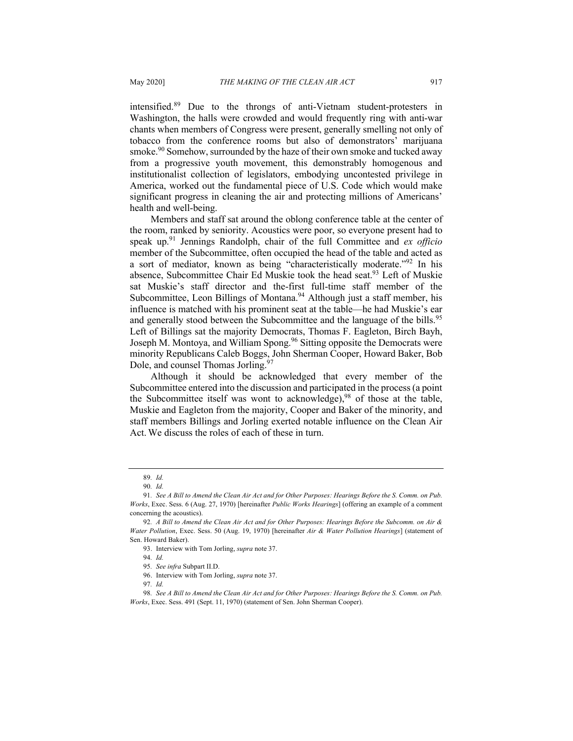intensified.<sup>89</sup> Due to the throngs of anti-Vietnam student-protesters in Washington, the halls were crowded and would frequently ring with anti-war chants when members of Congress were present, generally smelling not only of tobacco from the conference rooms but also of demonstrators' marijuana smoke.<sup>90</sup> Somehow, surrounded by the haze of their own smoke and tucked away from a progressive youth movement, this demonstrably homogenous and institutionalist collection of legislators, embodying uncontested privilege in America, worked out the fundamental piece of U.S. Code which would make significant progress in cleaning the air and protecting millions of Americans' health and well-being.

Members and staff sat around the oblong conference table at the center of the room, ranked by seniority. Acoustics were poor, so everyone present had to speak up.<sup>91</sup> Jennings Randolph, chair of the full Committee and *ex officio*  member of the Subcommittee, often occupied the head of the table and acted as a sort of mediator, known as being "characteristically moderate."<sup>92</sup> In his absence, Subcommittee Chair Ed Muskie took the head seat.<sup>93</sup> Left of Muskie sat Muskie's staff director and the-first full-time staff member of the Subcommittee, Leon Billings of Montana.<sup>94</sup> Although just a staff member, his influence is matched with his prominent seat at the table—he had Muskie's ear and generally stood between the Subcommittee and the language of the bills.<sup>95</sup> Left of Billings sat the majority Democrats, Thomas F. Eagleton, Birch Bayh, Joseph M. Montoya, and William Spong.<sup>96</sup> Sitting opposite the Democrats were minority Republicans Caleb Boggs, John Sherman Cooper, Howard Baker, Bob Dole, and counsel Thomas Jorling.<sup>97</sup>

Although it should be acknowledged that every member of the Subcommittee entered into the discussion and participated in the process (a point the Subcommittee itself was wont to acknowledge),  $98$  of those at the table, Muskie and Eagleton from the majority, Cooper and Baker of the minority, and staff members Billings and Jorling exerted notable influence on the Clean Air Act. We discuss the roles of each of these in turn.

<sup>89</sup>*. Id.*

<sup>90</sup>*. Id.*

<sup>91</sup>*. See A Bill to Amend the Clean Air Act and for Other Purposes: Hearings Before the S. Comm. on Pub. Works*, Exec. Sess. 6 (Aug. 27, 1970) [hereinafter *Public Works Hearings*] (offering an example of a comment concerning the acoustics).

<sup>92</sup>*. A Bill to Amend the Clean Air Act and for Other Purposes: Hearings Before the Subcomm. on Air & Water Pollution*, Exec. Sess. 50 (Aug. 19, 1970) [hereinafter *Air & Water Pollution Hearings*] (statement of Sen. Howard Baker).

<sup>93.</sup> Interview with Tom Jorling, *supra* note 37.

<sup>94</sup>*. Id.*

<sup>95</sup>*. See infra* Subpart II.D.

<sup>96.</sup> Interview with Tom Jorling, *supra* note 37.

<sup>97</sup>*. Id.*

<sup>98</sup>*. See A Bill to Amend the Clean Air Act and for Other Purposes: Hearings Before the S. Comm. on Pub. Works*, Exec. Sess. 491 (Sept. 11, 1970) (statement of Sen. John Sherman Cooper).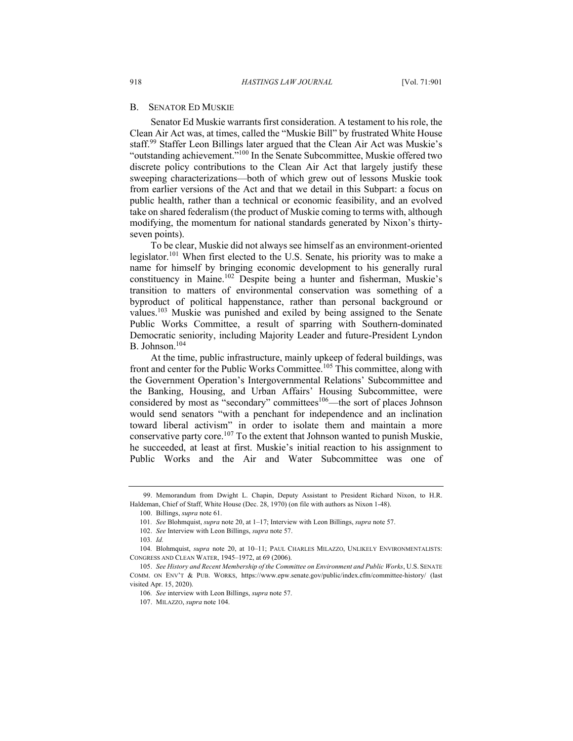#### B. SENATOR ED MUSKIE

Senator Ed Muskie warrants first consideration. A testament to his role, the Clean Air Act was, at times, called the "Muskie Bill" by frustrated White House staff.<sup>99</sup> Staffer Leon Billings later argued that the Clean Air Act was Muskie's "outstanding achievement."<sup>100</sup> In the Senate Subcommittee, Muskie offered two discrete policy contributions to the Clean Air Act that largely justify these sweeping characterizations—both of which grew out of lessons Muskie took from earlier versions of the Act and that we detail in this Subpart: a focus on public health, rather than a technical or economic feasibility, and an evolved take on shared federalism (the product of Muskie coming to terms with, although modifying, the momentum for national standards generated by Nixon's thirtyseven points).

To be clear, Muskie did not always see himself as an environment-oriented legislator.<sup>101</sup> When first elected to the U.S. Senate, his priority was to make a name for himself by bringing economic development to his generally rural constituency in Maine.102 Despite being a hunter and fisherman, Muskie's transition to matters of environmental conservation was something of a byproduct of political happenstance, rather than personal background or values.<sup>103</sup> Muskie was punished and exiled by being assigned to the Senate Public Works Committee, a result of sparring with Southern-dominated Democratic seniority, including Majority Leader and future-President Lyndon B. Johnson.104

At the time, public infrastructure, mainly upkeep of federal buildings, was front and center for the Public Works Committee.<sup>105</sup> This committee, along with the Government Operation's Intergovernmental Relations' Subcommittee and the Banking, Housing, and Urban Affairs' Housing Subcommittee, were considered by most as "secondary" committees<sup>106</sup>—the sort of places Johnson would send senators "with a penchant for independence and an inclination toward liberal activism" in order to isolate them and maintain a more conservative party core.<sup>107</sup> To the extent that Johnson wanted to punish Muskie, he succeeded, at least at first. Muskie's initial reaction to his assignment to Public Works and the Air and Water Subcommittee was one of

<sup>99.</sup> Memorandum from Dwight L. Chapin, Deputy Assistant to President Richard Nixon, to H.R. Haldeman, Chief of Staff, White House (Dec. 28, 1970) (on file with authors as Nixon 1-48).

<sup>100.</sup> Billings, *supra* note 61.

<sup>101</sup>*. See* Blohmquist, *supra* note 20, at 1–17; Interview with Leon Billings, *supra* note 57.

<sup>102.</sup> *See* Interview with Leon Billings, *supra* note 57.

<sup>103</sup>*. Id.*

<sup>104</sup>*.* Blohmquist, *supra* note 20, at 10–11; PAUL CHARLES MILAZZO, UNLIKELY ENVIRONMENTALISTS: CONGRESS AND CLEAN WATER, 1945–1972, at 69 (2006).

<sup>105.</sup> *See History and Recent Membership of the Committee on Environment and Public Works*, U.S. SENATE COMM. ON ENV'T & PUB. WORKS, https://www.epw.senate.gov/public/index.cfm/committee-history/ (last visited Apr. 15, 2020).

<sup>106</sup>*. See* interview with Leon Billings, *supra* note 57.

<sup>107.</sup> MILAZZO, *supra* note 104.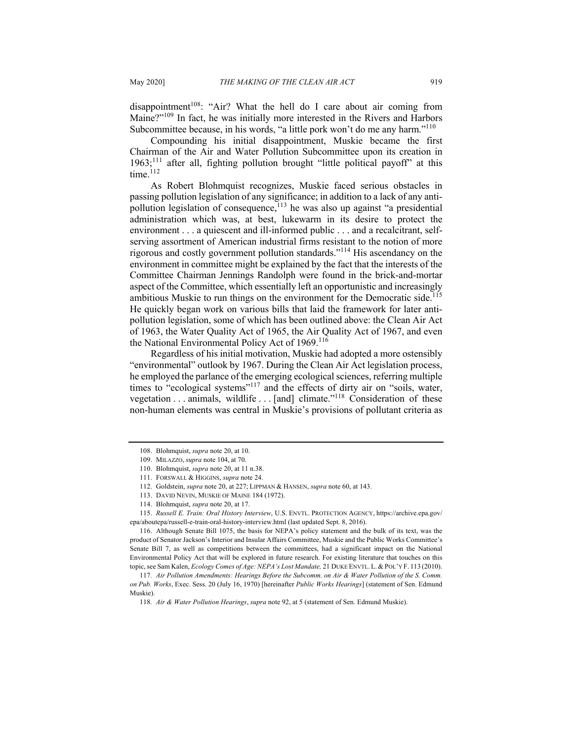disappointment<sup>108</sup>: "Air? What the hell do I care about air coming from Maine?"<sup>109</sup> In fact, he was initially more interested in the Rivers and Harbors Subcommittee because, in his words, "a little pork won't do me any harm."<sup>110</sup>

Compounding his initial disappointment, Muskie became the first Chairman of the Air and Water Pollution Subcommittee upon its creation in  $1963$ ;<sup>111</sup> after all, fighting pollution brought "little political payoff" at this  $time<sup>112</sup>$ 

As Robert Blohmquist recognizes, Muskie faced serious obstacles in passing pollution legislation of any significance; in addition to a lack of any antipollution legislation of consequence,  $113$  he was also up against "a presidential administration which was, at best, lukewarm in its desire to protect the environment . . . a quiescent and ill-informed public . . . and a recalcitrant, selfserving assortment of American industrial firms resistant to the notion of more rigorous and costly government pollution standards."114 His ascendancy on the environment in committee might be explained by the fact that the interests of the Committee Chairman Jennings Randolph were found in the brick-and-mortar aspect of the Committee, which essentially left an opportunistic and increasingly ambitious Muskie to run things on the environment for the Democratic side.<sup>115</sup> He quickly began work on various bills that laid the framework for later antipollution legislation, some of which has been outlined above: the Clean Air Act of 1963, the Water Quality Act of 1965, the Air Quality Act of 1967, and even the National Environmental Policy Act of  $1969$ <sup>116</sup>

Regardless of his initial motivation, Muskie had adopted a more ostensibly "environmental" outlook by 1967. During the Clean Air Act legislation process, he employed the parlance of the emerging ecological sciences, referring multiple times to "ecological systems"<sup>117</sup> and the effects of dirty air on "soils, water, vegetation  $\dots$  animals, wildlife  $\dots$  [and] climate."<sup>118</sup> Consideration of these non-human elements was central in Muskie's provisions of pollutant criteria as

115. *Russell E. Train: Oral History Interview*, U.S. ENVTL. PROTECTION AGENCY, https://archive.epa.gov/ epa/aboutepa/russell-e-train-oral-history-interview.html (last updated Sept. 8, 2016).

<sup>108.</sup> Blohmquist, *supra* note 20, at 10.

<sup>109.</sup> MILAZZO, *supra* note 104, at 70.

<sup>110.</sup> Blohmquist, *supra* note 20, at 11 n.38.

<sup>111.</sup> FORSWALL & HIGGINS, *supra* note 24.

<sup>112.</sup> Goldstein, *supra* note 20, at 227; LIPPMAN & HANSEN, *supra* note 60, at 143.

<sup>113.</sup> DAVID NEVIN, MUSKIE OF MAINE 184 (1972).

<sup>114.</sup> Blohmquist, *supra* note 20, at 17.

<sup>116.</sup> Although Senate Bill 1075, the basis for NEPA's policy statement and the bulk of its text, was the product of Senator Jackson's Interior and Insular Affairs Committee, Muskie and the Public Works Committee's Senate Bill 7, as well as competitions between the committees, had a significant impact on the National Environmental Policy Act that will be explored in future research. For existing literature that touches on this topic, see Sam Kalen, *Ecology Comes of Age: NEPA's Lost Mandate,* 21 DUKE ENVTL. L. & POL'Y F. 113 (2010).

<sup>117</sup>*. Air Pollution Amendments: Hearings Before the Subcomm. on Air & Water Pollution of the S. Comm. on Pub. Works*, Exec. Sess. 20 (July 16, 1970) [hereinafter *Public Works Hearings*] (statement of Sen. Edmund Muskie).

<sup>118</sup>*. Air & Water Pollution Hearings*, *supra* note 92, at 5 (statement of Sen. Edmund Muskie).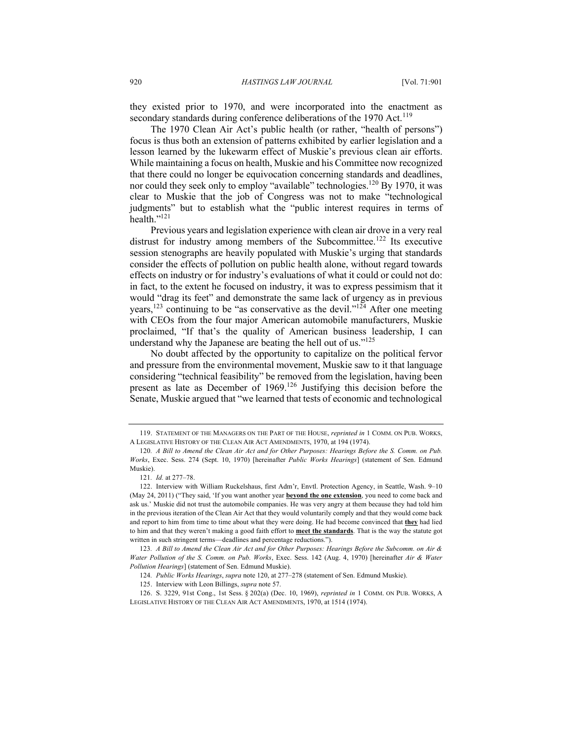they existed prior to 1970, and were incorporated into the enactment as secondary standards during conference deliberations of the 1970 Act.<sup>119</sup>

The 1970 Clean Air Act's public health (or rather, "health of persons") focus is thus both an extension of patterns exhibited by earlier legislation and a lesson learned by the lukewarm effect of Muskie's previous clean air efforts. While maintaining a focus on health, Muskie and his Committee now recognized that there could no longer be equivocation concerning standards and deadlines, nor could they seek only to employ "available" technologies.<sup>120</sup> By 1970, it was clear to Muskie that the job of Congress was not to make "technological judgments" but to establish what the "public interest requires in terms of health."121

Previous years and legislation experience with clean air drove in a very real distrust for industry among members of the Subcommittee.<sup>122</sup> Its executive session stenographs are heavily populated with Muskie's urging that standards consider the effects of pollution on public health alone, without regard towards effects on industry or for industry's evaluations of what it could or could not do: in fact, to the extent he focused on industry, it was to express pessimism that it would "drag its feet" and demonstrate the same lack of urgency as in previous years,<sup>123</sup> continuing to be "as conservative as the devil."<sup>124</sup> After one meeting with CEOs from the four major American automobile manufacturers, Muskie proclaimed, "If that's the quality of American business leadership, I can understand why the Japanese are beating the hell out of us." $125$ 

No doubt affected by the opportunity to capitalize on the political fervor and pressure from the environmental movement, Muskie saw to it that language considering "technical feasibility" be removed from the legislation, having been present as late as December of 1969.<sup>126</sup> Justifying this decision before the Senate, Muskie argued that "we learned that tests of economic and technological

<sup>119.</sup> STATEMENT OF THE MANAGERS ON THE PART OF THE HOUSE, *reprinted in* 1 COMM. ON PUB. WORKS, A LEGISLATIVE HISTORY OF THE CLEAN AIR ACT AMENDMENTS, 1970, at 194 (1974).

<sup>120</sup>*. A Bill to Amend the Clean Air Act and for Other Purposes: Hearings Before the S. Comm. on Pub. Works*, Exec. Sess. 274 (Sept. 10, 1970) [hereinafter *Public Works Hearings*] (statement of Sen. Edmund Muskie).

<sup>121</sup>*. Id.* at 277–78.

<sup>122.</sup> Interview with William Ruckelshaus, first Adm'r, Envtl. Protection Agency, in Seattle, Wash. 9–10 (May 24, 2011) ("They said, 'If you want another year **beyond the one extension**, you need to come back and ask us.' Muskie did not trust the automobile companies. He was very angry at them because they had told him in the previous iteration of the Clean Air Act that they would voluntarily comply and that they would come back and report to him from time to time about what they were doing. He had become convinced that **they** had lied to him and that they weren't making a good faith effort to **meet the standards**. That is the way the statute got written in such stringent terms—deadlines and percentage reductions.").

<sup>123</sup>*. A Bill to Amend the Clean Air Act and for Other Purposes: Hearings Before the Subcomm. on Air & Water Pollution of the S. Comm. on Pub. Works*, Exec. Sess. 142 (Aug. 4, 1970) [hereinafter *Air & Water Pollution Hearings*] (statement of Sen. Edmund Muskie).

<sup>124</sup>*. Public Works Hearings*, *supra* note 120, at 277–278 (statement of Sen. Edmund Muskie).

<sup>125.</sup> Interview with Leon Billings, *supra* note 57.

<sup>126.</sup> S. 3229, 91st Cong., 1st Sess. § 202(a) (Dec. 10, 1969), *reprinted in* 1 COMM. ON PUB. WORKS, A LEGISLATIVE HISTORY OF THE CLEAN AIR ACT AMENDMENTS, 1970, at 1514 (1974).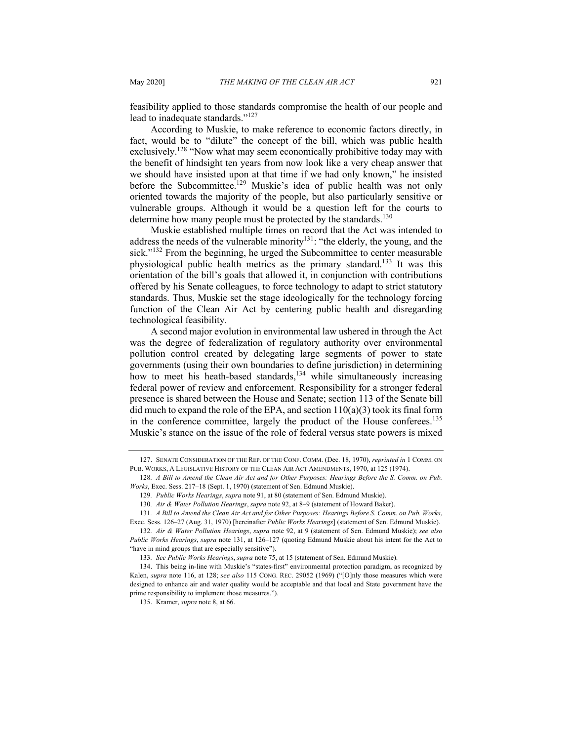feasibility applied to those standards compromise the health of our people and lead to inadequate standards."<sup>127</sup>

According to Muskie, to make reference to economic factors directly, in fact, would be to "dilute" the concept of the bill, which was public health exclusively.<sup>128</sup> "Now what may seem economically prohibitive today may with the benefit of hindsight ten years from now look like a very cheap answer that we should have insisted upon at that time if we had only known," he insisted before the Subcommittee.<sup>129</sup> Muskie's idea of public health was not only oriented towards the majority of the people, but also particularly sensitive or vulnerable groups. Although it would be a question left for the courts to determine how many people must be protected by the standards.<sup>130</sup>

Muskie established multiple times on record that the Act was intended to address the needs of the vulnerable minority<sup>131</sup>: "the elderly, the young, and the sick."<sup>132</sup> From the beginning, he urged the Subcommittee to center measurable physiological public health metrics as the primary standard.<sup>133</sup> It was this orientation of the bill's goals that allowed it, in conjunction with contributions offered by his Senate colleagues, to force technology to adapt to strict statutory standards. Thus, Muskie set the stage ideologically for the technology forcing function of the Clean Air Act by centering public health and disregarding technological feasibility.

A second major evolution in environmental law ushered in through the Act was the degree of federalization of regulatory authority over environmental pollution control created by delegating large segments of power to state governments (using their own boundaries to define jurisdiction) in determining how to meet his heath-based standards,  $134$  while simultaneously increasing federal power of review and enforcement. Responsibility for a stronger federal presence is shared between the House and Senate; section 113 of the Senate bill did much to expand the role of the EPA, and section  $110(a)(3)$  took its final form in the conference committee, largely the product of the House conferees.<sup>135</sup> Muskie's stance on the issue of the role of federal versus state powers is mixed

<sup>127.</sup> SENATE CONSIDERATION OF THE REP. OF THE CONF. COMM. (Dec. 18, 1970), *reprinted in* 1 COMM. ON PUB. WORKS, A LEGISLATIVE HISTORY OF THE CLEAN AIR ACT AMENDMENTS, 1970, at 125 (1974).

<sup>128</sup>*. A Bill to Amend the Clean Air Act and for Other Purposes: Hearings Before the S. Comm. on Pub. Works*, Exec. Sess. 217–18 (Sept. 1, 1970) (statement of Sen. Edmund Muskie).

<sup>129</sup>*. Public Works Hearings*, *supra* note 91, at 80 (statement of Sen. Edmund Muskie).

<sup>130</sup>*. Air & Water Pollution Hearings*, *supra* note 92, at 8–9 (statement of Howard Baker).

<sup>131</sup>*. A Bill to Amend the Clean Air Act and for Other Purposes: Hearings Before S. Comm. on Pub. Works*, Exec. Sess. 126–27 (Aug. 31, 1970) [hereinafter *Public Works Hearings*] (statement of Sen. Edmund Muskie).

<sup>132</sup>*. Air & Water Pollution Hearings*, *supra* note 92, at 9 (statement of Sen. Edmund Muskie); *see also Public Works Hearings*, *supra* note 131, at 126–127 (quoting Edmund Muskie about his intent for the Act to "have in mind groups that are especially sensitive").

<sup>133</sup>*. See Public Works Hearings*, *supra* note 75, at 15 (statement of Sen. Edmund Muskie).

<sup>134.</sup> This being in-line with Muskie's "states-first" environmental protection paradigm, as recognized by Kalen, *supra* note 116, at 128; *see also* 115 CONG. REC. 29052 (1969) ("[O]nly those measures which were designed to enhance air and water quality would be acceptable and that local and State government have the prime responsibility to implement those measures.").

<sup>135.</sup> Kramer, *supra* note 8, at 66.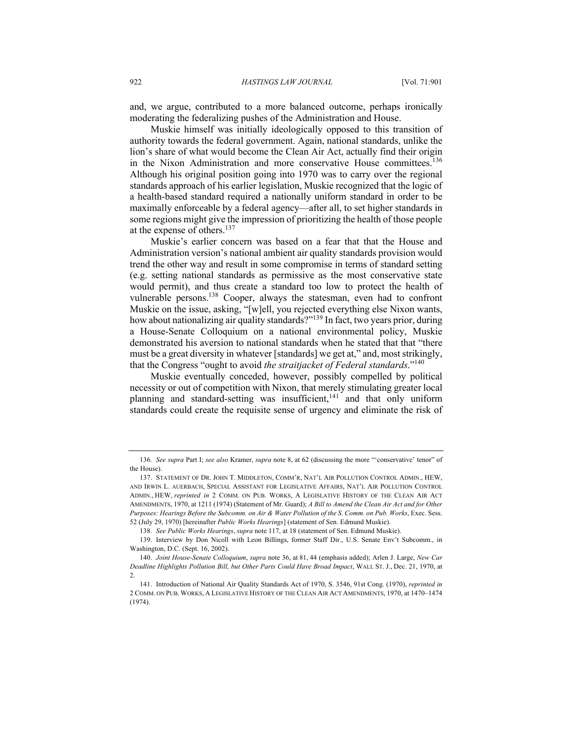and, we argue, contributed to a more balanced outcome, perhaps ironically moderating the federalizing pushes of the Administration and House.

Muskie himself was initially ideologically opposed to this transition of authority towards the federal government. Again, national standards, unlike the lion's share of what would become the Clean Air Act, actually find their origin in the Nixon Administration and more conservative House committees.<sup>136</sup> Although his original position going into 1970 was to carry over the regional standards approach of his earlier legislation, Muskie recognized that the logic of a health-based standard required a nationally uniform standard in order to be maximally enforceable by a federal agency—after all, to set higher standards in some regions might give the impression of prioritizing the health of those people at the expense of others.<sup>137</sup>

Muskie's earlier concern was based on a fear that that the House and Administration version's national ambient air quality standards provision would trend the other way and result in some compromise in terms of standard setting (e.g. setting national standards as permissive as the most conservative state would permit), and thus create a standard too low to protect the health of vulnerable persons.<sup>138</sup> Cooper, always the statesman, even had to confront Muskie on the issue, asking, "[w]ell, you rejected everything else Nixon wants, how about nationalizing air quality standards?"<sup>139</sup> In fact, two years prior, during a House-Senate Colloquium on a national environmental policy, Muskie demonstrated his aversion to national standards when he stated that that "there must be a great diversity in whatever [standards] we get at," and, most strikingly, that the Congress "ought to avoid *the straitjacket of Federal standards*."140

Muskie eventually conceded, however, possibly compelled by political necessity or out of competition with Nixon, that merely stimulating greater local planning and standard-setting was insufficient,  $141$  and that only uniform standards could create the requisite sense of urgency and eliminate the risk of

<sup>136</sup>*. See supra* Part I; *see also* Kramer, *supra* note 8, at 62 (discussing the more "'conservative' tenor" of the House).

<sup>137.</sup> STATEMENT OF DR. JOHN T. MIDDLETON, COMM'R, NAT'L AIR POLLUTION CONTROL ADMIN., HEW AND IRWIN L. AUERBACH, SPECIAL ASSISTANT FOR LEGISLATIVE AFFAIRS, NAT'L AIR POLLUTION CONTROL ADMIN., HEW, *reprinted in* 2 COMM. ON PUB. WORKS, A LEGISLATIVE HISTORY OF THE CLEAN AIR ACT AMENDMENTS, 1970, at 1211 (1974) (Statement of Mr. Guard); *A Bill to Amend the Clean Air Act and for Other Purposes: Hearings Before the Subcomm. on Air & Water Pollution of the S. Comm. on Pub. Works*, Exec. Sess. 52 (July 29, 1970) [hereinafter *Public Works Hearings*] (statement of Sen. Edmund Muskie).

<sup>138</sup>*. See Public Works Hearings*, *supra* note 117, at 18 (statement of Sen. Edmund Muskie).

<sup>139.</sup> Interview by Don Nicoll with Leon Billings, former Staff Dir., U.S. Senate Env't Subcomm., in Washington, D.C. (Sept. 16, 2002).

<sup>140.</sup> *Joint House-Senate Colloquium*, *supra* note 36, at 81, 44 (emphasis added); Arlen J. Large, *New Car Deadline Highlights Pollution Bill, but Other Parts Could Have Broad Impact*, WALL ST. J., Dec. 21, 1970, at 2.

<sup>141.</sup> Introduction of National Air Quality Standards Act of 1970, S. 3546, 91st Cong. (1970), *reprinted in* 2 COMM. ON PUB. WORKS, A LEGISLATIVE HISTORY OF THE CLEAN AIR ACT AMENDMENTS, 1970, at 1470–1474 (1974).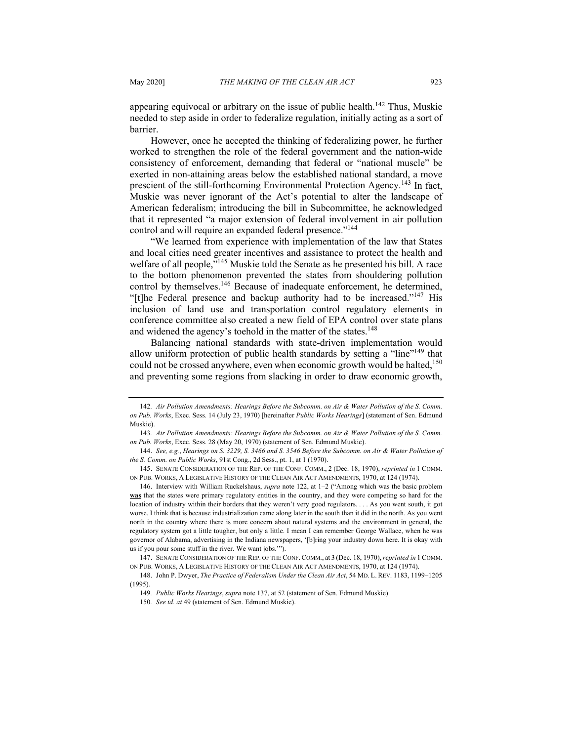appearing equivocal or arbitrary on the issue of public health.<sup>142</sup> Thus, Muskie needed to step aside in order to federalize regulation, initially acting as a sort of barrier.

However, once he accepted the thinking of federalizing power, he further worked to strengthen the role of the federal government and the nation-wide consistency of enforcement, demanding that federal or "national muscle" be exerted in non-attaining areas below the established national standard, a move prescient of the still-forthcoming Environmental Protection Agency.<sup>143</sup> In fact, Muskie was never ignorant of the Act's potential to alter the landscape of American federalism; introducing the bill in Subcommittee, he acknowledged that it represented "a major extension of federal involvement in air pollution control and will require an expanded federal presence."<sup>144</sup>

"We learned from experience with implementation of the law that States and local cities need greater incentives and assistance to protect the health and welfare of all people,<sup>"145</sup> Muskie told the Senate as he presented his bill. A race to the bottom phenomenon prevented the states from shouldering pollution control by themselves.<sup>146</sup> Because of inadequate enforcement, he determined, "[t]he Federal presence and backup authority had to be increased."<sup>147</sup> His inclusion of land use and transportation control regulatory elements in conference committee also created a new field of EPA control over state plans and widened the agency's toehold in the matter of the states.<sup>148</sup>

Balancing national standards with state-driven implementation would allow uniform protection of public health standards by setting a "line"<sup>149</sup> that could not be crossed anywhere, even when economic growth would be halted,  $150$ and preventing some regions from slacking in order to draw economic growth,

<sup>142</sup>*. Air Pollution Amendments: Hearings Before the Subcomm. on Air & Water Pollution of the S. Comm. on Pub. Works*, Exec. Sess. 14 (July 23, 1970) [hereinafter *Public Works Hearings*] (statement of Sen. Edmund Muskie).

<sup>143</sup>*. Air Pollution Amendments: Hearings Before the Subcomm. on Air & Water Pollution of the S. Comm. on Pub. Works*, Exec. Sess. 28 (May 20, 1970) (statement of Sen. Edmund Muskie).

<sup>144.</sup> *See, e.g.*, *Hearings on S. 3229, S. 3466 and S. 3546 Before the Subcomm. on Air & Water Pollution of the S. Comm. on Public Works*, 91st Cong., 2d Sess., pt. 1, at 1 (1970).

<sup>145.</sup> SENATE CONSIDERATION OF THE REP. OF THE CONF. COMM., 2 (Dec. 18, 1970), *reprinted in* 1 COMM. ON PUB. WORKS, A LEGISLATIVE HISTORY OF THE CLEAN AIR ACT AMENDMENTS, 1970, at 124 (1974).

<sup>146.</sup> Interview with William Ruckelshaus, *supra* note 122, at 1–2 ("Among which was the basic problem **was** that the states were primary regulatory entities in the country, and they were competing so hard for the location of industry within their borders that they weren't very good regulators. . . . As you went south, it got worse. I think that is because industrialization came along later in the south than it did in the north. As you went north in the country where there is more concern about natural systems and the environment in general, the regulatory system got a little tougher, but only a little. I mean I can remember George Wallace, when he was governor of Alabama, advertising in the Indiana newspapers, '[b]ring your industry down here. It is okay with us if you pour some stuff in the river. We want jobs.'").

<sup>147.</sup> SENATE CONSIDERATION OF THE REP. OF THE CONF. COMM., at 3 (Dec. 18, 1970),*reprinted in* 1 COMM. ON PUB. WORKS, A LEGISLATIVE HISTORY OF THE CLEAN AIR ACT AMENDMENTS, 1970, at 124 (1974).

<sup>148.</sup> John P. Dwyer, *The Practice of Federalism Under the Clean Air Act*, 54 MD. L. REV. 1183, 1199–1205 (1995).

<sup>149</sup>*. Public Works Hearings*, *supra* note 137, at 52 (statement of Sen. Edmund Muskie).

<sup>150</sup>*. See id. at* 49 (statement of Sen. Edmund Muskie).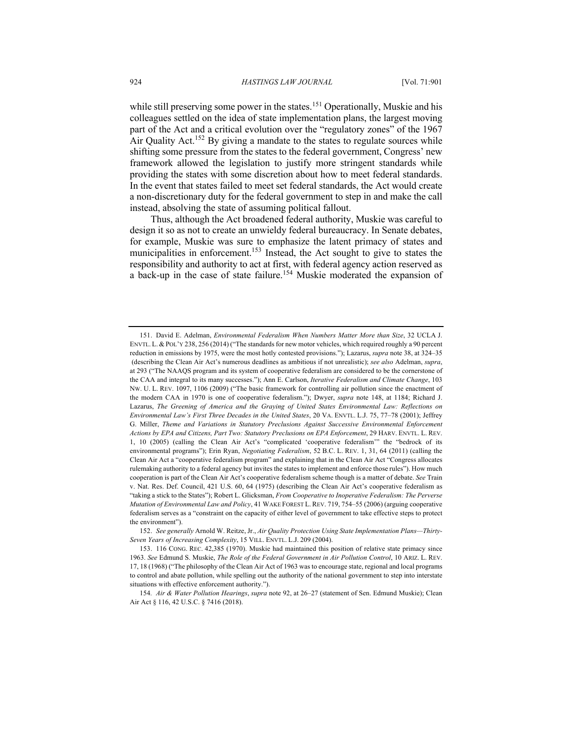while still preserving some power in the states.<sup>151</sup> Operationally, Muskie and his colleagues settled on the idea of state implementation plans, the largest moving part of the Act and a critical evolution over the "regulatory zones" of the 1967 Air Quality Act.<sup>152</sup> By giving a mandate to the states to regulate sources while shifting some pressure from the states to the federal government, Congress' new framework allowed the legislation to justify more stringent standards while providing the states with some discretion about how to meet federal standards. In the event that states failed to meet set federal standards, the Act would create a non-discretionary duty for the federal government to step in and make the call instead, absolving the state of assuming political fallout.

Thus, although the Act broadened federal authority, Muskie was careful to design it so as not to create an unwieldy federal bureaucracy. In Senate debates, for example, Muskie was sure to emphasize the latent primacy of states and municipalities in enforcement.<sup>153</sup> Instead, the Act sought to give to states the responsibility and authority to act at first, with federal agency action reserved as a back-up in the case of state failure.<sup>154</sup> Muskie moderated the expansion of

<sup>151.</sup> David E. Adelman, *Environmental Federalism When Numbers Matter More than Size*, 32 UCLA J. ENVTL. L. & POL'Y 238, 256 (2014) ("The standards for new motor vehicles, which required roughly a 90 percent reduction in emissions by 1975, were the most hotly contested provisions."); Lazarus, *supra* note 38, at 324–35 (describing the Clean Air Act's numerous deadlines as ambitious if not unrealistic); *see also* Adelman, *supra*, at 293 ("The NAAQS program and its system of cooperative federalism are considered to be the cornerstone of the CAA and integral to its many successes."); Ann E. Carlson, *Iterative Federalism and Climate Change*, 103 NW. U. L. REV. 1097, 1106 (2009) ("The basic framework for controlling air pollution since the enactment of the modern CAA in 1970 is one of cooperative federalism."); Dwyer, *supra* note 148, at 1184; Richard J. Lazarus, *The Greening of America and the Graying of United States Environmental Law: Reflections on Environmental Law's First Three Decades in the United States*, 20 VA. ENVTL. L.J. 75, 77–78 (2001); Jeffrey G. Miller, *Theme and Variations in Statutory Preclusions Against Successive Environmental Enforcement Actions by EPA and Citizens, Part Two: Statutory Preclusions on EPA Enforcement*, 29 HARV. ENVTL. L. REV. 1, 10 (2005) (calling the Clean Air Act's "complicated 'cooperative federalism'" the "bedrock of its environmental programs"); Erin Ryan, *Negotiating Federalism*, 52 B.C. L. REV. 1, 31, 64 (2011) (calling the Clean Air Act a "cooperative federalism program" and explaining that in the Clean Air Act "Congress allocates rulemaking authority to a federal agency but invites the states to implement and enforce those rules"). How much cooperation is part of the Clean Air Act's cooperative federalism scheme though is a matter of debate. *See* Train v. Nat. Res. Def. Council, 421 U.S. 60, 64 (1975) (describing the Clean Air Act's cooperative federalism as "taking a stick to the States"); Robert L. Glicksman, *From Cooperative to Inoperative Federalism: The Perverse Mutation of Environmental Law and Policy*, 41 WAKE FOREST L. REV. 719, 754–55 (2006) (arguing cooperative federalism serves as a "constraint on the capacity of either level of government to take effective steps to protect the environment").

<sup>152.</sup> *See generally* Arnold W. Reitze, Jr., *Air Quality Protection Using State Implementation Plans—Thirty-Seven Years of Increasing Complexity*, 15 VILL. ENVTL. L.J. 209 (2004).

<sup>153.</sup> 116 CONG. REC. 42,385 (1970). Muskie had maintained this position of relative state primacy since 1963. *See* Edmund S. Muskie, *The Role of the Federal Government in Air Pollution Control*, 10 ARIZ. L. REV. 17, 18 (1968) ("The philosophy of the Clean Air Act of 1963 was to encourage state, regional and local programs to control and abate pollution, while spelling out the authority of the national government to step into interstate situations with effective enforcement authority.").

<sup>154</sup>*. Air & Water Pollution Hearings*, *supra* note 92, at 26–27 (statement of Sen. Edmund Muskie); Clean Air Act § 116, 42 U.S.C. § 7416 (2018).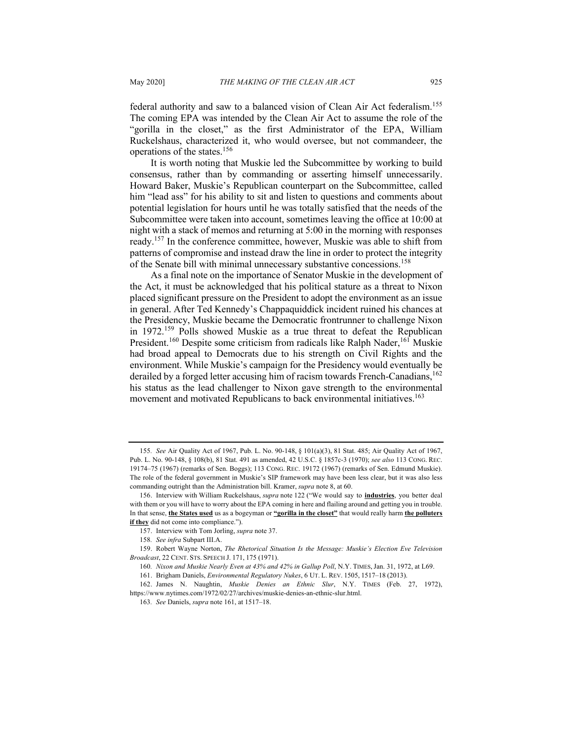federal authority and saw to a balanced vision of Clean Air Act federalism.<sup>155</sup> The coming EPA was intended by the Clean Air Act to assume the role of the "gorilla in the closet," as the first Administrator of the EPA, William Ruckelshaus, characterized it, who would oversee, but not commandeer, the operations of the states.156

It is worth noting that Muskie led the Subcommittee by working to build consensus, rather than by commanding or asserting himself unnecessarily. Howard Baker, Muskie's Republican counterpart on the Subcommittee, called him "lead ass" for his ability to sit and listen to questions and comments about potential legislation for hours until he was totally satisfied that the needs of the Subcommittee were taken into account, sometimes leaving the office at 10:00 at night with a stack of memos and returning at 5:00 in the morning with responses ready.157 In the conference committee, however, Muskie was able to shift from patterns of compromise and instead draw the line in order to protect the integrity of the Senate bill with minimal unnecessary substantive concessions.<sup>158</sup>

As a final note on the importance of Senator Muskie in the development of the Act, it must be acknowledged that his political stature as a threat to Nixon placed significant pressure on the President to adopt the environment as an issue in general. After Ted Kennedy's Chappaquiddick incident ruined his chances at the Presidency, Muskie became the Democratic frontrunner to challenge Nixon in 1972.<sup>159</sup> Polls showed Muskie as a true threat to defeat the Republican President.<sup>160</sup> Despite some criticism from radicals like Ralph Nader,<sup>161</sup> Muskie had broad appeal to Democrats due to his strength on Civil Rights and the environment. While Muskie's campaign for the Presidency would eventually be derailed by a forged letter accusing him of racism towards French-Canadians,  $^{162}$ his status as the lead challenger to Nixon gave strength to the environmental movement and motivated Republicans to back environmental initiatives.<sup>163</sup>

<sup>155</sup>*. See* Air Quality Act of 1967, Pub. L. No. 90-148, § 101(a)(3), 81 Stat. 485; Air Quality Act of 1967, Pub. L. No. 90-148, § 108(b), 81 Stat. 491 as amended, 42 U.S.C. § 1857c-3 (1970); *see also* 113 CONG. REC. 19174–75 (1967) (remarks of Sen. Boggs); 113 CONG. REC. 19172 (1967) (remarks of Sen. Edmund Muskie). The role of the federal government in Muskie's SIP framework may have been less clear, but it was also less commanding outright than the Administration bill. Kramer, *supra* note 8, at 60.

<sup>156.</sup> Interview with William Ruckelshaus, *supra* note 122 ("We would say to **industries**, you better deal with them or you will have to worry about the EPA coming in here and flailing around and getting you in trouble. In that sense, **the States used** us as a bogeyman or **"gorilla in the closet"** that would really harm **the polluters if they** did not come into compliance.").

<sup>157.</sup> Interview with Tom Jorling, *supra* note 37.

<sup>158</sup>*. See infra* Subpart III.A.

<sup>159.</sup> Robert Wayne Norton, *The Rhetorical Situation Is the Message: Muskie's Election Eve Television Broadcast*, 22 CENT. STS. SPEECH J. 171, 175 (1971).

<sup>160</sup>*. Nixon and Muskie Nearly Even at 43% and 42% in Gallup Poll*, N.Y. TIMES, Jan. 31, 1972, at L69.

<sup>161.</sup> Brigham Daniels, *Environmental Regulatory Nukes*, 6 UT. L. REV. 1505, 1517–18 (2013).

<sup>162.</sup> James N. Naughtin, *Muskie Denies an Ethnic Slur*, N.Y. TIMES (Feb. 27, 1972), https://www.nytimes.com/1972/02/27/archives/muskie-denies-an-ethnic-slur.html.

<sup>163</sup>*. See* Daniels, *supra* note 161, at 1517–18.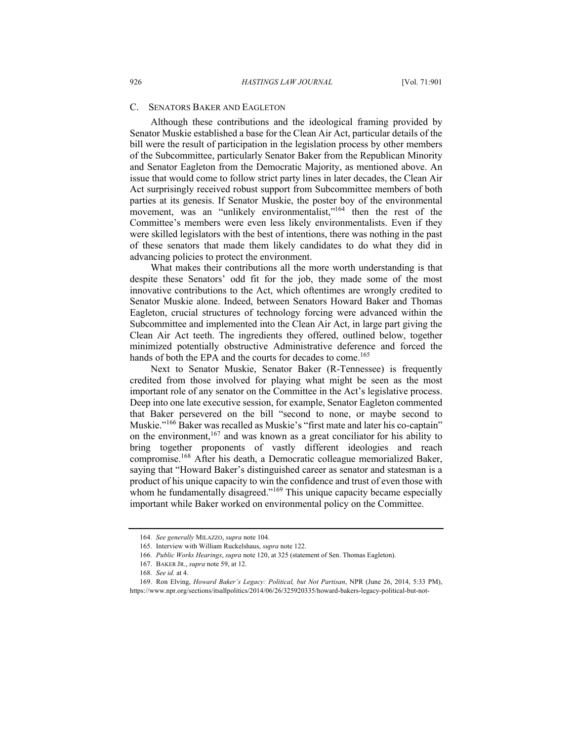### C. SENATORS BAKER AND EAGLETON

Although these contributions and the ideological framing provided by Senator Muskie established a base for the Clean Air Act, particular details of the bill were the result of participation in the legislation process by other members of the Subcommittee, particularly Senator Baker from the Republican Minority and Senator Eagleton from the Democratic Majority, as mentioned above. An issue that would come to follow strict party lines in later decades, the Clean Air Act surprisingly received robust support from Subcommittee members of both parties at its genesis. If Senator Muskie, the poster boy of the environmental movement, was an "unlikely environmentalist,"<sup>164</sup> then the rest of the Committee's members were even less likely environmentalists. Even if they were skilled legislators with the best of intentions, there was nothing in the past of these senators that made them likely candidates to do what they did in advancing policies to protect the environment.

What makes their contributions all the more worth understanding is that despite these Senators' odd fit for the job, they made some of the most innovative contributions to the Act, which oftentimes are wrongly credited to Senator Muskie alone. Indeed, between Senators Howard Baker and Thomas Eagleton, crucial structures of technology forcing were advanced within the Subcommittee and implemented into the Clean Air Act, in large part giving the Clean Air Act teeth. The ingredients they offered, outlined below, together minimized potentially obstructive Administrative deference and forced the hands of both the EPA and the courts for decades to come.<sup>165</sup>

Next to Senator Muskie, Senator Baker (R-Tennessee) is frequently credited from those involved for playing what might be seen as the most important role of any senator on the Committee in the Act's legislative process. Deep into one late executive session, for example, Senator Eagleton commented that Baker persevered on the bill "second to none, or maybe second to Muskie."<sup>166</sup> Baker was recalled as Muskie's "first mate and later his co-captain" on the environment,  $167$  and was known as a great conciliator for his ability to bring together proponents of vastly different ideologies and reach compromise.<sup>168</sup> After his death, a Democratic colleague memorialized Baker, saying that "Howard Baker's distinguished career as senator and statesman is a product of his unique capacity to win the confidence and trust of even those with whom he fundamentally disagreed."<sup>169</sup> This unique capacity became especially important while Baker worked on environmental policy on the Committee.

<sup>164</sup>*. See generally* MILAZZO, *supra* note 104.

<sup>165.</sup> Interview with William Ruckelshaus, *supra* note 122.

<sup>166</sup>*. Public Works Hearings*, *supra* note 120, at 325 (statement of Sen. Thomas Eagleton).

<sup>167.</sup> BAKER JR., *supra* note 59, at 12.

<sup>168</sup>*. See id.* at 4.

<sup>169.</sup> Ron Elving, *Howard Baker's Legacy: Political, but Not Partisan*, NPR (June 26, 2014, 5:33 PM), https://www.npr.org/sections/itsallpolitics/2014/06/26/325920335/howard-bakers-legacy-political-but-not-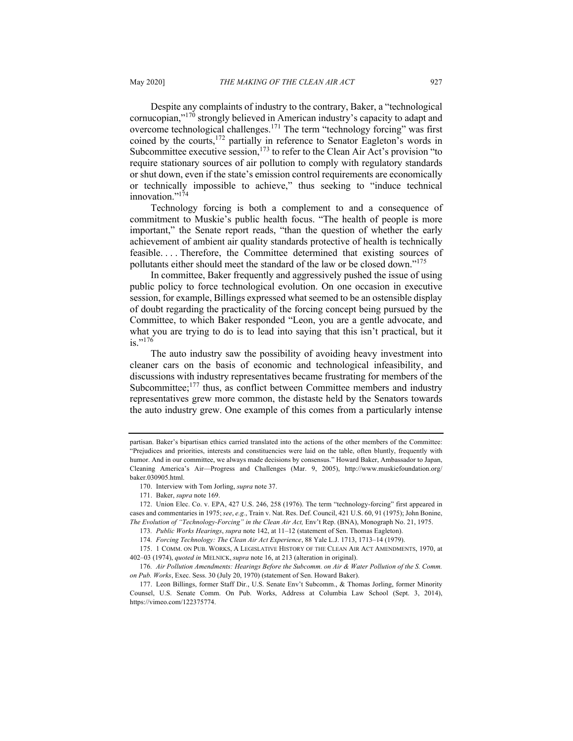Despite any complaints of industry to the contrary, Baker, a "technological cornucopian,"<sup>170</sup> strongly believed in American industry's capacity to adapt and overcome technological challenges.<sup>171</sup> The term "technology forcing" was first coined by the courts,<sup>172</sup> partially in reference to Senator Eagleton's words in Subcommittee executive session,  $173$  to refer to the Clean Air Act's provision "to require stationary sources of air pollution to comply with regulatory standards or shut down, even if the state's emission control requirements are economically or technically impossible to achieve," thus seeking to "induce technical innovation."<sup>174</sup>

Technology forcing is both a complement to and a consequence of commitment to Muskie's public health focus. "The health of people is more important," the Senate report reads, "than the question of whether the early achievement of ambient air quality standards protective of health is technically feasible. . . . Therefore, the Committee determined that existing sources of pollutants either should meet the standard of the law or be closed down."<sup>175</sup>

In committee, Baker frequently and aggressively pushed the issue of using public policy to force technological evolution. On one occasion in executive session, for example, Billings expressed what seemed to be an ostensible display of doubt regarding the practicality of the forcing concept being pursued by the Committee, to which Baker responded "Leon, you are a gentle advocate, and what you are trying to do is to lead into saying that this isn't practical, but it is."<sup>176</sup>

The auto industry saw the possibility of avoiding heavy investment into cleaner cars on the basis of economic and technological infeasibility, and discussions with industry representatives became frustrating for members of the Subcommittee; $177$  thus, as conflict between Committee members and industry representatives grew more common, the distaste held by the Senators towards the auto industry grew. One example of this comes from a particularly intense

partisan. Baker's bipartisan ethics carried translated into the actions of the other members of the Committee: "Prejudices and priorities, interests and constituencies were laid on the table, often bluntly, frequently with humor. And in our committee, we always made decisions by consensus." Howard Baker, Ambassador to Japan, Cleaning America's Air—Progress and Challenges (Mar. 9, 2005), http://www.muskiefoundation.org/ baker.030905.html.

<sup>170.</sup> Interview with Tom Jorling, *supra* note 37.

<sup>171.</sup> Baker, *supra* note 169.

<sup>172.</sup> Union Elec. Co. v. EPA, 427 U.S. 246, 258 (1976). The term "technology-forcing" first appeared in cases and commentaries in 1975; *see*, *e.g.*, Train v. Nat. Res. Def. Council, 421 U.S. 60, 91 (1975); John Bonine, *The Evolution of "Technology-Forcing" in the Clean Air Act,* Env't Rep. (BNA), Monograph No. 21, 1975.

<sup>173</sup>*. Public Works Hearings*, *supra* note 142, at 11–12 (statement of Sen. Thomas Eagleton).

<sup>174</sup>*. Forcing Technology: The Clean Air Act Experience*, 88 Yale L.J. 1713, 1713–14 (1979).

<sup>175.</sup> 1 COMM. ON PUB. WORKS, A LEGISLATIVE HISTORY OF THE CLEAN AIR ACT AMENDMENTS, 1970, at 402–03 (1974), *quoted in* MELNICK, *supra* note 16, at 213 (alteration in original).

<sup>176</sup>*. Air Pollution Amendments: Hearings Before the Subcomm. on Air & Water Pollution of the S. Comm. on Pub. Works*, Exec. Sess. 30 (July 20, 1970) (statement of Sen. Howard Baker).

<sup>177.</sup> Leon Billings, former Staff Dir., U.S. Senate Env't Subcomm., & Thomas Jorling, former Minority Counsel, U.S. Senate Comm. On Pub. Works, Address at Columbia Law School (Sept. 3, 2014), https://vimeo.com/122375774.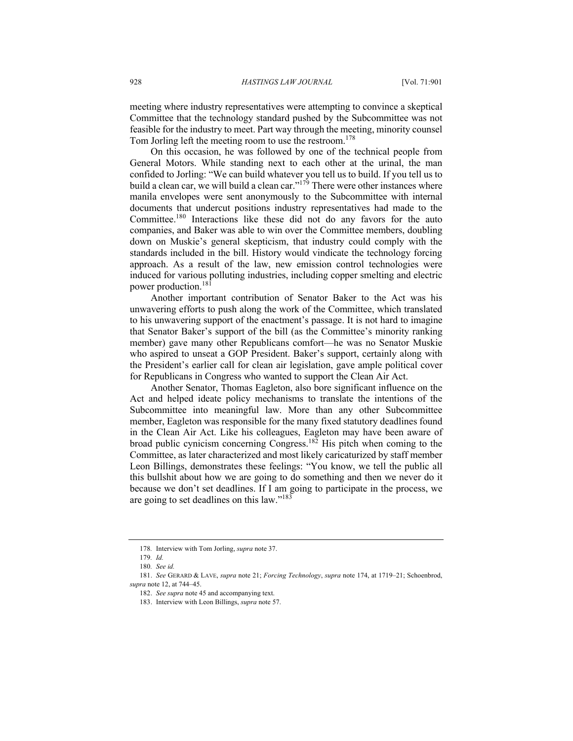meeting where industry representatives were attempting to convince a skeptical Committee that the technology standard pushed by the Subcommittee was not feasible for the industry to meet. Part way through the meeting, minority counsel Tom Jorling left the meeting room to use the restroom.<sup>178</sup>

On this occasion, he was followed by one of the technical people from General Motors. While standing next to each other at the urinal, the man confided to Jorling: "We can build whatever you tell us to build. If you tell us to build a clean car, we will build a clean car."<sup>179</sup> There were other instances where manila envelopes were sent anonymously to the Subcommittee with internal documents that undercut positions industry representatives had made to the Committee.180 Interactions like these did not do any favors for the auto companies, and Baker was able to win over the Committee members, doubling down on Muskie's general skepticism, that industry could comply with the standards included in the bill. History would vindicate the technology forcing approach. As a result of the law, new emission control technologies were induced for various polluting industries, including copper smelting and electric power production.<sup>181</sup>

Another important contribution of Senator Baker to the Act was his unwavering efforts to push along the work of the Committee, which translated to his unwavering support of the enactment's passage. It is not hard to imagine that Senator Baker's support of the bill (as the Committee's minority ranking member) gave many other Republicans comfort—he was no Senator Muskie who aspired to unseat a GOP President. Baker's support, certainly along with the President's earlier call for clean air legislation, gave ample political cover for Republicans in Congress who wanted to support the Clean Air Act.

Another Senator, Thomas Eagleton, also bore significant influence on the Act and helped ideate policy mechanisms to translate the intentions of the Subcommittee into meaningful law. More than any other Subcommittee member, Eagleton was responsible for the many fixed statutory deadlines found in the Clean Air Act. Like his colleagues, Eagleton may have been aware of broad public cynicism concerning Congress.<sup>182</sup> His pitch when coming to the Committee, as later characterized and most likely caricaturized by staff member Leon Billings, demonstrates these feelings: "You know, we tell the public all this bullshit about how we are going to do something and then we never do it because we don't set deadlines. If I am going to participate in the process, we are going to set deadlines on this law."183

<sup>178</sup>*.* Interview with Tom Jorling, *supra* note 37.

<sup>179</sup>*. Id.*

<sup>180</sup>*. See id.*

<sup>181.</sup> *See* GERARD & LAVE, *supra* note 21; *Forcing Technology*, *supra* note 174, at 1719–21; Schoenbrod, *supra* note 12, at 744–45.

<sup>182.</sup> *See supra* note 45 and accompanying text.

<sup>183.</sup> Interview with Leon Billings, *supra* note 57.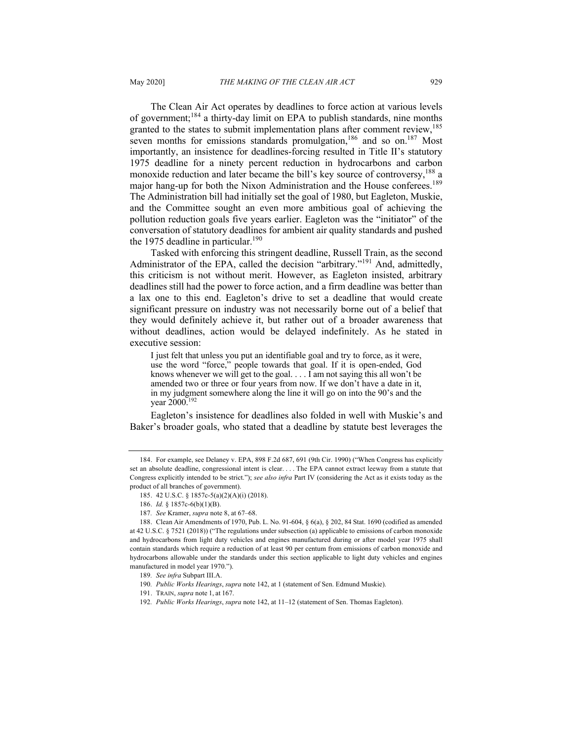The Clean Air Act operates by deadlines to force action at various levels of government;<sup>184</sup> a thirty-day limit on EPA to publish standards, nine months granted to the states to submit implementation plans after comment review,<sup>185</sup> seven months for emissions standards promulgation.<sup>186</sup> and so on.<sup>187</sup> Most importantly, an insistence for deadlines-forcing resulted in Title II's statutory 1975 deadline for a ninety percent reduction in hydrocarbons and carbon monoxide reduction and later became the bill's key source of controversy,<sup>188</sup> a major hang-up for both the Nixon Administration and the House conferees.<sup>189</sup> The Administration bill had initially set the goal of 1980, but Eagleton, Muskie, and the Committee sought an even more ambitious goal of achieving the pollution reduction goals five years earlier. Eagleton was the "initiator" of the conversation of statutory deadlines for ambient air quality standards and pushed the 1975 deadline in particular.<sup>190</sup>

Tasked with enforcing this stringent deadline, Russell Train, as the second Administrator of the EPA, called the decision "arbitrary."<sup>191</sup> And, admittedly, this criticism is not without merit. However, as Eagleton insisted, arbitrary deadlines still had the power to force action, and a firm deadline was better than a lax one to this end. Eagleton's drive to set a deadline that would create significant pressure on industry was not necessarily borne out of a belief that they would definitely achieve it, but rather out of a broader awareness that without deadlines, action would be delayed indefinitely. As he stated in executive session:

I just felt that unless you put an identifiable goal and try to force, as it were, use the word "force," people towards that goal. If it is open-ended, God knows whenever we will get to the goal. . . . I am not saying this all won't be amended two or three or four years from now. If we don't have a date in it, in my judgment somewhere along the line it will go on into the 90's and the year 2000.192

Eagleton's insistence for deadlines also folded in well with Muskie's and Baker's broader goals, who stated that a deadline by statute best leverages the

<sup>184.</sup> For example, see Delaney v. EPA, 898 F.2d 687, 691 (9th Cir. 1990) ("When Congress has explicitly set an absolute deadline, congressional intent is clear. . . . The EPA cannot extract leeway from a statute that Congress explicitly intended to be strict."); *see also infra* Part IV (considering the Act as it exists today as the product of all branches of government).

<sup>185.</sup> 42 U.S.C. § 1857c-5(a)(2)(A)(i) (2018).

<sup>186.</sup> *Id.* § 1857c-6(b)(1)(B).

<sup>187</sup>*. See* Kramer, *supra* note 8, at 67–68.

<sup>188.</sup> Clean Air Amendments of 1970, Pub. L. No. 91-604, § 6(a), § 202, 84 Stat. 1690 (codified as amended at 42 U.S.C. § 7521 (2018)) ("The regulations under subsection (a) applicable to emissions of carbon monoxide and hydrocarbons from light duty vehicles and engines manufactured during or after model year 1975 shall contain standards which require a reduction of at least 90 per centum from emissions of carbon monoxide and hydrocarbons allowable under the standards under this section applicable to light duty vehicles and engines manufactured in model year 1970.").

<sup>189</sup>*. See infra* Subpart III.A.

<sup>190</sup>*. Public Works Hearings*, *supra* note 142, at 1 (statement of Sen. Edmund Muskie).

<sup>191.</sup> TRAIN, *supra* note 1, at 167.

<sup>192</sup>*. Public Works Hearings*, *supra* note 142, at 11–12 (statement of Sen. Thomas Eagleton).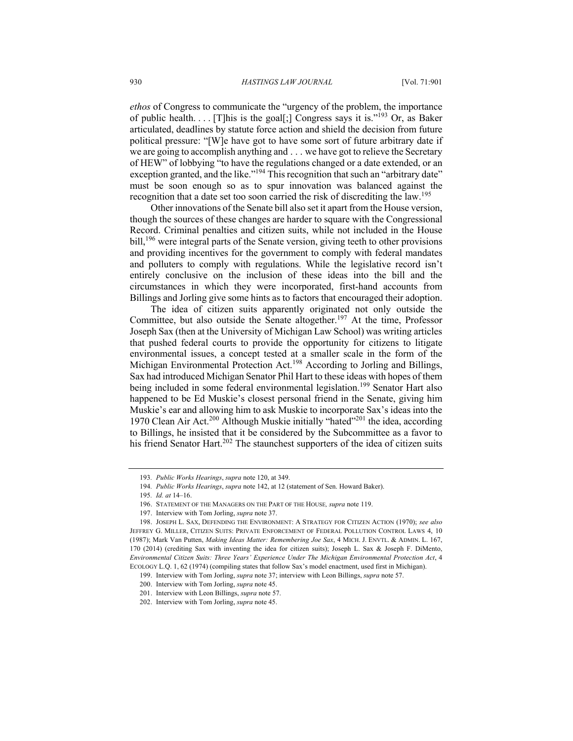*ethos* of Congress to communicate the "urgency of the problem, the importance of public health.... [T]his is the goal[;] Congress says it is."<sup>193</sup> Or, as Baker articulated, deadlines by statute force action and shield the decision from future political pressure: "[W]e have got to have some sort of future arbitrary date if we are going to accomplish anything and . . . we have got to relieve the Secretary of HEW" of lobbying "to have the regulations changed or a date extended, or an exception granted, and the like."<sup>194</sup> This recognition that such an "arbitrary date" must be soon enough so as to spur innovation was balanced against the recognition that a date set too soon carried the risk of discrediting the law.<sup>195</sup>

Other innovations of the Senate bill also set it apart from the House version, though the sources of these changes are harder to square with the Congressional Record. Criminal penalties and citizen suits, while not included in the House bill,<sup>196</sup> were integral parts of the Senate version, giving teeth to other provisions and providing incentives for the government to comply with federal mandates and polluters to comply with regulations. While the legislative record isn't entirely conclusive on the inclusion of these ideas into the bill and the circumstances in which they were incorporated, first-hand accounts from Billings and Jorling give some hints as to factors that encouraged their adoption.

The idea of citizen suits apparently originated not only outside the Committee, but also outside the Senate altogether.<sup>197</sup> At the time, Professor Joseph Sax (then at the University of Michigan Law School) was writing articles that pushed federal courts to provide the opportunity for citizens to litigate environmental issues, a concept tested at a smaller scale in the form of the Michigan Environmental Protection Act.<sup>198</sup> According to Jorling and Billings, Sax had introduced Michigan Senator Phil Hart to these ideas with hopes of them being included in some federal environmental legislation.<sup>199</sup> Senator Hart also happened to be Ed Muskie's closest personal friend in the Senate, giving him Muskie's ear and allowing him to ask Muskie to incorporate Sax's ideas into the 1970 Clean Air Act.<sup>200</sup> Although Muskie initially "hated"<sup>201</sup> the idea, according to Billings, he insisted that it be considered by the Subcommittee as a favor to his friend Senator Hart.<sup>202</sup> The staunchest supporters of the idea of citizen suits

<sup>193</sup>*. Public Works Hearings*, *supra* note 120, at 349.

<sup>194</sup>*. Public Works Hearings*, *supra* note 142, at 12 (statement of Sen. Howard Baker).

<sup>195</sup>*. Id. at* 14–16.

<sup>196.</sup> STATEMENT OF THE MANAGERS ON THE PART OF THE HOUSE*, supra* note 119.

<sup>197.</sup> Interview with Tom Jorling, *supra* note 37.

<sup>198.</sup> JOSEPH L. SAX, DEFENDING THE ENVIRONMENT: A STRATEGY FOR CITIZEN ACTION (1970); *see also* JEFFREY G. MILLER, CITIZEN SUITS: PRIVATE ENFORCEMENT OF FEDERAL POLLUTION CONTROL LAWS 4, 10 (1987); Mark Van Putten, *Making Ideas Matter: Remembering Joe Sax*, 4 MICH. J. ENVTL. & ADMIN. L. 167, 170 (2014) (crediting Sax with inventing the idea for citizen suits); Joseph L. Sax & Joseph F. DiMento, *Environmental Citizen Suits: Three Years' Experience Under The Michigan Environmental Protection Act*, 4 ECOLOGY L.Q. 1, 62 (1974) (compiling states that follow Sax's model enactment, used first in Michigan).

<sup>199.</sup> Interview with Tom Jorling, *supra* note 37; interview with Leon Billings, *supra* note 57.

<sup>200.</sup> Interview with Tom Jorling, *supra* note 45.

<sup>201.</sup> Interview with Leon Billings, *supra* note 57.

<sup>202.</sup> Interview with Tom Jorling, *supra* note 45.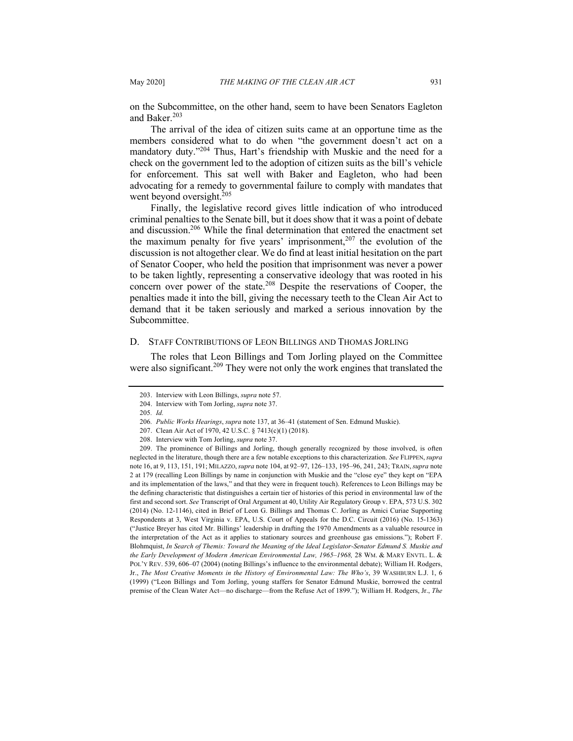on the Subcommittee, on the other hand, seem to have been Senators Eagleton and Baker.<sup>203</sup>

The arrival of the idea of citizen suits came at an opportune time as the members considered what to do when "the government doesn't act on a mandatory duty."<sup>204</sup> Thus, Hart's friendship with Muskie and the need for a check on the government led to the adoption of citizen suits as the bill's vehicle for enforcement. This sat well with Baker and Eagleton, who had been advocating for a remedy to governmental failure to comply with mandates that went beyond oversight.<sup>205</sup>

Finally, the legislative record gives little indication of who introduced criminal penalties to the Senate bill, but it does show that it was a point of debate and discussion.<sup>206</sup> While the final determination that entered the enactment set the maximum penalty for five years' imprisonment,  $207$  the evolution of the discussion is not altogether clear. We do find at least initial hesitation on the part of Senator Cooper, who held the position that imprisonment was never a power to be taken lightly, representing a conservative ideology that was rooted in his concern over power of the state.<sup>208</sup> Despite the reservations of Cooper, the penalties made it into the bill, giving the necessary teeth to the Clean Air Act to demand that it be taken seriously and marked a serious innovation by the Subcommittee.

### D. STAFF CONTRIBUTIONS OF LEON BILLINGS AND THOMAS JORLING

The roles that Leon Billings and Tom Jorling played on the Committee were also significant.<sup>209</sup> They were not only the work engines that translated the

<sup>203.</sup> Interview with Leon Billings, *supra* note 57.

<sup>204.</sup> Interview with Tom Jorling, *supra* note 37.

<sup>205</sup>*. Id.*

<sup>206</sup>*. Public Works Hearings*, *supra* note 137, at 36–41 (statement of Sen. Edmund Muskie).

<sup>207.</sup> Clean Air Act of 1970, 42 U.S.C. § 7413(c)(1) (2018).

<sup>208.</sup> Interview with Tom Jorling, *supra* note 37.

<sup>209.</sup> The prominence of Billings and Jorling, though generally recognized by those involved, is often neglected in the literature, though there are a few notable exceptions to this characterization. *See* FLIPPEN,*supra*  note 16, at 9, 113, 151, 191; MILAZZO,*supra* note 104, at 92–97, 126–133, 195–96, 241, 243; TRAIN,*supra* note 2 at 179 (recalling Leon Billings by name in conjunction with Muskie and the "close eye" they kept on "EPA and its implementation of the laws," and that they were in frequent touch). References to Leon Billings may be the defining characteristic that distinguishes a certain tier of histories of this period in environmental law of the first and second sort. *See* Transcript of Oral Argument at 40, Utility Air Regulatory Group v. EPA, 573 U.S. 302 (2014) (No. 12-1146), cited in Brief of Leon G. Billings and Thomas C. Jorling as Amici Curiae Supporting Respondents at 3, West Virginia v. EPA, U.S. Court of Appeals for the D.C. Circuit (2016) (No. 15-1363) ("Justice Breyer has cited Mr. Billings' leadership in drafting the 1970 Amendments as a valuable resource in the interpretation of the Act as it applies to stationary sources and greenhouse gas emissions."); Robert F. Blohmquist, *In Search of Themis: Toward the Meaning of the Ideal Legislator-Senator Edmund S. Muskie and the Early Development of Modern American Environmental Law, 1965–1968,* 28 WM. & MARY ENVTL. L. & POL'Y REV. 539, 606–07 (2004) (noting Billings's influence to the environmental debate); William H. Rodgers, Jr., *The Most Creative Moments in the History of Environmental Law: The Who's*, 39 WASHBURN L.J. 1, 6 (1999) ("Leon Billings and Tom Jorling, young staffers for Senator Edmund Muskie, borrowed the central premise of the Clean Water Act—no discharge—from the Refuse Act of 1899."); William H. Rodgers, Jr., *The*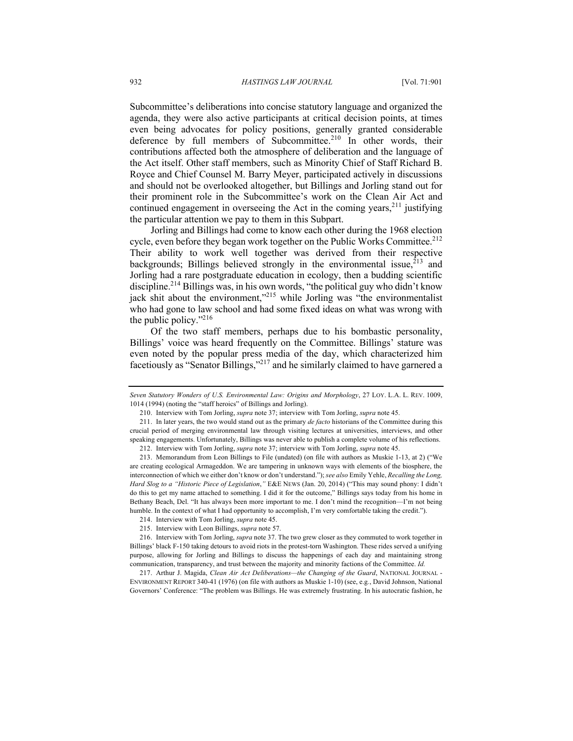Subcommittee's deliberations into concise statutory language and organized the agenda, they were also active participants at critical decision points, at times even being advocates for policy positions, generally granted considerable deference by full members of Subcommittee.<sup>210</sup> In other words, their contributions affected both the atmosphere of deliberation and the language of the Act itself. Other staff members, such as Minority Chief of Staff Richard B. Royce and Chief Counsel M. Barry Meyer, participated actively in discussions and should not be overlooked altogether, but Billings and Jorling stand out for their prominent role in the Subcommittee's work on the Clean Air Act and continued engagement in overseeing the Act in the coming years, $2^{11}$  justifying the particular attention we pay to them in this Subpart.

Jorling and Billings had come to know each other during the 1968 election cycle, even before they began work together on the Public Works Committee.<sup>212</sup> Their ability to work well together was derived from their respective backgrounds; Billings believed strongly in the environmental issue,  $2^{13}$  and Jorling had a rare postgraduate education in ecology, then a budding scientific discipline.<sup>214</sup> Billings was, in his own words, "the political guy who didn't know jack shit about the environment,"<sup>215</sup> while Jorling was "the environmentalist who had gone to law school and had some fixed ideas on what was wrong with the public policy."<sup>216</sup>

Of the two staff members, perhaps due to his bombastic personality, Billings' voice was heard frequently on the Committee. Billings' stature was even noted by the popular press media of the day, which characterized him facetiously as "Senator Billings,"<sup>217</sup> and he similarly claimed to have garnered a

*Seven Statutory Wonders of U.S. Environmental Law: Origins and Morphology*, 27 LOY. L.A. L. REV. 1009, 1014 (1994) (noting the "staff heroics" of Billings and Jorling).

<sup>210.</sup> Interview with Tom Jorling, *supra* note 37; interview with Tom Jorling, *supra* note 45.

<sup>211.</sup> In later years, the two would stand out as the primary *de facto* historians of the Committee during this crucial period of merging environmental law through visiting lectures at universities, interviews, and other speaking engagements. Unfortunately, Billings was never able to publish a complete volume of his reflections.

<sup>212.</sup> Interview with Tom Jorling, *supra* note 37; interview with Tom Jorling, *supra* note 45.

<sup>213.</sup> Memorandum from Leon Billings to File (undated) (on file with authors as Muskie 1-13, at 2) ("We are creating ecological Armageddon. We are tampering in unknown ways with elements of the biosphere, the interconnection of which we either don't know or don't understand."); *see also* Emily Yehle, *Recalling the Long, Hard Slog to a "Historic Piece of Legislation*,*"* E&E NEWS (Jan. 20, 2014) ("This may sound phony: I didn't do this to get my name attached to something. I did it for the outcome," Billings says today from his home in Bethany Beach, Del. "It has always been more important to me. I don't mind the recognition—I'm not being humble. In the context of what I had opportunity to accomplish, I'm very comfortable taking the credit.").

<sup>214.</sup> Interview with Tom Jorling, *supra* note 45.

<sup>215.</sup> Interview with Leon Billings, *supra* note 57.

<sup>216.</sup> Interview with Tom Jorling, *supra* note 37. The two grew closer as they commuted to work together in Billings' black F-150 taking detours to avoid riots in the protest-torn Washington. These rides served a unifying purpose, allowing for Jorling and Billings to discuss the happenings of each day and maintaining strong communication, transparency, and trust between the majority and minority factions of the Committee. *Id.*

<sup>217.</sup> Arthur J. Magida, *Clean Air Act Deliberations—the Changing of the Guard*, NATIONAL JOURNAL - ENVIRONMENT REPORT 340-41 (1976) (on file with authors as Muskie 1-10) (see, e.g*.*, David Johnson, National Governors' Conference: "The problem was Billings. He was extremely frustrating. In his autocratic fashion, he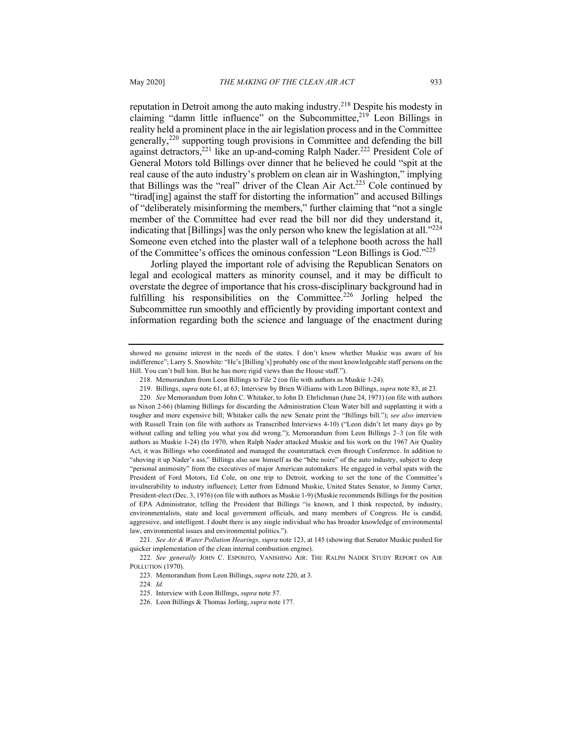reputation in Detroit among the auto making industry.<sup>218</sup> Despite his modesty in claiming "damn little influence" on the Subcommittee, $219$  Leon Billings in reality held a prominent place in the air legislation process and in the Committee generally, $220$  supporting tough provisions in Committee and defending the bill against detractors,<sup>221</sup> like an up-and-coming Ralph Nader.<sup>222</sup> President Cole of General Motors told Billings over dinner that he believed he could "spit at the real cause of the auto industry's problem on clean air in Washington," implying that Billings was the "real" driver of the Clean Air Act.223 Cole continued by "tirad[ing] against the staff for distorting the information" and accused Billings of "deliberately misinforming the members," further claiming that "not a single member of the Committee had ever read the bill nor did they understand it, indicating that [Billings] was the only person who knew the legislation at all."<sup>224</sup> Someone even etched into the plaster wall of a telephone booth across the hall of the Committee's offices the ominous confession "Leon Billings is God."225

Jorling played the important role of advising the Republican Senators on legal and ecological matters as minority counsel, and it may be difficult to overstate the degree of importance that his cross-disciplinary background had in fulfilling his responsibilities on the Committee.<sup>226</sup> Jorling helped the Subcommittee run smoothly and efficiently by providing important context and information regarding both the science and language of the enactment during

showed no genuine interest in the needs of the states. I don't know whether Muskie was aware of his indifference"; Larry S. Snowhite: "He's [Billing's] probably one of the most knowledgeable staff persons on the Hill. You can't bull him. But he has more rigid views than the House staff.").

<sup>218.</sup> Memorandum from Leon Billings to File 2 (on file with authors as Muskie 1-24).

<sup>219.</sup> Billings, *supra* note 61, at 63; Interview by Brien Williams with Leon Billings, *supra* note 83, at 23.

<sup>220</sup>*. See* Memorandum from John C. Whitaker, to John D. Ehrlichman (June 24, 1971) (on file with authors as Nixon 2-66) (blaming Billings for discarding the Administration Clean Water bill and supplanting it with a tougher and more expensive bill; Whitaker calls the new Senate print the "Billings bill."); *see also* interview with Russell Train (on file with authors as Transcribed Interviews 4-10) ("Leon didn't let many days go by without calling and telling you what you did wrong."); Memorandum from Leon Billings 2–3 (on file with authors as Muskie 1-24) (In 1970, when Ralph Nader attacked Muskie and his work on the 1967 Air Quality Act, it was Billings who coordinated and managed the counterattack even through Conference. In addition to "shoving it up Nader's ass," Billings also saw himself as the "bête noire" of the auto industry, subject to deep "personal animosity" from the executives of major American automakers. He engaged in verbal spats with the President of Ford Motors, Ed Cole, on one trip to Detroit, working to set the tone of the Committee's invulnerability to industry influence); Letter from Edmund Muskie, United States Senator, to Jimmy Carter, President-elect (Dec. 3, 1976) (on file with authors as Muskie 1-9) (Muskie recommends Billings for the position of EPA Administrator, telling the President that Billings "is known, and I think respected, by industry, environmentalists, state and local government officials, and many members of Congress. He is candid, aggressive, and intelligent. I doubt there is any single individual who has broader knowledge of environmental law, environmental issues and environmental politics.").

<sup>221</sup>*. See Air & Water Pollution Hearings*, *supra* note 123, at 145 (showing that Senator Muskie pushed for quicker implementation of the clean internal combustion engine).

<sup>222</sup>*. See generally* JOHN C. ESPOSITO, VANISHING AIR: THE RALPH NADER STUDY REPORT ON AIR POLLUTION (1970).

<sup>223.</sup> Memorandum from Leon Billings, *supra* note 220, at 3.

<sup>224</sup>*. Id.*

<sup>225.</sup> Interview with Leon Billings, *supra* note 57.

<sup>226.</sup> Leon Billings & Thomas Jorling, *supra* note 177.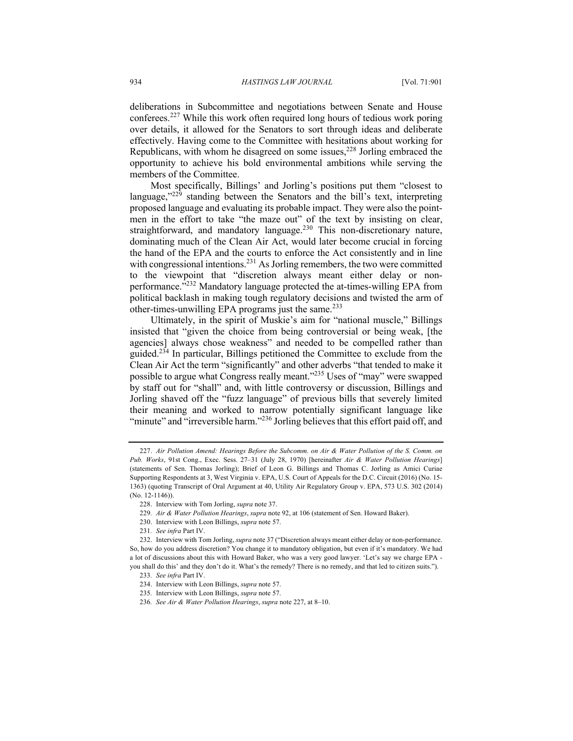deliberations in Subcommittee and negotiations between Senate and House conferees.<sup>227</sup> While this work often required long hours of tedious work poring over details, it allowed for the Senators to sort through ideas and deliberate effectively. Having come to the Committee with hesitations about working for Republicans, with whom he disagreed on some issues,  $228$  Jorling embraced the opportunity to achieve his bold environmental ambitions while serving the members of the Committee.

Most specifically, Billings' and Jorling's positions put them "closest to language," $^{229}$  standing between the Senators and the bill's text, interpreting proposed language and evaluating its probable impact. They were also the pointmen in the effort to take "the maze out" of the text by insisting on clear, straightforward, and mandatory language.<sup>230</sup> This non-discretionary nature, dominating much of the Clean Air Act, would later become crucial in forcing the hand of the EPA and the courts to enforce the Act consistently and in line with congressional intentions.<sup>231</sup> As Jorling remembers, the two were committed to the viewpoint that "discretion always meant either delay or nonperformance."<sup>232</sup> Mandatory language protected the at-times-willing EPA from political backlash in making tough regulatory decisions and twisted the arm of other-times-unwilling EPA programs just the same.<sup>233</sup>

Ultimately, in the spirit of Muskie's aim for "national muscle," Billings insisted that "given the choice from being controversial or being weak, [the agencies] always chose weakness" and needed to be compelled rather than guided.<sup>234</sup> In particular, Billings petitioned the Committee to exclude from the Clean Air Act the term "significantly" and other adverbs "that tended to make it possible to argue what Congress really meant."<sup>235</sup> Uses of "may" were swapped by staff out for "shall" and, with little controversy or discussion, Billings and Jorling shaved off the "fuzz language" of previous bills that severely limited their meaning and worked to narrow potentially significant language like "minute" and "irreversible harm."<sup>236</sup> Jorling believes that this effort paid off, and

<sup>227.</sup> *Air Pollution Amend: Hearings Before the Subcomm. on Air & Water Pollution of the S. Comm. on Pub. Works*, 91st Cong., Exec. Sess. 27–31 (July 28, 1970) [hereinafter *Air & Water Pollution Hearings*] (statements of Sen. Thomas Jorling); Brief of Leon G. Billings and Thomas C. Jorling as Amici Curiae Supporting Respondents at 3, West Virginia v. EPA, U.S. Court of Appeals for the D.C. Circuit (2016) (No. 15- 1363) (quoting Transcript of Oral Argument at 40, Utility Air Regulatory Group v. EPA, 573 U.S. 302 (2014) (No. 12-1146)).

<sup>228.</sup> Interview with Tom Jorling, *supra* note 37.

<sup>229</sup>*. Air & Water Pollution Hearings*, *supra* note 92, at 106 (statement of Sen. Howard Baker).

<sup>230.</sup> Interview with Leon Billings, *supra* note 57.

<sup>231</sup>*. See infra* Part IV.

<sup>232.</sup> Interview with Tom Jorling, *supra* note 37 ("Discretion always meant either delay or non-performance. So, how do you address discretion? You change it to mandatory obligation, but even if it's mandatory. We had a lot of discussions about this with Howard Baker, who was a very good lawyer. 'Let's say we charge EPA you shall do this' and they don't do it. What's the remedy? There is no remedy, and that led to citizen suits.").

<sup>233</sup>*. See infra* Part IV.

<sup>234.</sup> Interview with Leon Billings, *supra* note 57.

<sup>235</sup>*.* Interview with Leon Billings, *supra* note 57.

<sup>236</sup>*. See Air & Water Pollution Hearings*, *supra* note 227, at 8–10.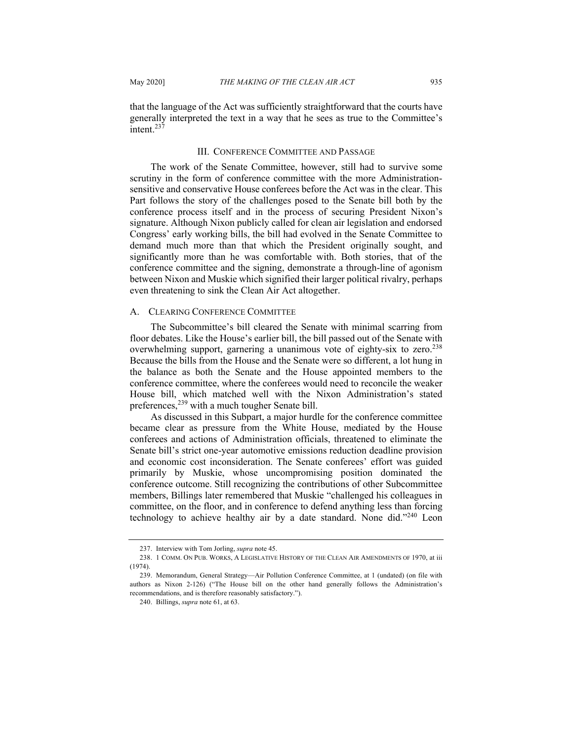that the language of the Act was sufficiently straightforward that the courts have generally interpreted the text in a way that he sees as true to the Committee's intent.<sup>237</sup>

#### III. CONFERENCE COMMITTEE AND PASSAGE

The work of the Senate Committee, however, still had to survive some scrutiny in the form of conference committee with the more Administrationsensitive and conservative House conferees before the Act was in the clear. This Part follows the story of the challenges posed to the Senate bill both by the conference process itself and in the process of securing President Nixon's signature. Although Nixon publicly called for clean air legislation and endorsed Congress' early working bills, the bill had evolved in the Senate Committee to demand much more than that which the President originally sought, and significantly more than he was comfortable with. Both stories, that of the conference committee and the signing, demonstrate a through-line of agonism between Nixon and Muskie which signified their larger political rivalry, perhaps even threatening to sink the Clean Air Act altogether.

#### A. CLEARING CONFERENCE COMMITTEE

The Subcommittee's bill cleared the Senate with minimal scarring from floor debates. Like the House's earlier bill, the bill passed out of the Senate with overwhelming support, garnering a unanimous vote of eighty-six to zero.<sup>238</sup> Because the bills from the House and the Senate were so different, a lot hung in the balance as both the Senate and the House appointed members to the conference committee, where the conferees would need to reconcile the weaker House bill, which matched well with the Nixon Administration's stated preferences,<sup>239</sup> with a much tougher Senate bill.

As discussed in this Subpart, a major hurdle for the conference committee became clear as pressure from the White House, mediated by the House conferees and actions of Administration officials, threatened to eliminate the Senate bill's strict one-year automotive emissions reduction deadline provision and economic cost inconsideration. The Senate conferees' effort was guided primarily by Muskie, whose uncompromising position dominated the conference outcome. Still recognizing the contributions of other Subcommittee members, Billings later remembered that Muskie "challenged his colleagues in committee, on the floor, and in conference to defend anything less than forcing technology to achieve healthy air by a date standard. None did."<sup>240</sup> Leon

<sup>237.</sup> Interview with Tom Jorling, *supra* note 45.

<sup>238.</sup> 1 COMM. ON PUB. WORKS, A LEGISLATIVE HISTORY OF THE CLEAN AIR AMENDMENTS OF 1970, at iii (1974).

<sup>239.</sup> Memorandum, General Strategy—Air Pollution Conference Committee, at 1 (undated) (on file with authors as Nixon 2-126) ("The House bill on the other hand generally follows the Administration's recommendations, and is therefore reasonably satisfactory.").

<sup>240.</sup> Billings, *supra* note 61, at 63.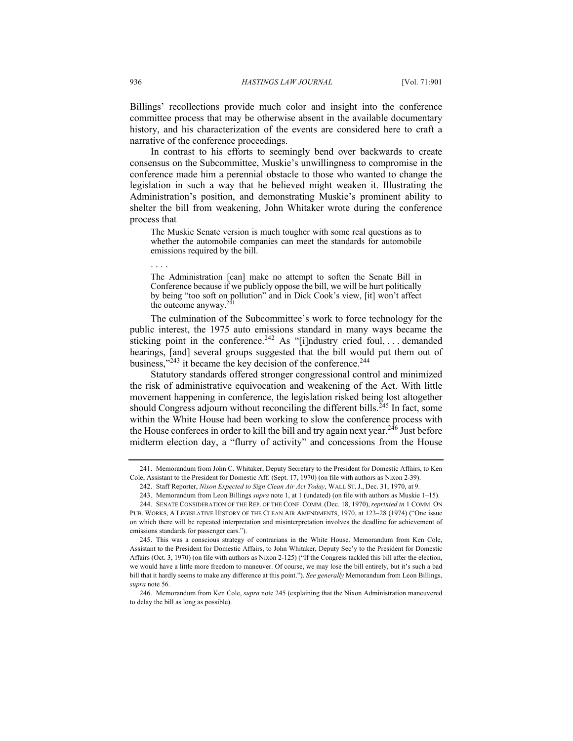Billings' recollections provide much color and insight into the conference committee process that may be otherwise absent in the available documentary history, and his characterization of the events are considered here to craft a narrative of the conference proceedings.

In contrast to his efforts to seemingly bend over backwards to create consensus on the Subcommittee, Muskie's unwillingness to compromise in the conference made him a perennial obstacle to those who wanted to change the legislation in such a way that he believed might weaken it. Illustrating the Administration's position, and demonstrating Muskie's prominent ability to shelter the bill from weakening, John Whitaker wrote during the conference process that

The Muskie Senate version is much tougher with some real questions as to whether the automobile companies can meet the standards for automobile emissions required by the bill.

. . . .

The Administration [can] make no attempt to soften the Senate Bill in Conference because if we publicly oppose the bill, we will be hurt politically by being "too soft on pollution" and in Dick Cook's view, [it] won't affect the outcome anyway. $24$ 

The culmination of the Subcommittee's work to force technology for the public interest, the 1975 auto emissions standard in many ways became the sticking point in the conference.<sup>242</sup> As "[i]ndustry cried foul, ... demanded hearings, [and] several groups suggested that the bill would put them out of business,"<sup>243</sup> it became the key decision of the conference.<sup>244</sup>

Statutory standards offered stronger congressional control and minimized the risk of administrative equivocation and weakening of the Act. With little movement happening in conference, the legislation risked being lost altogether should Congress adjourn without reconciling the different bills.<sup> $245$ </sup> In fact, some within the White House had been working to slow the conference process with the House conferees in order to kill the bill and try again next year.<sup>246</sup> Just before midterm election day, a "flurry of activity" and concessions from the House

<sup>241.</sup> Memorandum from John C. Whitaker, Deputy Secretary to the President for Domestic Affairs, to Ken Cole, Assistant to the President for Domestic Aff. (Sept. 17, 1970) (on file with authors as Nixon 2-39).

<sup>242.</sup> Staff Reporter, *Nixon Expected to Sign Clean Air Act Today*, WALL ST. J., Dec. 31, 1970, at 9.

<sup>243.</sup> Memorandum from Leon Billings *supra* note 1, at 1 (undated) (on file with authors as Muskie 1–15).

<sup>244.</sup> SENATE CONSIDERATION OF THE REP. OF THE CONF. COMM. (Dec. 18, 1970), *reprinted in* 1 COMM. ON PUB. WORKS, A LEGISLATIVE HISTORY OF THE CLEAN AIR AMENDMENTS, 1970, at 123–28 (1974) ("One issue on which there will be repeated interpretation and misinterpretation involves the deadline for achievement of emissions standards for passenger cars.").

<sup>245.</sup> This was a conscious strategy of contrarians in the White House. Memorandum from Ken Cole, Assistant to the President for Domestic Affairs, to John Whitaker, Deputy Sec'y to the President for Domestic Affairs (Oct. 3, 1970) (on file with authors as Nixon 2-125) ("If the Congress tackled this bill after the election, we would have a little more freedom to maneuver. Of course, we may lose the bill entirely, but it's such a bad bill that it hardly seems to make any difference at this point."). *See generally* Memorandum from Leon Billings, *supra* note 56.

<sup>246.</sup> Memorandum from Ken Cole, *supra* note 245 (explaining that the Nixon Administration maneuvered to delay the bill as long as possible).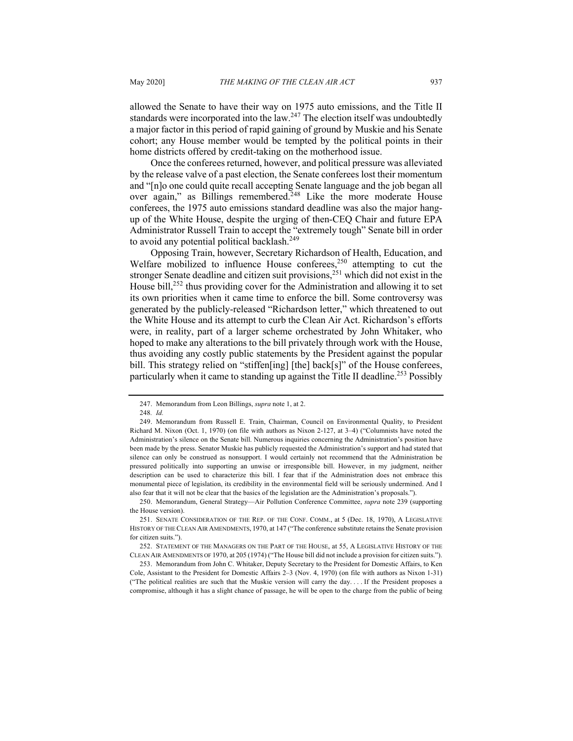allowed the Senate to have their way on 1975 auto emissions, and the Title II standards were incorporated into the law.<sup>247</sup> The election itself was undoubtedly a major factor in this period of rapid gaining of ground by Muskie and his Senate cohort; any House member would be tempted by the political points in their home districts offered by credit-taking on the motherhood issue.

Once the conferees returned, however, and political pressure was alleviated by the release valve of a past election, the Senate conferees lost their momentum and "[n]o one could quite recall accepting Senate language and the job began all over again," as Billings remembered.<sup>248</sup> Like the more moderate House conferees, the 1975 auto emissions standard deadline was also the major hangup of the White House, despite the urging of then-CEQ Chair and future EPA Administrator Russell Train to accept the "extremely tough" Senate bill in order to avoid any potential political backlash.<sup>249</sup>

Opposing Train, however, Secretary Richardson of Health, Education, and Welfare mobilized to influence House conferees, $250$  attempting to cut the stronger Senate deadline and citizen suit provisions,  $251$  which did not exist in the House bill, $^{252}$  thus providing cover for the Administration and allowing it to set its own priorities when it came time to enforce the bill. Some controversy was generated by the publicly-released "Richardson letter," which threatened to out the White House and its attempt to curb the Clean Air Act. Richardson's efforts were, in reality, part of a larger scheme orchestrated by John Whitaker, who hoped to make any alterations to the bill privately through work with the House, thus avoiding any costly public statements by the President against the popular bill. This strategy relied on "stiffen[ing] [the] back[s]" of the House conferees, particularly when it came to standing up against the Title II deadline.<sup>253</sup> Possibly

<sup>247.</sup> Memorandum from Leon Billings, *supra* note 1, at 2.

<sup>248</sup>*. Id.*

<sup>249.</sup> Memorandum from Russell E. Train, Chairman, Council on Environmental Quality, to President Richard M. Nixon (Oct. 1, 1970) (on file with authors as Nixon 2-127, at 3–4) ("Columnists have noted the Administration's silence on the Senate bill. Numerous inquiries concerning the Administration's position have been made by the press. Senator Muskie has publicly requested the Administration's support and had stated that silence can only be construed as nonsupport. I would certainly not recommend that the Administration be pressured politically into supporting an unwise or irresponsible bill. However, in my judgment, neither description can be used to characterize this bill. I fear that if the Administration does not embrace this monumental piece of legislation, its credibility in the environmental field will be seriously undermined. And I also fear that it will not be clear that the basics of the legislation are the Administration's proposals.").

<sup>250.</sup> Memorandum, General Strategy—Air Pollution Conference Committee, *supra* note 239 (supporting the House version).

<sup>251.</sup> SENATE CONSIDERATION OF THE REP. OF THE CONF. COMM., at 5 (Dec. 18, 1970), A LEGISLATIVE HISTORY OF THE CLEAN AIR AMENDMENTS, 1970, at 147 ("The conference substitute retains the Senate provision for citizen suits.").

<sup>252.</sup> STATEMENT OF THE MANAGERS ON THE PART OF THE HOUSE, at 55, A LEGISLATIVE HISTORY OF THE CLEAN AIR AMENDMENTS OF 1970, at 205 (1974) ("The House bill did not include a provision for citizen suits.").

<sup>253.</sup> Memorandum from John C. Whitaker, Deputy Secretary to the President for Domestic Affairs, to Ken Cole, Assistant to the President for Domestic Affairs 2–3 (Nov. 4, 1970) (on file with authors as Nixon 1-31) ("The political realities are such that the Muskie version will carry the day. . . . If the President proposes a compromise, although it has a slight chance of passage, he will be open to the charge from the public of being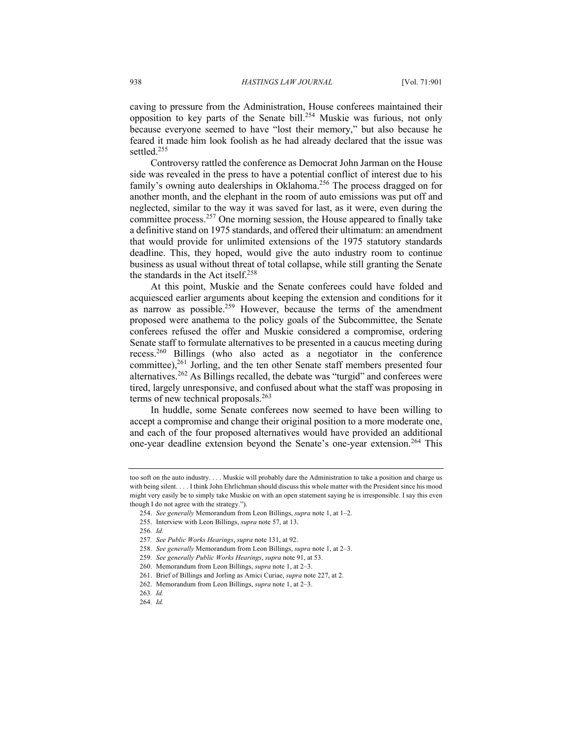caving to pressure from the Administration, House conferees maintained their opposition to key parts of the Senate bill.<sup>254</sup> Muskie was furious, not only because everyone seemed to have "lost their memory," but also because he feared it made him look foolish as he had already declared that the issue was settled.<sup>255</sup>

Controversy rattled the conference as Democrat John Jarman on the House side was revealed in the press to have a potential conflict of interest due to his family's owning auto dealerships in Oklahoma.<sup>256</sup> The process dragged on for another month, and the elephant in the room of auto emissions was put off and neglected, similar to the way it was saved for last, as it were, even during the committee process.<sup>257</sup> One morning session, the House appeared to finally take a definitive stand on 1975 standards, and offered their ultimatum: an amendment that would provide for unlimited extensions of the 1975 statutory standards deadline. This, they hoped, would give the auto industry room to continue business as usual without threat of total collapse, while still granting the Senate the standards in the Act itself.<sup>258</sup>

At this point, Muskie and the Senate conferees could have folded and acquiesced earlier arguments about keeping the extension and conditions for it as narrow as possible.<sup>259</sup> However, because the terms of the amendment proposed were anathema to the policy goals of the Subcommittee, the Senate conferees refused the offer and Muskie considered a compromise, ordering Senate staff to formulate alternatives to be presented in a caucus meeting during recess.<sup>260</sup> Billings (who also acted as a negotiator in the conference committee),<sup>261</sup> Jorling, and the ten other Senate staff members presented four alternatives.<sup>262</sup> As Billings recalled, the debate was "turgid" and conferees were tired, largely unresponsive, and confused about what the staff was proposing in terms of new technical proposals. $263$ 

In huddle, some Senate conferees now seemed to have been willing to accept a compromise and change their original position to a more moderate one, and each of the four proposed alternatives would have provided an additional one-year deadline extension beyond the Senate's one-year extension.<sup>264</sup> This

too soft on the auto industry. . . . Muskie will probably dare the Administration to take a position and charge us with being silent. . . . I think John Ehrlichman should discuss this whole matter with the President since his mood might very easily be to simply take Muskie on with an open statement saying he is irresponsible. I say this even though I do not agree with the strategy.").

<sup>254.</sup> *See generally* Memorandum from Leon Billings, *supra* note 1, at 1–2.

<sup>255.</sup> Interview with Leon Billings, *supra* note 57, at 13.

<sup>256</sup>*. Id.*

<sup>257</sup>*. See Public Works Hearings*, *supra* note 131, at 92.

<sup>258.</sup> *See generally* Memorandum from Leon Billings, *supra* note 1, at 2–3.

<sup>259</sup>*. See generally Public Works Hearings*, *supra* note 91, at 53.

<sup>260.</sup> Memorandum from Leon Billings, *supra* note 1, at 2–3.

<sup>261.</sup> Brief of Billings and Jorling as Amici Curiae, *supra* note 227, at 2.

<sup>262.</sup> Memorandum from Leon Billings, *supra* note 1, at 2–3.

<sup>263</sup>*. Id.*

<sup>264</sup>*. Id.*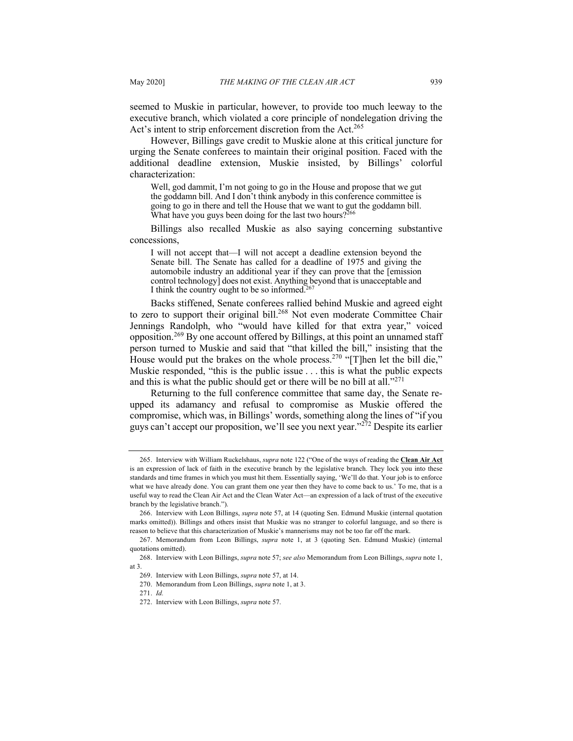seemed to Muskie in particular, however, to provide too much leeway to the executive branch, which violated a core principle of nondelegation driving the Act's intent to strip enforcement discretion from the Act.<sup>265</sup>

However, Billings gave credit to Muskie alone at this critical juncture for urging the Senate conferees to maintain their original position. Faced with the additional deadline extension, Muskie insisted, by Billings' colorful characterization:

Well, god dammit, I'm not going to go in the House and propose that we gut the goddamn bill. And I don't think anybody in this conference committee is going to go in there and tell the House that we want to gut the goddamn bill. What have you guys been doing for the last two hours?<sup>266</sup>

Billings also recalled Muskie as also saying concerning substantive concessions,

I will not accept that—I will not accept a deadline extension beyond the Senate bill. The Senate has called for a deadline of 1975 and giving the automobile industry an additional year if they can prove that the [emission control technology] does not exist. Anything beyond that is unacceptable and I think the country ought to be so informed.<sup>267</sup>

Backs stiffened, Senate conferees rallied behind Muskie and agreed eight to zero to support their original bill.<sup>268</sup> Not even moderate Committee Chair Jennings Randolph, who "would have killed for that extra year," voiced opposition.<sup>269</sup> By one account offered by Billings, at this point an unnamed staff person turned to Muskie and said that "that killed the bill," insisting that the House would put the brakes on the whole process.<sup>270</sup> "[T]hen let the bill die," Muskie responded, "this is the public issue . . . this is what the public expects and this is what the public should get or there will be no bill at all."<sup>271</sup>

Returning to the full conference committee that same day, the Senate reupped its adamancy and refusal to compromise as Muskie offered the compromise, which was, in Billings' words, something along the lines of "if you guys can't accept our proposition, we'll see you next year."<sup>272</sup> Despite its earlier

<sup>265.</sup> Interview with William Ruckelshaus, *supra* note 122 ("One of the ways of reading the **Clean Air Act** is an expression of lack of faith in the executive branch by the legislative branch. They lock you into these standards and time frames in which you must hit them. Essentially saying, 'We'll do that. Your job is to enforce what we have already done. You can grant them one year then they have to come back to us.' To me, that is a useful way to read the Clean Air Act and the Clean Water Act—an expression of a lack of trust of the executive branch by the legislative branch.").

<sup>266.</sup> Interview with Leon Billings, *supra* note 57, at 14 (quoting Sen. Edmund Muskie (internal quotation marks omitted)). Billings and others insist that Muskie was no stranger to colorful language, and so there is reason to believe that this characterization of Muskie's mannerisms may not be too far off the mark.

<sup>267.</sup> Memorandum from Leon Billings, *supra* note 1, at 3 (quoting Sen. Edmund Muskie) (internal quotations omitted).

<sup>268.</sup> Interview with Leon Billings, *supra* note 57; *see also* Memorandum from Leon Billings, *supra* note 1, at 3.

<sup>269.</sup> Interview with Leon Billings, *supra* note 57, at 14.

<sup>270.</sup> Memorandum from Leon Billings, *supra* note 1, at 3.

<sup>271.</sup> *Id.*

<sup>272.</sup> Interview with Leon Billings, *supra* note 57.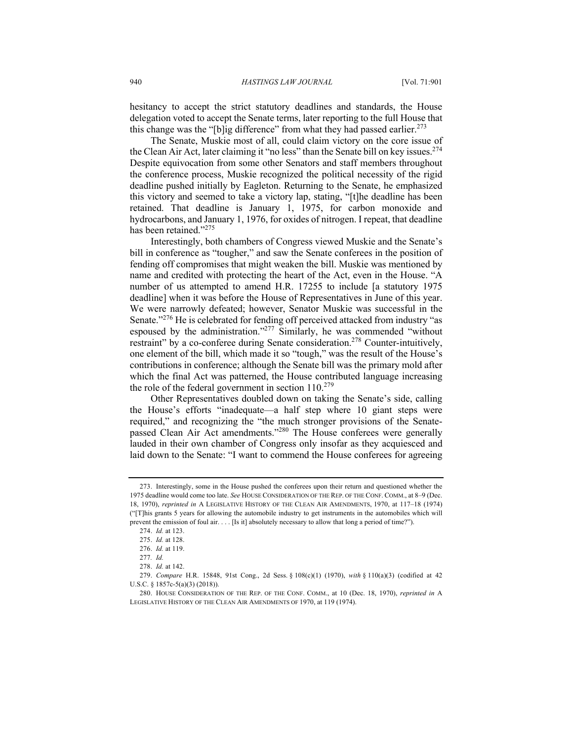hesitancy to accept the strict statutory deadlines and standards, the House delegation voted to accept the Senate terms, later reporting to the full House that this change was the "[b]ig difference" from what they had passed earlier.<sup>273</sup>

The Senate, Muskie most of all, could claim victory on the core issue of the Clean Air Act, later claiming it "no less" than the Senate bill on key issues.<sup>274</sup> Despite equivocation from some other Senators and staff members throughout the conference process, Muskie recognized the political necessity of the rigid deadline pushed initially by Eagleton. Returning to the Senate, he emphasized this victory and seemed to take a victory lap, stating, "[t]he deadline has been retained. That deadline is January 1, 1975, for carbon monoxide and hydrocarbons, and January 1, 1976, for oxides of nitrogen. I repeat, that deadline has been retained."<sup>275</sup>

Interestingly, both chambers of Congress viewed Muskie and the Senate's bill in conference as "tougher," and saw the Senate conferees in the position of fending off compromises that might weaken the bill. Muskie was mentioned by name and credited with protecting the heart of the Act, even in the House. "A number of us attempted to amend H.R. 17255 to include [a statutory 1975 deadline] when it was before the House of Representatives in June of this year. We were narrowly defeated; however, Senator Muskie was successful in the Senate."<sup>276</sup> He is celebrated for fending off perceived attacked from industry "as espoused by the administration."<sup>277</sup> Similarly, he was commended "without restraint" by a co-conferee during Senate consideration.<sup>278</sup> Counter-intuitively, one element of the bill, which made it so "tough," was the result of the House's contributions in conference; although the Senate bill was the primary mold after which the final Act was patterned, the House contributed language increasing the role of the federal government in section  $110^{279}$ 

Other Representatives doubled down on taking the Senate's side, calling the House's efforts "inadequate—a half step where 10 giant steps were required," and recognizing the "the much stronger provisions of the Senatepassed Clean Air Act amendments."<sup>280</sup> The House conferees were generally lauded in their own chamber of Congress only insofar as they acquiesced and laid down to the Senate: "I want to commend the House conferees for agreeing

<sup>273.</sup> Interestingly, some in the House pushed the conferees upon their return and questioned whether the 1975 deadline would come too late. *See* HOUSE CONSIDERATION OF THE REP. OF THE CONF. COMM., at 8–9 (Dec. 18, 1970), *reprinted in* A LEGISLATIVE HISTORY OF THE CLEAN AIR AMENDMENTS, 1970, at 117–18 (1974) ("[T]his grants 5 years for allowing the automobile industry to get instruments in the automobiles which will prevent the emission of foul air. . . . [Is it] absolutely necessary to allow that long a period of time?").

<sup>274.</sup> *Id.* at 123.

<sup>275.</sup> *Id.* at 128.

<sup>276.</sup> *Id.* at 119.

<sup>277</sup>*. Id.*

<sup>278.</sup> *Id.* at 142.

<sup>279.</sup> *Compare* H.R. 15848, 91st Cong., 2d Sess. § 108(c)(1) (1970), *with* § 110(a)(3) (codified at 42 U.S.C. § 1857c-5(a)(3) (2018)).

<sup>280.</sup> HOUSE CONSIDERATION OF THE REP. OF THE CONF. COMM., at 10 (Dec. 18, 1970), *reprinted in* A LEGISLATIVE HISTORY OF THE CLEAN AIR AMENDMENTS OF 1970, at 119 (1974).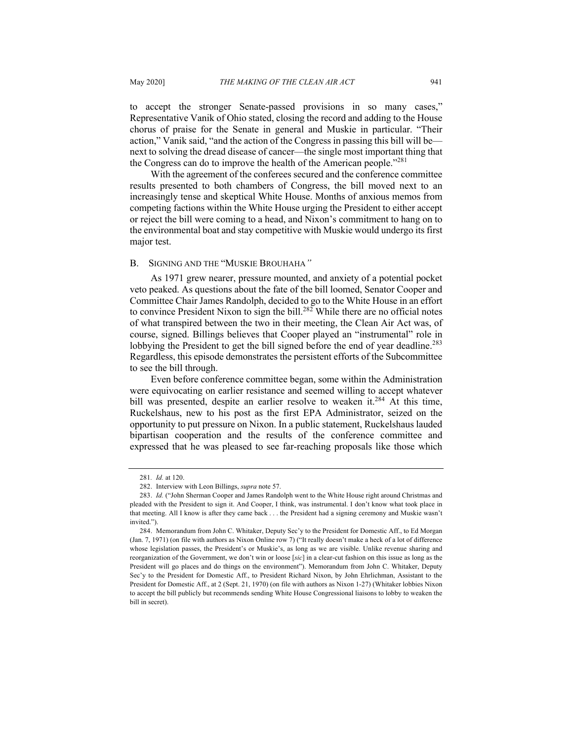to accept the stronger Senate-passed provisions in so many cases," Representative Vanik of Ohio stated, closing the record and adding to the House chorus of praise for the Senate in general and Muskie in particular. "Their action," Vanik said, "and the action of the Congress in passing this bill will be next to solving the dread disease of cancer—the single most important thing that the Congress can do to improve the health of the American people.<sup>"281</sup>

With the agreement of the conferees secured and the conference committee results presented to both chambers of Congress, the bill moved next to an increasingly tense and skeptical White House. Months of anxious memos from competing factions within the White House urging the President to either accept or reject the bill were coming to a head, and Nixon's commitment to hang on to the environmental boat and stay competitive with Muskie would undergo its first major test.

#### B. SIGNING AND THE "MUSKIE BROUHAHA*"*

As 1971 grew nearer, pressure mounted, and anxiety of a potential pocket veto peaked. As questions about the fate of the bill loomed, Senator Cooper and Committee Chair James Randolph, decided to go to the White House in an effort to convince President Nixon to sign the bill.<sup>282</sup> While there are no official notes of what transpired between the two in their meeting, the Clean Air Act was, of course, signed. Billings believes that Cooper played an "instrumental" role in lobbying the President to get the bill signed before the end of year deadline.<sup>283</sup> Regardless, this episode demonstrates the persistent efforts of the Subcommittee to see the bill through.

Even before conference committee began, some within the Administration were equivocating on earlier resistance and seemed willing to accept whatever bill was presented, despite an earlier resolve to weaken it.<sup>284</sup> At this time, Ruckelshaus, new to his post as the first EPA Administrator, seized on the opportunity to put pressure on Nixon. In a public statement, Ruckelshaus lauded bipartisan cooperation and the results of the conference committee and expressed that he was pleased to see far-reaching proposals like those which

<sup>281</sup>*. Id.* at 120.

<sup>282.</sup> Interview with Leon Billings, *supra* note 57.

<sup>283.</sup> *Id.* ("John Sherman Cooper and James Randolph went to the White House right around Christmas and pleaded with the President to sign it. And Cooper, I think, was instrumental. I don't know what took place in that meeting. All I know is after they came back . . . the President had a signing ceremony and Muskie wasn't invited.").

<sup>284.</sup> Memorandum from John C. Whitaker, Deputy Sec'y to the President for Domestic Aff., to Ed Morgan (Jan. 7, 1971) (on file with authors as Nixon Online row 7) ("It really doesn't make a heck of a lot of difference whose legislation passes, the President's or Muskie's, as long as we are visible. Unlike revenue sharing and reorganization of the Government, we don't win or loose [*sic*] in a clear-cut fashion on this issue as long as the President will go places and do things on the environment"). Memorandum from John C. Whitaker, Deputy Sec'y to the President for Domestic Aff., to President Richard Nixon, by John Ehrlichman, Assistant to the President for Domestic Aff., at 2 (Sept. 21, 1970) (on file with authors as Nixon 1-27) (Whitaker lobbies Nixon to accept the bill publicly but recommends sending White House Congressional liaisons to lobby to weaken the bill in secret).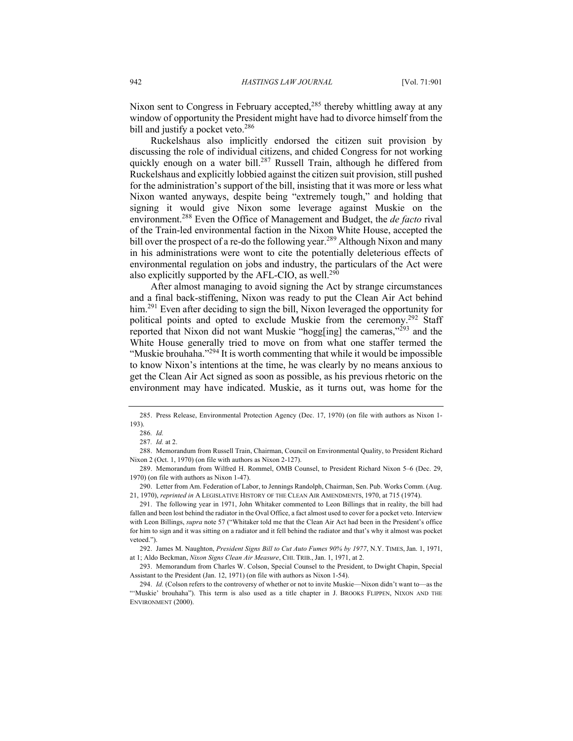Nixon sent to Congress in February accepted, $285$  thereby whittling away at any window of opportunity the President might have had to divorce himself from the bill and justify a pocket veto.<sup>286</sup>

Ruckelshaus also implicitly endorsed the citizen suit provision by discussing the role of individual citizens, and chided Congress for not working quickly enough on a water bill.<sup>287</sup> Russell Train, although he differed from Ruckelshaus and explicitly lobbied against the citizen suit provision, still pushed for the administration's support of the bill, insisting that it was more or less what Nixon wanted anyways, despite being "extremely tough," and holding that signing it would give Nixon some leverage against Muskie on the environment.288 Even the Office of Management and Budget, the *de facto* rival of the Train-led environmental faction in the Nixon White House, accepted the bill over the prospect of a re-do the following year.<sup>289</sup> Although Nixon and many in his administrations were wont to cite the potentially deleterious effects of environmental regulation on jobs and industry, the particulars of the Act were also explicitly supported by the AFL-CIO, as well.<sup>290</sup>

After almost managing to avoid signing the Act by strange circumstances and a final back-stiffening, Nixon was ready to put the Clean Air Act behind him.<sup>291</sup> Even after deciding to sign the bill, Nixon leveraged the opportunity for political points and opted to exclude Muskie from the ceremony.<sup>292</sup> Staff reported that Nixon did not want Muskie "hogg[ing] the cameras,"<sup>293</sup> and the White House generally tried to move on from what one staffer termed the "Muskie brouhaha."<sup>294</sup> It is worth commenting that while it would be impossible to know Nixon's intentions at the time, he was clearly by no means anxious to get the Clean Air Act signed as soon as possible, as his previous rhetoric on the environment may have indicated. Muskie, as it turns out, was home for the

288. Memorandum from Russell Train, Chairman, Council on Environmental Quality, to President Richard Nixon 2 (Oct. 1, 1970) (on file with authors as Nixon 2-127).

292. James M. Naughton, *President Signs Bill to Cut Auto Fumes 90% by 1977*, N.Y. TIMES, Jan. 1, 1971, at 1; Aldo Beckman, *Nixon Signs Clean Air Measure*, CHI. TRIB., Jan. 1, 1971, at 2.

293. Memorandum from Charles W. Colson, Special Counsel to the President, to Dwight Chapin, Special Assistant to the President (Jan. 12, 1971) (on file with authors as Nixon 1-54).

<sup>285.</sup> Press Release, Environmental Protection Agency (Dec. 17, 1970) (on file with authors as Nixon 1- 193).

<sup>286</sup>*. Id.*

<sup>287</sup>*. Id.* at 2.

<sup>289.</sup> Memorandum from Wilfred H. Rommel, OMB Counsel, to President Richard Nixon 5–6 (Dec. 29, 1970) (on file with authors as Nixon 1-47).

<sup>290.</sup> Letter from Am. Federation of Labor, to Jennings Randolph, Chairman, Sen. Pub. Works Comm. (Aug. 21, 1970), *reprinted in* A LEGISLATIVE HISTORY OF THE CLEAN AIR AMENDMENTS, 1970, at 715 (1974).

<sup>291.</sup> The following year in 1971, John Whitaker commented to Leon Billings that in reality, the bill had fallen and been lost behind the radiator in the Oval Office, a fact almost used to cover for a pocket veto. Interview with Leon Billings, *supra* note 57 ("Whitaker told me that the Clean Air Act had been in the President's office for him to sign and it was sitting on a radiator and it fell behind the radiator and that's why it almost was pocket vetoed.").

<sup>294.</sup> *Id.* (Colson refers to the controversy of whether or not to invite Muskie—Nixon didn't want to—as the "'Muskie' brouhaha"). This term is also used as a title chapter in J. BROOKS FLIPPEN, NIXON AND THE ENVIRONMENT (2000).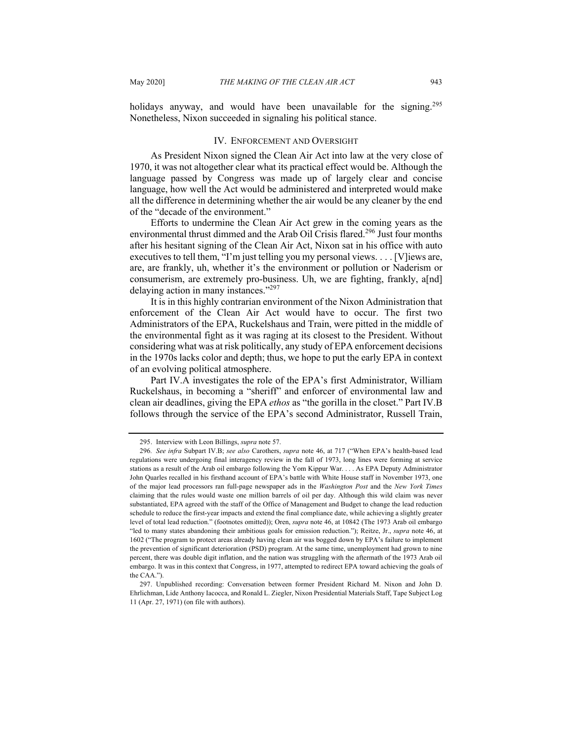holidays anyway, and would have been unavailable for the signing.<sup>295</sup> Nonetheless, Nixon succeeded in signaling his political stance.

#### IV. ENFORCEMENT AND OVERSIGHT

As President Nixon signed the Clean Air Act into law at the very close of 1970, it was not altogether clear what its practical effect would be. Although the language passed by Congress was made up of largely clear and concise language, how well the Act would be administered and interpreted would make all the difference in determining whether the air would be any cleaner by the end of the "decade of the environment."

Efforts to undermine the Clean Air Act grew in the coming years as the environmental thrust dimmed and the Arab Oil Crisis flared.<sup>296</sup> Just four months after his hesitant signing of the Clean Air Act, Nixon sat in his office with auto executives to tell them, "I'm just telling you my personal views. . . . [V]iews are, are, are frankly, uh, whether it's the environment or pollution or Naderism or consumerism, are extremely pro-business. Uh, we are fighting, frankly, a[nd] delaying action in many instances."297

It is in this highly contrarian environment of the Nixon Administration that enforcement of the Clean Air Act would have to occur. The first two Administrators of the EPA, Ruckelshaus and Train, were pitted in the middle of the environmental fight as it was raging at its closest to the President. Without considering what was at risk politically, any study of EPA enforcement decisions in the 1970s lacks color and depth; thus, we hope to put the early EPA in context of an evolving political atmosphere.

Part IV.A investigates the role of the EPA's first Administrator, William Ruckelshaus, in becoming a "sheriff" and enforcer of environmental law and clean air deadlines, giving the EPA *ethos* as "the gorilla in the closet." Part IV.B follows through the service of the EPA's second Administrator, Russell Train,

<sup>295.</sup> Interview with Leon Billings, *supra* note 57.

<sup>296</sup>*. See infra* Subpart IV.B; *see also* Carothers, *supra* note 46, at 717 ("When EPA's health-based lead regulations were undergoing final interagency review in the fall of 1973, long lines were forming at service stations as a result of the Arab oil embargo following the Yom Kippur War. . . . As EPA Deputy Administrator John Quarles recalled in his firsthand account of EPA's battle with White House staff in November 1973, one of the major lead processors ran full-page newspaper ads in the *Washington Post* and the *New York Times* claiming that the rules would waste one million barrels of oil per day. Although this wild claim was never substantiated, EPA agreed with the staff of the Office of Management and Budget to change the lead reduction schedule to reduce the first-year impacts and extend the final compliance date, while achieving a slightly greater level of total lead reduction." (footnotes omitted)); Oren, *supra* note 46, at 10842 (The 1973 Arab oil embargo "led to many states abandoning their ambitious goals for emission reduction."); Reitze, Jr., *supra* note 46, at 1602 ("The program to protect areas already having clean air was bogged down by EPA's failure to implement the prevention of significant deterioration (PSD) program. At the same time, unemployment had grown to nine percent, there was double digit inflation, and the nation was struggling with the aftermath of the 1973 Arab oil embargo. It was in this context that Congress, in 1977, attempted to redirect EPA toward achieving the goals of the CAA.").

<sup>297.</sup> Unpublished recording: Conversation between former President Richard M. Nixon and John D. Ehrlichman, Lide Anthony Iacocca, and Ronald L. Ziegler, Nixon Presidential Materials Staff, Tape Subject Log 11 (Apr. 27, 1971) (on file with authors).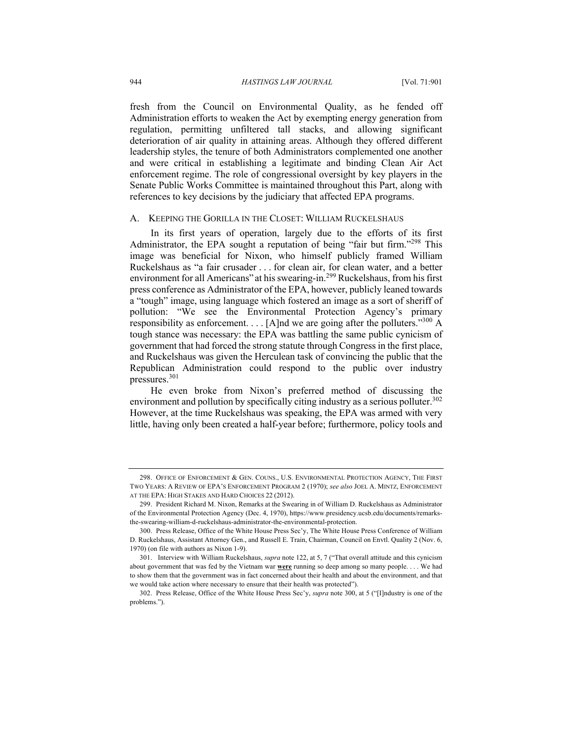fresh from the Council on Environmental Quality, as he fended off Administration efforts to weaken the Act by exempting energy generation from regulation, permitting unfiltered tall stacks, and allowing significant deterioration of air quality in attaining areas. Although they offered different leadership styles, the tenure of both Administrators complemented one another and were critical in establishing a legitimate and binding Clean Air Act enforcement regime. The role of congressional oversight by key players in the Senate Public Works Committee is maintained throughout this Part, along with references to key decisions by the judiciary that affected EPA programs.

### A. KEEPING THE GORILLA IN THE CLOSET: WILLIAM RUCKELSHAUS

In its first years of operation, largely due to the efforts of its first Administrator, the EPA sought a reputation of being "fair but firm."<sup>298</sup> This image was beneficial for Nixon, who himself publicly framed William Ruckelshaus as "a fair crusader . . . for clean air, for clean water, and a better environment for all Americans" at his swearing-in.<sup>299</sup> Ruckelshaus, from his first press conference as Administrator of the EPA, however, publicly leaned towards a "tough" image, using language which fostered an image as a sort of sheriff of pollution: "We see the Environmental Protection Agency's primary responsibility as enforcement. . . . [A]nd we are going after the polluters."<sup>300</sup> A tough stance was necessary: the EPA was battling the same public cynicism of government that had forced the strong statute through Congress in the first place, and Ruckelshaus was given the Herculean task of convincing the public that the Republican Administration could respond to the public over industry pressures.<sup>301</sup>

He even broke from Nixon's preferred method of discussing the environment and pollution by specifically citing industry as a serious polluter.<sup>302</sup> However, at the time Ruckelshaus was speaking, the EPA was armed with very little, having only been created a half-year before; furthermore, policy tools and

<sup>298.</sup> OFFICE OF ENFORCEMENT & GEN. COUNS., U.S. ENVIRONMENTAL PROTECTION AGENCY, THE FIRST TWO YEARS: A REVIEW OF EPA'S ENFORCEMENT PROGRAM 2 (1970); *see also* JOEL A. MINTZ, ENFORCEMENT AT THE EPA: HIGH STAKES AND HARD CHOICES 22 (2012).

<sup>299.</sup> President Richard M. Nixon, Remarks at the Swearing in of William D. Ruckelshaus as Administrator of the Environmental Protection Agency (Dec. 4, 1970), https://www.presidency.ucsb.edu/documents/remarksthe-swearing-william-d-ruckelshaus-administrator-the-environmental-protection.

<sup>300.</sup> Press Release, Office of the White House Press Sec'y, The White House Press Conference of William D. Ruckelshaus, Assistant Attorney Gen., and Russell E. Train, Chairman, Council on Envtl. Quality 2 (Nov. 6, 1970) (on file with authors as Nixon 1-9).

<sup>301.</sup> Interview with William Ruckelshaus, *supra* note 122, at 5, 7 ("That overall attitude and this cynicism about government that was fed by the Vietnam war **were** running so deep among so many people. . . . We had to show them that the government was in fact concerned about their health and about the environment, and that we would take action where necessary to ensure that their health was protected").

<sup>302.</sup> Press Release, Office of the White House Press Sec'y, *supra* note 300, at 5 ("[I]ndustry is one of the problems.").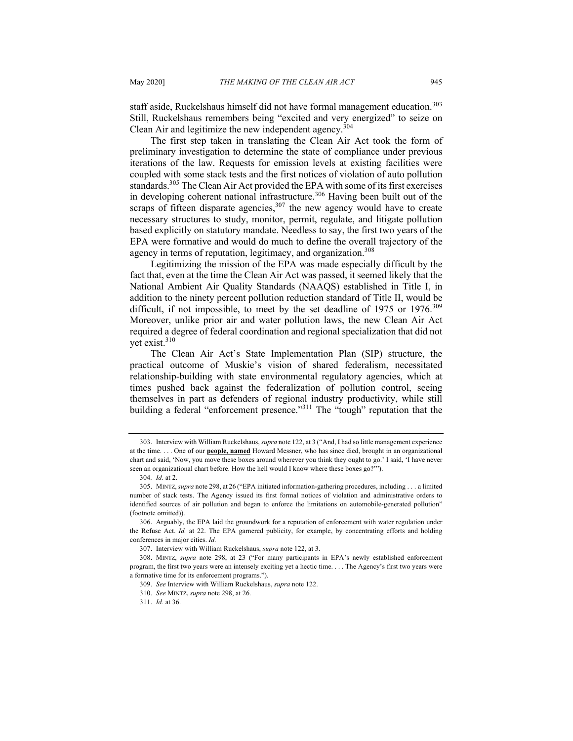staff aside, Ruckelshaus himself did not have formal management education.<sup>303</sup> Still, Ruckelshaus remembers being "excited and very energized" to seize on Clean Air and legitimize the new independent agency.<sup>304</sup>

The first step taken in translating the Clean Air Act took the form of preliminary investigation to determine the state of compliance under previous iterations of the law. Requests for emission levels at existing facilities were coupled with some stack tests and the first notices of violation of auto pollution standards.<sup>305</sup> The Clean Air Act provided the EPA with some of its first exercises in developing coherent national infrastructure.<sup>306</sup> Having been built out of the scraps of fifteen disparate agencies,  $307$  the new agency would have to create necessary structures to study, monitor, permit, regulate, and litigate pollution based explicitly on statutory mandate. Needless to say, the first two years of the EPA were formative and would do much to define the overall trajectory of the agency in terms of reputation, legitimacy, and organization.<sup>308</sup>

Legitimizing the mission of the EPA was made especially difficult by the fact that, even at the time the Clean Air Act was passed, it seemed likely that the National Ambient Air Quality Standards (NAAQS) established in Title I, in addition to the ninety percent pollution reduction standard of Title II, would be difficult, if not impossible, to meet by the set deadline of 1975 or  $1976$ .<sup>309</sup> Moreover, unlike prior air and water pollution laws, the new Clean Air Act required a degree of federal coordination and regional specialization that did not yet exist.<sup>310</sup>

The Clean Air Act's State Implementation Plan (SIP) structure, the practical outcome of Muskie's vision of shared federalism, necessitated relationship-building with state environmental regulatory agencies, which at times pushed back against the federalization of pollution control, seeing themselves in part as defenders of regional industry productivity, while still building a federal "enforcement presence."<sup>311</sup> The "tough" reputation that the

<sup>303.</sup> Interview with William Ruckelshaus, *supra* note 122, at 3 ("And, I had so little management experience at the time. . . . One of our **people, named** Howard Messner, who has since died, brought in an organizational chart and said, 'Now, you move these boxes around wherever you think they ought to go.' I said, 'I have never seen an organizational chart before. How the hell would I know where these boxes go?'").

<sup>304</sup>*. Id.* at 2.

<sup>305.</sup> MINTZ,*supra* note 298, at 26 ("EPA initiated information-gathering procedures, including . . . a limited number of stack tests. The Agency issued its first formal notices of violation and administrative orders to identified sources of air pollution and began to enforce the limitations on automobile-generated pollution" (footnote omitted)).

<sup>306.</sup> Arguably, the EPA laid the groundwork for a reputation of enforcement with water regulation under the Refuse Act. *Id.* at 22. The EPA garnered publicity, for example, by concentrating efforts and holding conferences in major cities. *Id.*

<sup>307.</sup> Interview with William Ruckelshaus, *supra* note 122, at 3.

<sup>308.</sup> MINTZ, *supra* note 298, at 23 ("For many participants in EPA's newly established enforcement program, the first two years were an intensely exciting yet a hectic time. . . . The Agency's first two years were a formative time for its enforcement programs.").

<sup>309.</sup> *See* Interview with William Ruckelshaus, *supra* note 122.

<sup>310.</sup> *See* MINTZ, *supra* note 298, at 26.

<sup>311.</sup> *Id.* at 36.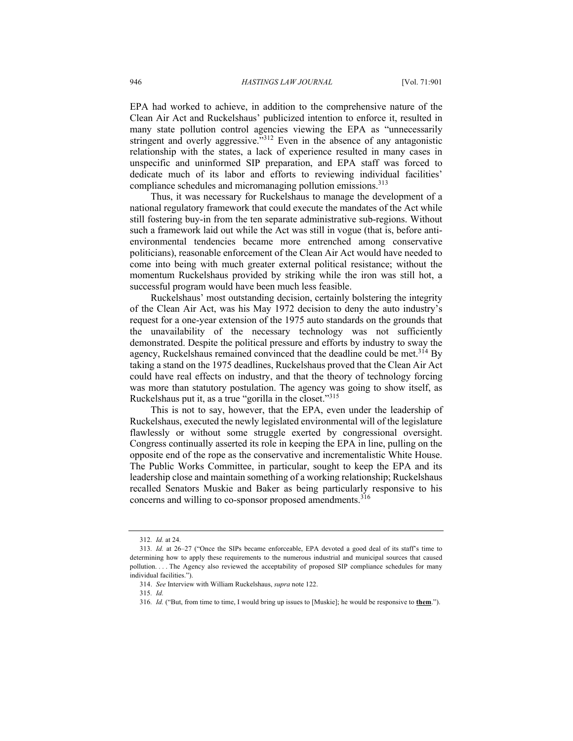EPA had worked to achieve, in addition to the comprehensive nature of the Clean Air Act and Ruckelshaus' publicized intention to enforce it, resulted in many state pollution control agencies viewing the EPA as "unnecessarily stringent and overly aggressive."<sup>312</sup> Even in the absence of any antagonistic relationship with the states, a lack of experience resulted in many cases in unspecific and uninformed SIP preparation, and EPA staff was forced to dedicate much of its labor and efforts to reviewing individual facilities' compliance schedules and micromanaging pollution emissions.<sup>313</sup>

Thus, it was necessary for Ruckelshaus to manage the development of a national regulatory framework that could execute the mandates of the Act while still fostering buy-in from the ten separate administrative sub-regions. Without such a framework laid out while the Act was still in vogue (that is, before antienvironmental tendencies became more entrenched among conservative politicians), reasonable enforcement of the Clean Air Act would have needed to come into being with much greater external political resistance; without the momentum Ruckelshaus provided by striking while the iron was still hot, a successful program would have been much less feasible.

Ruckelshaus' most outstanding decision, certainly bolstering the integrity of the Clean Air Act, was his May 1972 decision to deny the auto industry's request for a one-year extension of the 1975 auto standards on the grounds that the unavailability of the necessary technology was not sufficiently demonstrated. Despite the political pressure and efforts by industry to sway the agency, Ruckelshaus remained convinced that the deadline could be met.<sup>314</sup> By taking a stand on the 1975 deadlines, Ruckelshaus proved that the Clean Air Act could have real effects on industry, and that the theory of technology forcing was more than statutory postulation. The agency was going to show itself, as Ruckelshaus put it, as a true "gorilla in the closet."<sup>315</sup>

This is not to say, however, that the EPA, even under the leadership of Ruckelshaus, executed the newly legislated environmental will of the legislature flawlessly or without some struggle exerted by congressional oversight. Congress continually asserted its role in keeping the EPA in line, pulling on the opposite end of the rope as the conservative and incrementalistic White House. The Public Works Committee, in particular, sought to keep the EPA and its leadership close and maintain something of a working relationship; Ruckelshaus recalled Senators Muskie and Baker as being particularly responsive to his concerns and willing to co-sponsor proposed amendments.<sup>316</sup>

<sup>312</sup>*. Id.* at 24.

<sup>313</sup>*. Id.* at 26–27 ("Once the SIPs became enforceable, EPA devoted a good deal of its staff's time to determining how to apply these requirements to the numerous industrial and municipal sources that caused pollution. . . . The Agency also reviewed the acceptability of proposed SIP compliance schedules for many individual facilities.").

<sup>314.</sup> *See* Interview with William Ruckelshaus, *supra* note 122.

<sup>315</sup>*. Id.*

<sup>316</sup>*. Id.* ("But, from time to time, I would bring up issues to [Muskie]; he would be responsive to **them**.").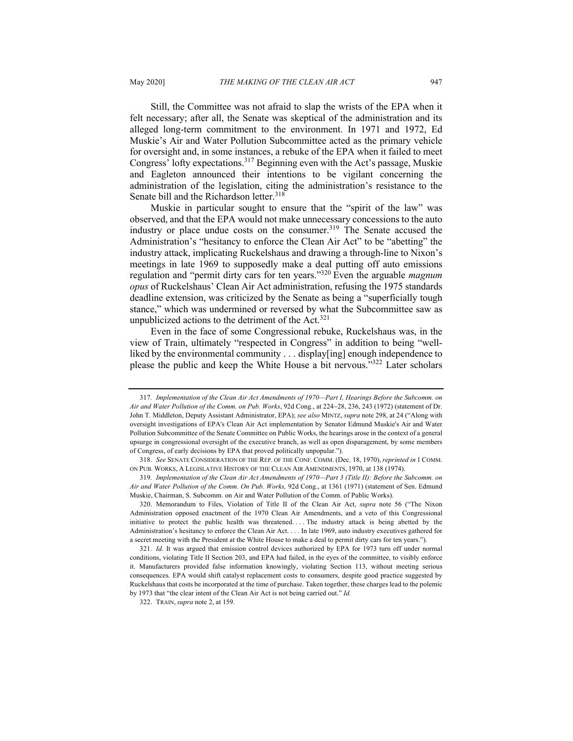Still, the Committee was not afraid to slap the wrists of the EPA when it felt necessary; after all, the Senate was skeptical of the administration and its alleged long-term commitment to the environment. In 1971 and 1972, Ed Muskie's Air and Water Pollution Subcommittee acted as the primary vehicle for oversight and, in some instances, a rebuke of the EPA when it failed to meet Congress' lofty expectations.<sup>317</sup> Beginning even with the Act's passage, Muskie and Eagleton announced their intentions to be vigilant concerning the administration of the legislation, citing the administration's resistance to the Senate bill and the Richardson letter.<sup>318</sup>

Muskie in particular sought to ensure that the "spirit of the law" was observed, and that the EPA would not make unnecessary concessions to the auto industry or place undue costs on the consumer.<sup>319</sup> The Senate accused the Administration's "hesitancy to enforce the Clean Air Act" to be "abetting" the industry attack, implicating Ruckelshaus and drawing a through-line to Nixon's meetings in late 1969 to supposedly make a deal putting off auto emissions regulation and "permit dirty cars for ten years."320 Even the arguable *magnum opus* of Ruckelshaus' Clean Air Act administration, refusing the 1975 standards deadline extension, was criticized by the Senate as being a "superficially tough stance," which was undermined or reversed by what the Subcommittee saw as unpublicized actions to the detriment of the Act.<sup>321</sup>

Even in the face of some Congressional rebuke, Ruckelshaus was, in the view of Train, ultimately "respected in Congress" in addition to being "wellliked by the environmental community . . . display[ing] enough independence to please the public and keep the White House a bit nervous."322 Later scholars

320. Memorandum to Files, Violation of Title II of the Clean Air Act, *supra* note 56 ("The Nixon Administration opposed enactment of the 1970 Clean Air Amendments, and a veto of this Congressional initiative to protect the public health was threatened. . . . The industry attack is being abetted by the Administration's hesitancy to enforce the Clean Air Act. . . . In late 1969, auto industry executives gathered for a secret meeting with the President at the White House to make a deal to permit dirty cars for ten years.").

<sup>317</sup>*. Implementation of the Clean Air Act Amendments of 1970—Part I, Hearings Before the Subcomm. on Air and Water Pollution of the Comm. on Pub. Works*, 92d Cong., at 224-28, 236, 243 (1972) (statement of Dr. John T. Middleton, Deputy Assistant Administrator, EPA); *see also* MINTZ, *supra* note 298, at 24 ("Along with oversight investigations of EPA's Clean Air Act implementation by Senator Edmund Muskie's Air and Water Pollution Subcommittee of the Senate Committee on Public Works, the hearings arose in the context of a general upsurge in congressional oversight of the executive branch, as well as open disparagement, by some members of Congress, of early decisions by EPA that proved politically unpopular.").

<sup>318.</sup> *See* SENATE CONSIDERATION OF THE REP. OF THE CONF. COMM. (Dec. 18, 1970),*reprinted in* 1 COMM. ON PUB. WORKS, A LEGISLATIVE HISTORY OF THE CLEAN AIR AMENDMENTS, 1970, at 138 (1974).

<sup>319</sup>*. Implementation of the Clean Air Act Amendments of 1970—Part 3 (Title II): Before the Subcomm. on Air and Water Pollution of the Comm. On Pub. Works,* 92d Cong., at 1361 (1971) (statement of Sen. Edmund Muskie, Chairman, S. Subcomm. on Air and Water Pollution of the Comm. of Public Works).

<sup>321</sup>*. Id.* It was argued that emission control devices authorized by EPA for 1973 turn off under normal conditions, violating Title II Section 203, and EPA had failed, in the eyes of the committee, to visibly enforce it. Manufacturers provided false information knowingly, violating Section 113, without meeting serious consequences. EPA would shift catalyst replacement costs to consumers, despite good practice suggested by Ruckelshaus that costs be incorporated at the time of purchase. Taken together, these charges lead to the polemic by 1973 that "the clear intent of the Clean Air Act is not being carried out." *Id.*

<sup>322.</sup> TRAIN, *supra* note 2, at 159.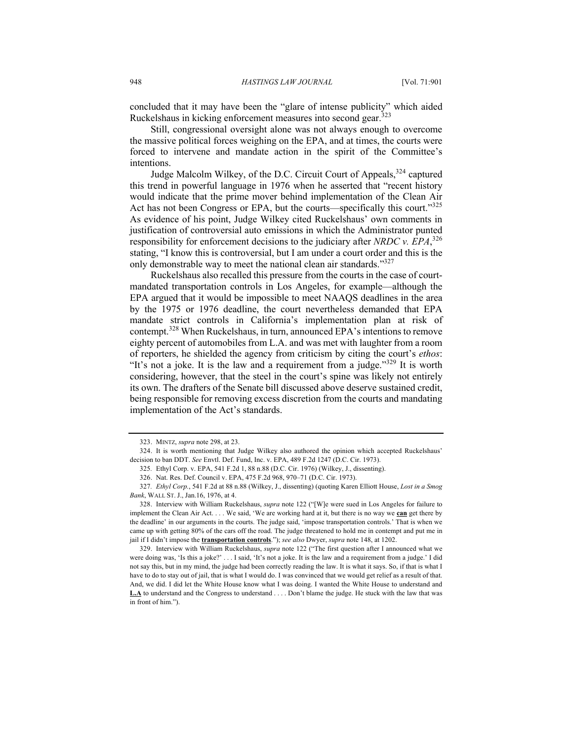concluded that it may have been the "glare of intense publicity" which aided Ruckelshaus in kicking enforcement measures into second gear.323

Still, congressional oversight alone was not always enough to overcome the massive political forces weighing on the EPA, and at times, the courts were forced to intervene and mandate action in the spirit of the Committee's intentions.

Judge Malcolm Wilkey, of the D.C. Circuit Court of Appeals,<sup>324</sup> captured this trend in powerful language in 1976 when he asserted that "recent history would indicate that the prime mover behind implementation of the Clean Air Act has not been Congress or EPA, but the courts—specifically this court."<sup>325</sup> As evidence of his point, Judge Wilkey cited Ruckelshaus' own comments in justification of controversial auto emissions in which the Administrator punted responsibility for enforcement decisions to the judiciary after *NRDC v. EPA*, 326 stating, "I know this is controversial, but I am under a court order and this is the only demonstrable way to meet the national clean air standards."<sup>327</sup>

Ruckelshaus also recalled this pressure from the courts in the case of courtmandated transportation controls in Los Angeles, for example—although the EPA argued that it would be impossible to meet NAAQS deadlines in the area by the 1975 or 1976 deadline, the court nevertheless demanded that EPA mandate strict controls in California's implementation plan at risk of contempt.<sup>328</sup> When Ruckelshaus, in turn, announced EPA's intentions to remove eighty percent of automobiles from L.A. and was met with laughter from a room of reporters, he shielded the agency from criticism by citing the court's *ethos*: "It's not a joke. It is the law and a requirement from a judge."<sup>329</sup> It is worth considering, however, that the steel in the court's spine was likely not entirely its own. The drafters of the Senate bill discussed above deserve sustained credit, being responsible for removing excess discretion from the courts and mandating implementation of the Act's standards.

329. Interview with William Ruckelshaus, *supra* note 122 ("The first question after I announced what we were doing was, 'Is this a joke?' . . . I said, 'It's not a joke. It is the law and a requirement from a judge.' I did not say this, but in my mind, the judge had been correctly reading the law. It is what it says. So, if that is what I have to do to stay out of jail, that is what I would do. I was convinced that we would get relief as a result of that. And, we did. I did let the White House know what I was doing. I wanted the White House to understand and **L.A** to understand and the Congress to understand . . . . Don't blame the judge. He stuck with the law that was in front of him.").

<sup>323.</sup> MINTZ, *supra* note 298, at 23.

<sup>324.</sup> It is worth mentioning that Judge Wilkey also authored the opinion which accepted Ruckelshaus' decision to ban DDT. *See* Envtl. Def. Fund, Inc. v. EPA, 489 F.2d 1247 (D.C. Cir. 1973).

<sup>325</sup>*.* Ethyl Corp. v. EPA, 541 F.2d 1, 88 n.88 (D.C. Cir. 1976) (Wilkey, J., dissenting).

<sup>326.</sup> Nat. Res. Def. Council v. EPA, 475 F.2d 968, 970–71 (D.C. Cir. 1973).

<sup>327</sup>*. Ethyl Corp.*, 541 F.2d at 88 n.88 (Wilkey, J., dissenting) (quoting Karen Elliott House, *Lost in a Smog Bank*, WALL ST. J., Jan.16, 1976, at 4.

<sup>328.</sup> Interview with William Ruckelshaus, *supra* note 122 ("[W]e were sued in Los Angeles for failure to implement the Clean Air Act. . . . We said, 'We are working hard at it, but there is no way we **can** get there by the deadline' in our arguments in the courts. The judge said, 'impose transportation controls.' That is when we came up with getting 80% of the cars off the road. The judge threatened to hold me in contempt and put me in jail if I didn't impose the **transportation controls**."); *see also* Dwyer, *supra* note 148, at 1202.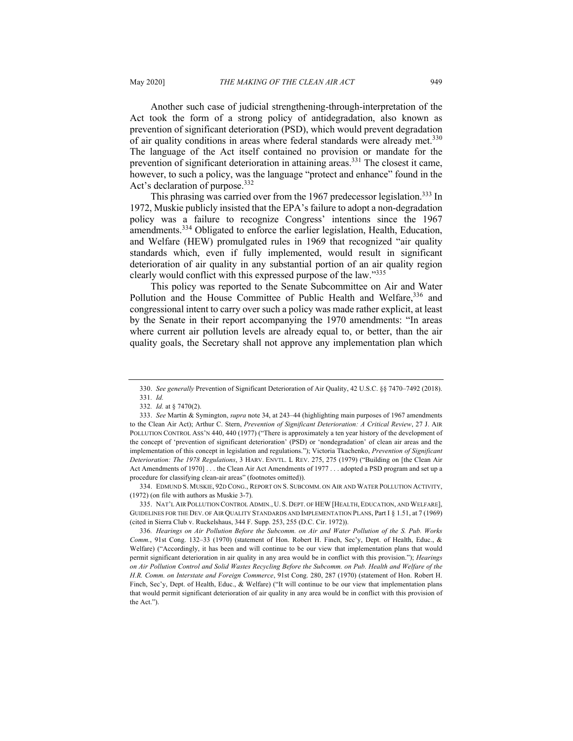Another such case of judicial strengthening-through-interpretation of the Act took the form of a strong policy of antidegradation, also known as prevention of significant deterioration (PSD), which would prevent degradation of air quality conditions in areas where federal standards were already met.<sup>330</sup> The language of the Act itself contained no provision or mandate for the prevention of significant deterioration in attaining areas.<sup>331</sup> The closest it came, however, to such a policy, was the language "protect and enhance" found in the Act's declaration of purpose.<sup>332</sup>

This phrasing was carried over from the 1967 predecessor legislation.<sup>333</sup> In 1972, Muskie publicly insisted that the EPA's failure to adopt a non-degradation policy was a failure to recognize Congress' intentions since the 1967 amendments.<sup>334</sup> Obligated to enforce the earlier legislation, Health, Education, and Welfare (HEW) promulgated rules in 1969 that recognized "air quality standards which, even if fully implemented, would result in significant deterioration of air quality in any substantial portion of an air quality region clearly would conflict with this expressed purpose of the law."335

This policy was reported to the Senate Subcommittee on Air and Water Pollution and the House Committee of Public Health and Welfare, 336 and congressional intent to carry over such a policy was made rather explicit, at least by the Senate in their report accompanying the 1970 amendments: "In areas where current air pollution levels are already equal to, or better, than the air quality goals, the Secretary shall not approve any implementation plan which

334. EDMUND S. MUSKIE, 92D CONG., REPORT ON S. SUBCOMM. ON AIR AND WATER POLLUTION ACTIVITY, (1972) (on file with authors as Muskie 3-7).

335. NAT'L AIR POLLUTION CONTROL ADMIN., U. S. DEPT. OF HEW [HEALTH, EDUCATION, AND WELFARE], GUIDELINES FOR THE DEV. OF AIR QUALITY STANDARDS AND IMPLEMENTATION PLANS, Part I § 1.51, at 7 (1969) (cited in Sierra Club v. Ruckelshaus, 344 F. Supp. 253, 255 (D.C. Cir. 1972)).

<sup>330.</sup> *See generally* Prevention of Significant Deterioration of Air Quality, 42 U.S.C. §§ 7470–7492 (2018). 331*. Id.*

<sup>332</sup>*. Id.* at § 7470(2).

<sup>333.</sup> *See* Martin & Symington, *supra* note 34, at 243–44 (highlighting main purposes of 1967 amendments to the Clean Air Act); Arthur C. Stern, *Prevention of Significant Deterioration: A Critical Review*, 27 J. AIR POLLUTION CONTROL ASS'N 440, 440 (1977) ("There is approximately a ten year history of the development of the concept of 'prevention of significant deterioration' (PSD) or 'nondegradation' of clean air areas and the implementation of this concept in legislation and regulations."); Victoria Tkachenko, *Prevention of Significant Deterioration: The 1978 Regulations*, 3 HARV. ENVTL. L REV. 275, 275 (1979) ("Building on [the Clean Air Act Amendments of 1970] . . . the Clean Air Act Amendments of 1977 . . . adopted a PSD program and set up a procedure for classifying clean-air areas" (footnotes omitted)).

<sup>336</sup>*. Hearings on Air Pollution Before the Subcomm. on Air and Water Pollution of the S. Pub. Works Comm.*, 91st Cong. 132–33 (1970) (statement of Hon. Robert H. Finch, Sec'y, Dept. of Health, Educ., & Welfare) ("Accordingly, it has been and will continue to be our view that implementation plans that would permit significant deterioration in air quality in any area would be in conflict with this provision."); *Hearings on Air Pollution Control and Solid Wastes Recycling Before the Subcomm. on Pub. Health and Welfare of the H.R. Comm. on Interstate and Foreign Commerce*, 91st Cong. 280, 287 (1970) (statement of Hon. Robert H. Finch, Sec'y, Dept. of Health, Educ., & Welfare) ("It will continue to be our view that implementation plans that would permit significant deterioration of air quality in any area would be in conflict with this provision of the Act.").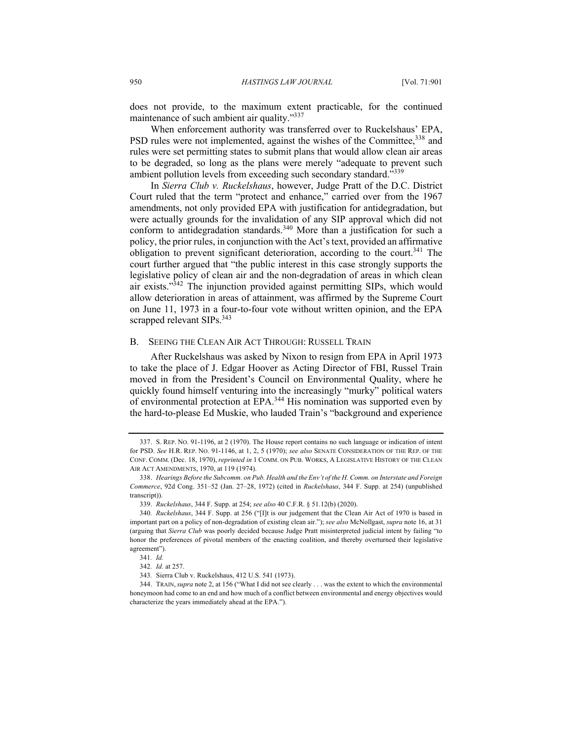does not provide, to the maximum extent practicable, for the continued maintenance of such ambient air quality."337

When enforcement authority was transferred over to Ruckelshaus' EPA, PSD rules were not implemented, against the wishes of the Committee,<sup>338</sup> and rules were set permitting states to submit plans that would allow clean air areas to be degraded, so long as the plans were merely "adequate to prevent such ambient pollution levels from exceeding such secondary standard."339

In *Sierra Club v. Ruckelshaus*, however, Judge Pratt of the D.C. District Court ruled that the term "protect and enhance," carried over from the 1967 amendments, not only provided EPA with justification for antidegradation, but were actually grounds for the invalidation of any SIP approval which did not conform to antidegradation standards.<sup>340</sup> More than a justification for such a policy, the prior rules, in conjunction with the Act's text, provided an affirmative obligation to prevent significant deterioration, according to the court.<sup>341</sup> The court further argued that "the public interest in this case strongly supports the legislative policy of clean air and the non-degradation of areas in which clean air exists."<sup>342</sup> The injunction provided against permitting SIPs, which would allow deterioration in areas of attainment, was affirmed by the Supreme Court on June 11, 1973 in a four-to-four vote without written opinion, and the EPA scrapped relevant SIPs.<sup>343</sup>

#### B. SEEING THE CLEAN AIR ACT THROUGH: RUSSELL TRAIN

After Ruckelshaus was asked by Nixon to resign from EPA in April 1973 to take the place of J. Edgar Hoover as Acting Director of FBI, Russel Train moved in from the President's Council on Environmental Quality, where he quickly found himself venturing into the increasingly "murky" political waters of environmental protection at EPA.<sup>344</sup> His nomination was supported even by the hard-to-please Ed Muskie, who lauded Train's "background and experience

<sup>337.</sup> S. REP. NO. 91-1196, at 2 (1970). The House report contains no such language or indication of intent for PSD. *See* H.R. REP. NO. 91-1146, at 1, 2, 5 (1970); *see also* SENATE CONSIDERATION OF THE REP. OF THE CONF. COMM. (Dec. 18, 1970), *reprinted in* 1 COMM. ON PUB. WORKS, A LEGISLATIVE HISTORY OF THE CLEAN AIR ACT AMENDMENTS, 1970, at 119 (1974).

<sup>338.</sup> *Hearings Before the Subcomm. on Pub. Health and the Env't of the H. Comm. on Interstate and Foreign Commerce*, 92d Cong. 351–52 (Jan. 27–28, 1972) (cited in *Ruckelshaus*, 344 F. Supp. at 254) (unpublished transcript)).

<sup>339.</sup> *Ruckelshaus*, 344 F. Supp. at 254; *see also* 40 C.F.R. § 51.12(b) (2020).

<sup>340</sup>*. Ruckelshaus*, 344 F. Supp. at 256 ("[I]t is our judgement that the Clean Air Act of 1970 is based in important part on a policy of non-degradation of existing clean air."); *see also* McNollgast, *supra* note 16, at 31 (arguing that *Sierra Club* was poorly decided because Judge Pratt misinterpreted judicial intent by failing "to honor the preferences of pivotal members of the enacting coalition, and thereby overturned their legislative agreement").

<sup>341</sup>*. Id.* 

<sup>342</sup>*. Id.* at 257.

<sup>343</sup>*.* Sierra Club v. Ruckelshaus, 412 U.S. 541 (1973).

<sup>344.</sup> TRAIN,*supra* note 2, at 156 ("What I did not see clearly . . . was the extent to which the environmental honeymoon had come to an end and how much of a conflict between environmental and energy objectives would characterize the years immediately ahead at the EPA.").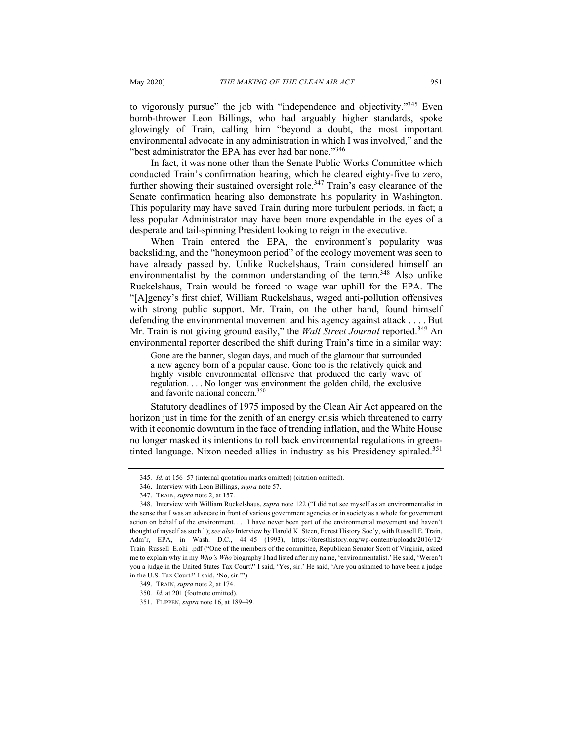to vigorously pursue" the job with "independence and objectivity."<sup>345</sup> Even bomb-thrower Leon Billings, who had arguably higher standards, spoke glowingly of Train, calling him "beyond a doubt, the most important environmental advocate in any administration in which I was involved," and the "best administrator the EPA has ever had bar none."<sup>346</sup>

In fact, it was none other than the Senate Public Works Committee which conducted Train's confirmation hearing, which he cleared eighty-five to zero, further showing their sustained oversight role.<sup>347</sup> Train's easy clearance of the Senate confirmation hearing also demonstrate his popularity in Washington. This popularity may have saved Train during more turbulent periods, in fact; a less popular Administrator may have been more expendable in the eyes of a desperate and tail-spinning President looking to reign in the executive.

When Train entered the EPA, the environment's popularity was backsliding, and the "honeymoon period" of the ecology movement was seen to have already passed by. Unlike Ruckelshaus, Train considered himself an environmentalist by the common understanding of the term.<sup>348</sup> Also unlike Ruckelshaus, Train would be forced to wage war uphill for the EPA. The "[A]gency's first chief, William Ruckelshaus, waged anti-pollution offensives with strong public support. Mr. Train, on the other hand, found himself defending the environmental movement and his agency against attack . . . . But Mr. Train is not giving ground easily," the *Wall Street Journal* reported.<sup>349</sup> An environmental reporter described the shift during Train's time in a similar way:

Gone are the banner, slogan days, and much of the glamour that surrounded a new agency born of a popular cause. Gone too is the relatively quick and highly visible environmental offensive that produced the early wave of regulation. . . . No longer was environment the golden child, the exclusive and favorite national concern. 350

Statutory deadlines of 1975 imposed by the Clean Air Act appeared on the horizon just in time for the zenith of an energy crisis which threatened to carry with it economic downturn in the face of trending inflation, and the White House no longer masked its intentions to roll back environmental regulations in greentinted language. Nixon needed allies in industry as his Presidency spiraled.<sup>351</sup>

<sup>345</sup>*. Id.* at 156-57 (internal quotation marks omitted) (citation omitted).

<sup>346.</sup> Interview with Leon Billings, *supra* note 57.

<sup>347.</sup> TRAIN, *supra* note 2, at 157.

<sup>348.</sup> Interview with William Ruckelshaus, *supra* note 122 ("I did not see myself as an environmentalist in the sense that I was an advocate in front of various government agencies or in society as a whole for government action on behalf of the environment. . . . I have never been part of the environmental movement and haven't thought of myself as such."); *see also* Interview by Harold K. Steen, Forest History Soc'y, with Russell E. Train, Adm'r, EPA, in Wash. D.C., 44–45 (1993), https://foresthistory.org/wp-content/uploads/2016/12/ Train\_Russell\_E.ohi\_.pdf ("One of the members of the committee, Republican Senator Scott of Virginia, asked me to explain why in my *Who's Who* biography I had listed after my name, 'environmentalist.' He said, 'Weren't you a judge in the United States Tax Court?' I said, 'Yes, sir.' He said, 'Are you ashamed to have been a judge in the U.S. Tax Court?' I said, 'No, sir.'").

<sup>349.</sup> TRAIN, *supra* note 2, at 174.

<sup>350</sup>*. Id.* at 201 (footnote omitted).

<sup>351.</sup> FLIPPEN, *supra* note 16, at 189–99.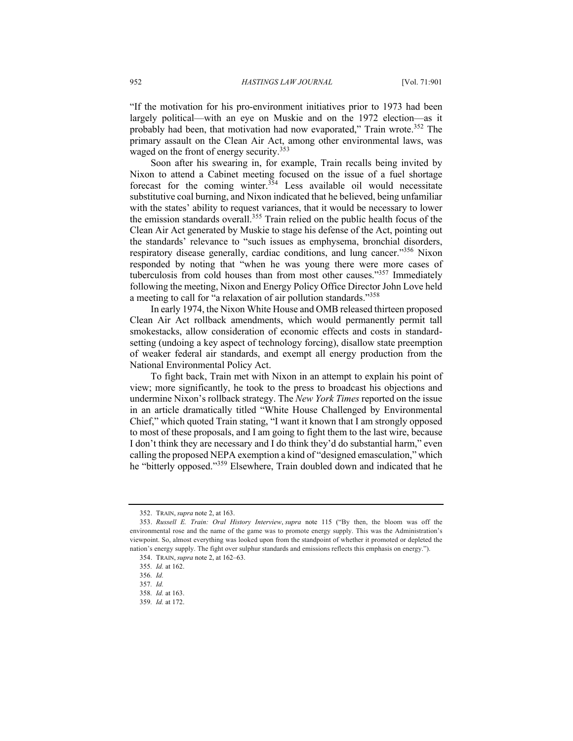"If the motivation for his pro-environment initiatives prior to 1973 had been largely political—with an eye on Muskie and on the 1972 election—as it probably had been, that motivation had now evaporated," Train wrote.<sup>352</sup> The primary assault on the Clean Air Act, among other environmental laws, was waged on the front of energy security.<sup>353</sup>

Soon after his swearing in, for example, Train recalls being invited by Nixon to attend a Cabinet meeting focused on the issue of a fuel shortage forecast for the coming winter.<sup>354</sup> Less available oil would necessitate substitutive coal burning, and Nixon indicated that he believed, being unfamiliar with the states' ability to request variances, that it would be necessary to lower the emission standards overall.<sup>355</sup> Train relied on the public health focus of the Clean Air Act generated by Muskie to stage his defense of the Act, pointing out the standards' relevance to "such issues as emphysema, bronchial disorders, respiratory disease generally, cardiac conditions, and lung cancer."<sup>356</sup> Nixon responded by noting that "when he was young there were more cases of tuberculosis from cold houses than from most other causes."<sup>357</sup> Immediately following the meeting, Nixon and Energy Policy Office Director John Love held a meeting to call for "a relaxation of air pollution standards."<sup>358</sup>

In early 1974, the Nixon White House and OMB released thirteen proposed Clean Air Act rollback amendments, which would permanently permit tall smokestacks, allow consideration of economic effects and costs in standardsetting (undoing a key aspect of technology forcing), disallow state preemption of weaker federal air standards, and exempt all energy production from the National Environmental Policy Act.

To fight back, Train met with Nixon in an attempt to explain his point of view; more significantly, he took to the press to broadcast his objections and undermine Nixon's rollback strategy. The *New York Times* reported on the issue in an article dramatically titled "White House Challenged by Environmental Chief," which quoted Train stating, "I want it known that I am strongly opposed to most of these proposals, and I am going to fight them to the last wire, because I don't think they are necessary and I do think they'd do substantial harm," even calling the proposed NEPA exemption a kind of "designed emasculation," which he "bitterly opposed."<sup>359</sup> Elsewhere, Train doubled down and indicated that he

<sup>352.</sup> TRAIN, *supra* note 2, at 163.

<sup>353.</sup> *Russell E. Train: Oral History Interview*, *supra* note 115 ("By then, the bloom was off the environmental rose and the name of the game was to promote energy supply. This was the Administration's viewpoint. So, almost everything was looked upon from the standpoint of whether it promoted or depleted the nation's energy supply. The fight over sulphur standards and emissions reflects this emphasis on energy.").

<sup>354.</sup> TRAIN, *supra* note 2, at 162–63.

<sup>355</sup>*. Id.* at 162.

<sup>356</sup>*. Id.* 

<sup>357</sup>*. Id.*

<sup>358</sup>*. Id.* at 163.

<sup>359</sup>*. Id.* at 172.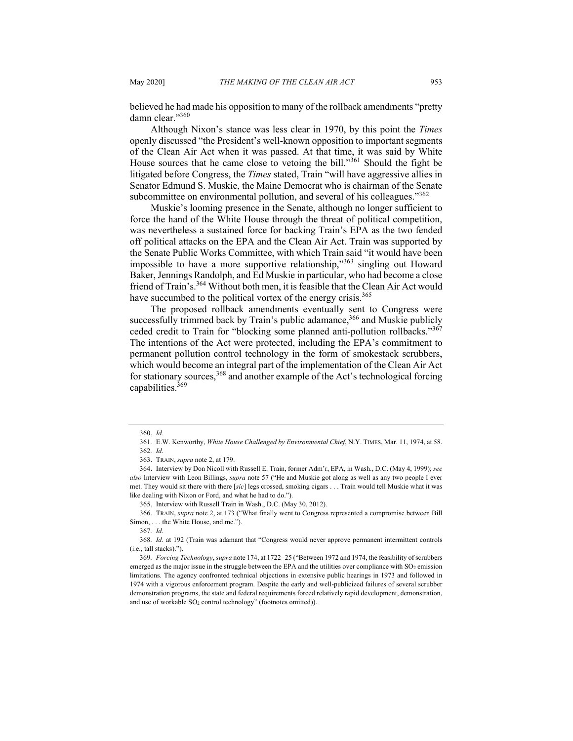believed he had made his opposition to many of the rollback amendments "pretty damn clear."360

Although Nixon's stance was less clear in 1970, by this point the *Times* openly discussed "the President's well‐known opposition to important segments of the Clean Air Act when it was passed. At that time, it was said by White House sources that he came close to vetoing the bill."<sup>361</sup> Should the fight be litigated before Congress, the *Times* stated, Train "will have aggressive allies in Senator Edmund S. Muskie, the Maine Democrat who is chairman of the Senate subcommittee on environmental pollution, and several of his colleagues."<sup>362</sup>

Muskie's looming presence in the Senate, although no longer sufficient to force the hand of the White House through the threat of political competition, was nevertheless a sustained force for backing Train's EPA as the two fended off political attacks on the EPA and the Clean Air Act. Train was supported by the Senate Public Works Committee, with which Train said "it would have been impossible to have a more supportive relationship,"<sup>363</sup> singling out Howard Baker, Jennings Randolph, and Ed Muskie in particular, who had become a close friend of Train's.<sup>364</sup> Without both men, it is feasible that the Clean Air Act would have succumbed to the political vortex of the energy crisis.<sup>365</sup>

The proposed rollback amendments eventually sent to Congress were successfully trimmed back by Train's public adamance,<sup>366</sup> and Muskie publicly ceded credit to Train for "blocking some planned anti-pollution rollbacks."367 The intentions of the Act were protected, including the EPA's commitment to permanent pollution control technology in the form of smokestack scrubbers, which would become an integral part of the implementation of the Clean Air Act for stationary sources,  $368$  and another example of the Act's technological forcing capabilities.<sup>369</sup>

<sup>360.</sup> *Id.*

<sup>361</sup>*.* E.W. Kenworthy, *White House Challenged by Environmental Chief*, N.Y. TIMES, Mar. 11, 1974, at 58. 362*. Id.*

<sup>363.</sup> TRAIN, *supra* note 2, at 179.

<sup>364.</sup> Interview by Don Nicoll with Russell E. Train, former Adm'r, EPA, in Wash., D.C. (May 4, 1999); *see also* Interview with Leon Billings, *supra* note 57 ("He and Muskie got along as well as any two people I ever met. They would sit there with there [*sic*] legs crossed, smoking cigars . . . Train would tell Muskie what it was like dealing with Nixon or Ford, and what he had to do.").

<sup>365.</sup> Interview with Russell Train in Wash., D.C. (May 30, 2012).

<sup>366.</sup> TRAIN, *supra* note 2, at 173 ("What finally went to Congress represented a compromise between Bill Simon, . . . the White House, and me.").

<sup>367</sup>*. Id.*

<sup>368</sup>*. Id.* at 192 (Train was adamant that "Congress would never approve permanent intermittent controls (i.e., tall stacks).").

<sup>369</sup>*. Forcing Technology*, *supra* note 174, at 1722-25 ("Between 1972 and 1974, the feasibility of scrubbers emerged as the major issue in the struggle between the EPA and the utilities over compliance with  $SO_2$  emission limitations. The agency confronted technical objections in extensive public hearings in 1973 and followed in 1974 with a vigorous enforcement program. Despite the early and well-publicized failures of several scrubber demonstration programs, the state and federal requirements forced relatively rapid development, demonstration, and use of workable SO<sub>2</sub> control technology" (footnotes omitted)).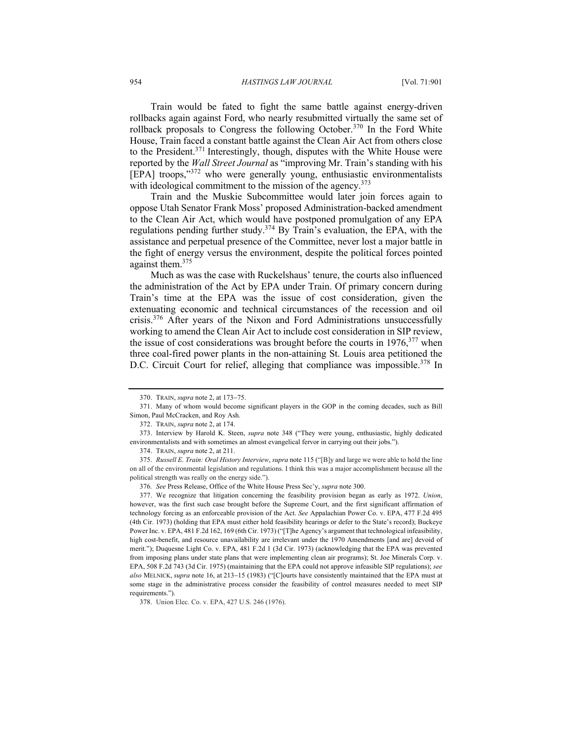Train would be fated to fight the same battle against energy-driven rollbacks again against Ford, who nearly resubmitted virtually the same set of rollback proposals to Congress the following October.<sup>370</sup> In the Ford White House, Train faced a constant battle against the Clean Air Act from others close to the President.<sup>371</sup> Interestingly, though, disputes with the White House were reported by the *Wall Street Journal* as "improving Mr. Train's standing with his [EPA] troops,"<sup>372</sup> who were generally young, enthusiastic environmentalists with ideological commitment to the mission of the agency.<sup>373</sup>

Train and the Muskie Subcommittee would later join forces again to oppose Utah Senator Frank Moss' proposed Administration-backed amendment to the Clean Air Act, which would have postponed promulgation of any EPA regulations pending further study.<sup>374</sup> By Train's evaluation, the EPA, with the assistance and perpetual presence of the Committee, never lost a major battle in the fight of energy versus the environment, despite the political forces pointed against them.<sup>375</sup>

Much as was the case with Ruckelshaus' tenure, the courts also influenced the administration of the Act by EPA under Train. Of primary concern during Train's time at the EPA was the issue of cost consideration, given the extenuating economic and technical circumstances of the recession and oil crisis.<sup>376</sup> After years of the Nixon and Ford Administrations unsuccessfully working to amend the Clean Air Act to include cost consideration in SIP review, the issue of cost considerations was brought before the courts in  $1976$ ,  $377$  when three coal-fired power plants in the non-attaining St. Louis area petitioned the D.C. Circuit Court for relief, alleging that compliance was impossible.<sup>378</sup> In

<sup>370.</sup> TRAIN, *supra* note 2, at 173-75.

<sup>371.</sup> Many of whom would become significant players in the GOP in the coming decades, such as Bill Simon, Paul McCracken, and Roy Ash.

<sup>372.</sup> TRAIN, *supra* note 2, at 174.

<sup>373.</sup> Interview by Harold K. Steen, *supra* note 348 ("They were young, enthusiastic, highly dedicated environmentalists and with sometimes an almost evangelical fervor in carrying out their jobs.").

<sup>374.</sup> TRAIN, *supra* note 2, at 211.

<sup>375.</sup> *Russell E. Train: Oral History Interview*, *supra* note 115 ("[B]y and large we were able to hold the line on all of the environmental legislation and regulations. I think this was a major accomplishment because all the political strength was really on the energy side.").

<sup>376</sup>*. See* Press Release, Office of the White House Press Sec'y, *supra* note 300.

<sup>377.</sup> We recognize that litigation concerning the feasibility provision began as early as 1972. *Union*, however, was the first such case brought before the Supreme Court, and the first significant affirmation of technology forcing as an enforceable provision of the Act. *See* Appalachian Power Co. v. EPA, 477 F.2d 495 (4th Cir. 1973) (holding that EPA must either hold feasibility hearings or defer to the State's record); Buckeye Power Inc. v. EPA, 481 F.2d 162, 169 (6th Cir. 1973) ("[T]he Agency's argument that technological infeasibility, high cost-benefit, and resource unavailability are irrelevant under the 1970 Amendments [and are] devoid of merit."); Duquesne Light Co. v. EPA, 481 F.2d 1 (3d Cir. 1973) (acknowledging that the EPA was prevented from imposing plans under state plans that were implementing clean air programs); St. Joe Minerals Corp. v. EPA, 508 F.2d 743 (3d Cir. 1975) (maintaining that the EPA could not approve infeasible SIP regulations); *see also* MELNICK, *supra* note 16, at 213-15 (1983) ("[C]ourts have consistently maintained that the EPA must at some stage in the administrative process consider the feasibility of control measures needed to meet SIP requirements.").

<sup>378.</sup> Union Elec. Co. v. EPA, 427 U.S. 246 (1976).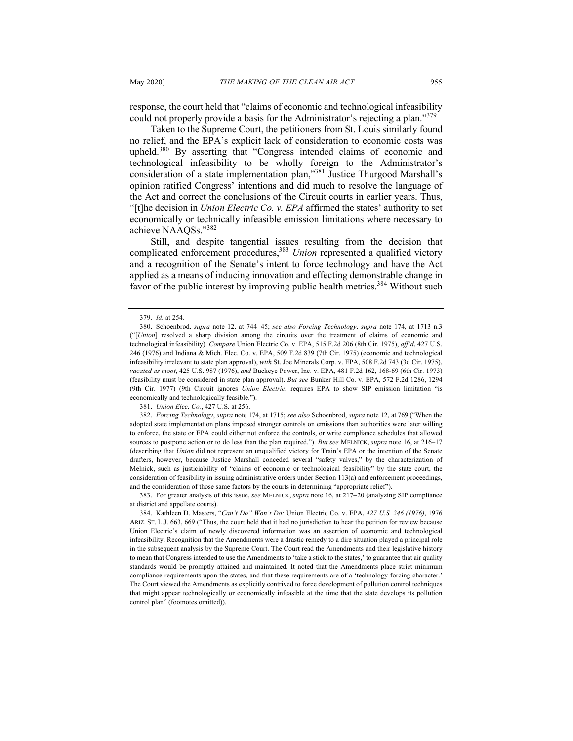response, the court held that "claims of economic and technological infeasibility could not properly provide a basis for the Administrator's rejecting a plan."<sup>379</sup>

Taken to the Supreme Court, the petitioners from St. Louis similarly found no relief, and the EPA's explicit lack of consideration to economic costs was upheld.<sup>380</sup> By asserting that "Congress intended claims of economic and technological infeasibility to be wholly foreign to the Administrator's consideration of a state implementation plan,"381 Justice Thurgood Marshall's opinion ratified Congress' intentions and did much to resolve the language of the Act and correct the conclusions of the Circuit courts in earlier years. Thus, "[t]he decision in *Union Electric Co. v. EPA* affirmed the states' authority to set economically or technically infeasible emission limitations where necessary to achieve NAAQSs."<sup>382</sup>

Still, and despite tangential issues resulting from the decision that complicated enforcement procedures,<sup>383</sup> *Union* represented a qualified victory and a recognition of the Senate's intent to force technology and have the Act applied as a means of inducing innovation and effecting demonstrable change in favor of the public interest by improving public health metrics.<sup>384</sup> Without such

381. *Union Elec. Co.*, 427 U.S. at 256.

383. For greater analysis of this issue, *see* MELNICK, *supra* note 16, at 217-20 (analyzing SIP compliance at district and appellate courts).

<sup>379.</sup> *Id.* at 254.

<sup>380.</sup> Schoenbrod, *supra* note 12, at 744-45; *see also Forcing Technology*, *supra* note 174, at 1713 n.3 ("[*Union*] resolved a sharp division among the circuits over the treatment of claims of economic and technological infeasibility). *Compare* Union Electric Co. v. EPA, 515 F.2d 206 (8th Cir. 1975), *aff'd*, 427 U.S. 246 (1976) and Indiana & Mich. Elec. Co. v. EPA, 509 F.2d 839 (7th Cir. 1975) (economic and technological infeasibility irrelevant to state plan approval), *with* St. Joe Minerals Corp. v. EPA, 508 F.2d 743 (3d Cir. 1975), *vacated as moot*, 425 U.S. 987 (1976), *and* Buckeye Power, Inc. v. EPA, 481 F.2d 162, 168-69 (6th Cir. 1973) (feasibility must be considered in state plan approval). *But see* Bunker Hill Co. v. EPA, 572 F.2d 1286, 1294 (9th Cir. 1977) (9th Circuit ignores *Union Electric*; requires EPA to show SIP emission limitation "is economically and technologically feasible.").

<sup>382.</sup> *Forcing Technology*, *supra* note 174, at 1715; *see also* Schoenbrod, *supra* note 12, at 769 ("When the adopted state implementation plans imposed stronger controls on emissions than authorities were later willing to enforce, the state or EPA could either not enforce the controls, or write compliance schedules that allowed sources to postpone action or to do less than the plan required."). *But see* MELNICK, *supra* note 16, at 216–17 (describing that *Union* did not represent an unqualified victory for Train's EPA or the intention of the Senate drafters, however, because Justice Marshall conceded several "safety valves," by the characterization of Melnick, such as justiciability of "claims of economic or technological feasibility" by the state court, the consideration of feasibility in issuing administrative orders under Section 113(a) and enforcement proceedings, and the consideration of those same factors by the courts in determining "appropriate relief").

<sup>384.</sup> Kathleen D. Masters, "*Can't Do" Won't Do:* Union Electric Co. v. EPA, *427 U.S. 246 (1976)*, 1976 ARIZ. ST. L.J. 663, 669 ("Thus, the court held that it had no jurisdiction to hear the petition for review because Union Electric's claim of newly discovered information was an assertion of economic and technological infeasibility. Recognition that the Amendments were a drastic remedy to a dire situation played a principal role in the subsequent analysis by the Supreme Court. The Court read the Amendments and their legislative history to mean that Congress intended to use the Amendments to 'take a stick to the states,' to guarantee that air quality standards would be promptly attained and maintained. It noted that the Amendments place strict minimum compliance requirements upon the states, and that these requirements are of a 'technology-forcing character.' The Court viewed the Amendments as explicitly contrived to force development of pollution control techniques that might appear technologically or economically infeasible at the time that the state develops its pollution control plan" (footnotes omitted)).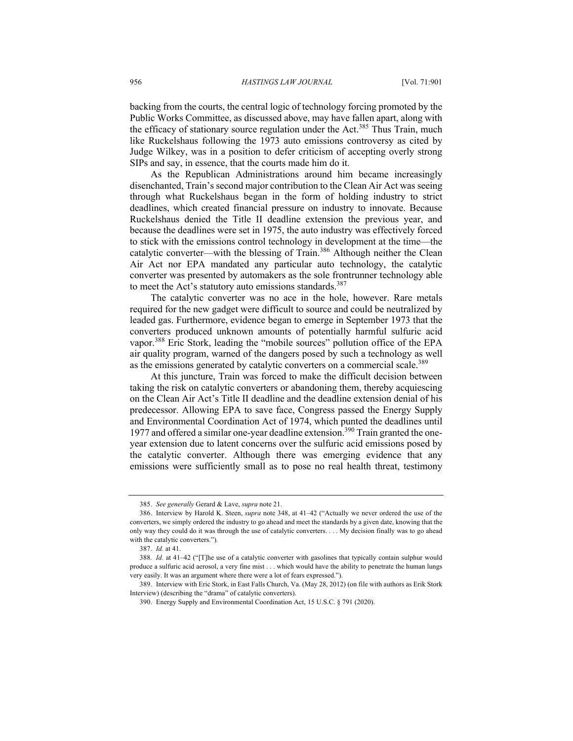backing from the courts, the central logic of technology forcing promoted by the Public Works Committee, as discussed above, may have fallen apart, along with the efficacy of stationary source regulation under the Act.<sup>385</sup> Thus Train, much like Ruckelshaus following the 1973 auto emissions controversy as cited by Judge Wilkey, was in a position to defer criticism of accepting overly strong SIPs and say, in essence, that the courts made him do it.

As the Republican Administrations around him became increasingly disenchanted, Train's second major contribution to the Clean Air Act was seeing through what Ruckelshaus began in the form of holding industry to strict deadlines, which created financial pressure on industry to innovate. Because Ruckelshaus denied the Title II deadline extension the previous year, and because the deadlines were set in 1975, the auto industry was effectively forced to stick with the emissions control technology in development at the time—the catalytic converter—with the blessing of Train.<sup>386</sup> Although neither the Clean Air Act nor EPA mandated any particular auto technology, the catalytic converter was presented by automakers as the sole frontrunner technology able to meet the Act's statutory auto emissions standards. $387$ 

The catalytic converter was no ace in the hole, however. Rare metals required for the new gadget were difficult to source and could be neutralized by leaded gas. Furthermore, evidence began to emerge in September 1973 that the converters produced unknown amounts of potentially harmful sulfuric acid vapor.<sup>388</sup> Eric Stork, leading the "mobile sources" pollution office of the EPA air quality program, warned of the dangers posed by such a technology as well as the emissions generated by catalytic converters on a commercial scale.<sup>389</sup>

At this juncture, Train was forced to make the difficult decision between taking the risk on catalytic converters or abandoning them, thereby acquiescing on the Clean Air Act's Title II deadline and the deadline extension denial of his predecessor. Allowing EPA to save face, Congress passed the Energy Supply and Environmental Coordination Act of 1974, which punted the deadlines until 1977 and offered a similar one-year deadline extension.<sup>390</sup> Train granted the oneyear extension due to latent concerns over the sulfuric acid emissions posed by the catalytic converter. Although there was emerging evidence that any emissions were sufficiently small as to pose no real health threat, testimony

<sup>385.</sup> *See generally* Gerard & Lave, *supra* note 21.

<sup>386.</sup> Interview by Harold K. Steen, *supra* note 348, at 41–42 ("Actually we never ordered the use of the converters, we simply ordered the industry to go ahead and meet the standards by a given date, knowing that the only way they could do it was through the use of catalytic converters. . . . My decision finally was to go ahead with the catalytic converters.").

<sup>387.</sup> *Id.* at 41.

<sup>388</sup>*. Id.* at 41–42 ("[T]he use of a catalytic converter with gasolines that typically contain sulphur would produce a sulfuric acid aerosol, a very fine mist . . . which would have the ability to penetrate the human lungs very easily. It was an argument where there were a lot of fears expressed.").

<sup>389.</sup> Interview with Eric Stork, in East Falls Church, Va. (May 28, 2012) (on file with authors as Erik Stork Interview) (describing the "drama" of catalytic converters).

<sup>390.</sup> Energy Supply and Environmental Coordination Act, 15 U.S.C. § 791 (2020).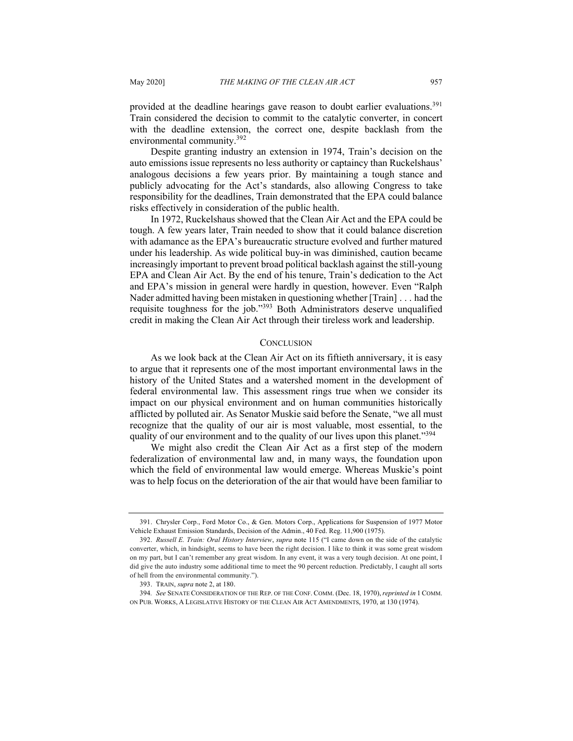provided at the deadline hearings gave reason to doubt earlier evaluations.<sup>391</sup> Train considered the decision to commit to the catalytic converter, in concert with the deadline extension, the correct one, despite backlash from the environmental community.<sup>392</sup>

Despite granting industry an extension in 1974, Train's decision on the auto emissions issue represents no less authority or captaincy than Ruckelshaus' analogous decisions a few years prior. By maintaining a tough stance and publicly advocating for the Act's standards, also allowing Congress to take responsibility for the deadlines, Train demonstrated that the EPA could balance risks effectively in consideration of the public health.

In 1972, Ruckelshaus showed that the Clean Air Act and the EPA could be tough. A few years later, Train needed to show that it could balance discretion with adamance as the EPA's bureaucratic structure evolved and further matured under his leadership. As wide political buy-in was diminished, caution became increasingly important to prevent broad political backlash against the still-young EPA and Clean Air Act. By the end of his tenure, Train's dedication to the Act and EPA's mission in general were hardly in question, however. Even "Ralph Nader admitted having been mistaken in questioning whether [Train] . . . had the requisite toughness for the job."<sup>393</sup> Both Administrators deserve unqualified credit in making the Clean Air Act through their tireless work and leadership.

#### **CONCLUSION**

As we look back at the Clean Air Act on its fiftieth anniversary, it is easy to argue that it represents one of the most important environmental laws in the history of the United States and a watershed moment in the development of federal environmental law. This assessment rings true when we consider its impact on our physical environment and on human communities historically afflicted by polluted air. As Senator Muskie said before the Senate, "we all must recognize that the quality of our air is most valuable, most essential, to the quality of our environment and to the quality of our lives upon this planet."<sup>394</sup>

We might also credit the Clean Air Act as a first step of the modern federalization of environmental law and, in many ways, the foundation upon which the field of environmental law would emerge. Whereas Muskie's point was to help focus on the deterioration of the air that would have been familiar to

<sup>391.</sup> Chrysler Corp., Ford Motor Co., & Gen. Motors Corp., Applications for Suspension of 1977 Motor Vehicle Exhaust Emission Standards, Decision of the Admin., 40 Fed. Reg. 11,900 (1975).

<sup>392.</sup> *Russell E. Train: Oral History Interview*, *supra* note 115 ("I came down on the side of the catalytic converter, which, in hindsight, seems to have been the right decision. I like to think it was some great wisdom on my part, but I can't remember any great wisdom. In any event, it was a very tough decision. At one point, I did give the auto industry some additional time to meet the 90 percent reduction. Predictably, I caught all sorts of hell from the environmental community.").

<sup>393.</sup> TRAIN, *supra* note 2, at 180.

<sup>394</sup>*. See* SENATE CONSIDERATION OF THE REP. OF THE CONF. COMM. (Dec. 18, 1970),*reprinted in* 1 COMM. ON PUB. WORKS, A LEGISLATIVE HISTORY OF THE CLEAN AIR ACT AMENDMENTS, 1970, at 130 (1974).